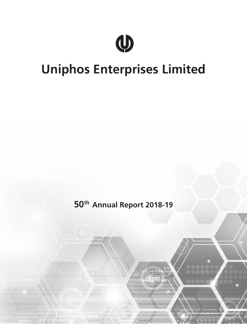

# **Uniphos Enterprises Limited**

**50th Annual Report 2018-19**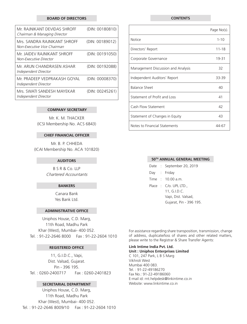#### **BOARD OF DIRECTORS**

| Mr. RAINIKANT DFVIDAS SHROFF<br>Chairman & Managing Director | (DIN: 00180810) |
|--------------------------------------------------------------|-----------------|
| Mrs. SANDRA RAINIKANT SHROFF<br>Non-Executive Vice Chairman  | (DIN: 00189012) |
| Mr. JAIDEV RAJNIKANT SHROFF<br>Non-Executive Director        | (DIN: 00191050) |
| Mr. ARUN CHANDRASEN ASHAR<br>Independent Director            | (DIN: 00192088) |
| Mr. PRADFFP VFDPRAKASH GOYAL<br>Independent Director         | (DIN: 00008370) |
| Mrs. SWATI SANDESH MAYEKAR<br>Independent Director           | (DIN: 00245261) |

#### **COMPANY SECRETARY**

Mr. K. M. THACKER (ICSI Membership No. ACS 6843)

#### **CHIEF FINANCIAL OFFICER**

Mr. B. P. CHHEDA (ICAI Membership No. ACA 101820)

#### **AUDITORS**

B S R & Co. LLP Chartered Accountants

#### **BANKERS**

Canara Bank Yes Bank Ltd.

#### **ADMINISTRATIVE OFFICE**

Uniphos House, C.D. Marg, 11th Road, Madhu Park Khar (West), Mumbai- 400 052. Tel. : 91-22-2646 8000 Fax : 91-22-2604 1010

#### **REGISTERED OFFICE**

11, G.I.D.C., Vapi, Dist. Valsad, Gujarat. Pin - 396 195. Tel. : 0260-2400717 Fax : 0260-2401823

#### **SECRETARIAL DEPARTMENT**

Uniphos House, C.D. Marg, 11th Road, Madhu Park Khar (West), Mumbai- 400 052. Tel. : 91-22-2646 8009/10 Fax : 91-22-2604 1010

#### **CONTENTS**

|                                    | Page No(s). |
|------------------------------------|-------------|
| <b>Notice</b>                      | $1 - 10$    |
| Directors' Report                  | $11 - 18$   |
| Corporate Governance               | 19-31       |
| Management Discussion and Analysis | 32          |
| Independent Auditors' Report       | 33-39       |
| <b>Balance Sheet</b>               | 40          |
| Statement of Profit and Loss       | 41          |
| Cash Flow Statement                | 42          |
| Statement of Changes in Equity     | 43          |
| Notes to Financial Statements      | 44-67       |

#### **50TH ANNUAL GENERAL MEETING**

| Date |  | : September 20, 2019 |  |  |
|------|--|----------------------|--|--|
|------|--|----------------------|--|--|

- Day : Friday
- Time : 10.00 a.m.
- Place : C/o. UPL LTD., 11, G.I.D.C. Vapi, Dist. Valsad, Gujarat, Pin - 396 195.

For assistance regarding share transposition, transmission, change of address, duplicate/loss of shares and other related matters, please write to the Registrar & Share Transfer Agents:

#### **Link Intime India Pvt. Ltd.**

**Unit : Uniphos Enterprises Limited** C 101, 247 Park, L B S Marg Vikhroli West Mumbai 400 083. Tel. : 91-22-49186270 Fax No.: 91-22-49186060 E-mail id: rnt.helpdesk@linkintime.co.in Website: www.linkintime.co.in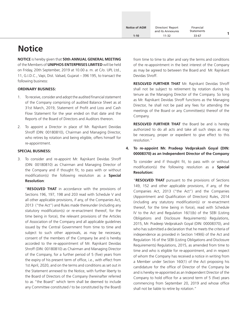| <b>Notice of AGM</b> | Directors' Report<br>and its Annexures | Financial<br>Statements |  |
|----------------------|----------------------------------------|-------------------------|--|
| $1 - 10$             | 11-32                                  | 33-67                   |  |

## **Notice**

**NOTICE** is hereby given that **50th ANNUAL GENERAL MEETING** of the Members of **UNIPHOS ENTERPRISES LIMITED** will be held on Friday, 20th September, 2019 at 10.00 a. m. at C/o. UPL Ltd., 11, G.I.D.C., Vapi, Dist. Valsad, Gujarat – 396 195, to transact the following business:

#### **ORDINARY BUSINESS:**

- 1. To receive, consider and adopt the audited financial statement of the Company comprising of audited Balance Sheet as at 31st March, 2019, Statement of Profit and Loss and Cash Flow Statement for the year ended on that date and the Reports of the Board of Directors and Auditors thereon.
- 2. To appoint a Director in place of Mr. Rajnikant Devidas Shroff (DIN: 00180810), Chairman and Managing Director, who retires by rotation and being eligible, offers himself for re-appointment.

#### **SPECIAL BUSINESS:**

3. To consider and re-appoint Mr. Rajnikant Devidas Shroff (DIN: 00180810) as Chairman and Managing Director of the Company and if thought fit, to pass with or without modification(s) the following resolution as a **Special Resolution**:

"**RESOLVED THAT** in accordance with the provisions of Sections 196, 197, 198 and 203 read with Schedule V and all other applicable provisions, if any, of the Companies Act, 2013 ("the Act") and Rules made thereunder (including any statutory modification(s) or re-enactment thereof, for the time being in force), the relevant provisions of the Articles of Association of the Company and all applicable guidelines issued by the Central Government from time to time and subject to such other approvals, as may be necessary, consent of the members of the Company be and is hereby accorded to the re-appointment of Mr. Rajnikant Devidas Shroff (DIN: 00180810) as Chairman and Managing Director of the Company, for a further period of 5 (five) years from the expiry of his present term of office, i.e., with effect from 1st April, 2020, and on the terms and conditions as set out in the Statement annexed to the Notice, with further liberty to the Board of Directors of the Company (hereinafter referred to as "the Board" which term shall be deemed to include any Committee constituted / to be constituted by the Board)

from time to time to alter and vary the terms and conditions of the re-appointment in the best interest of the Company as may be agreed to between the Board and Mr. Rajnikant Devidas Shroff.

**RESOLVED FURTHER THAT** Mr. Rajnikant Devidas Shroff shall not be subject to retirement by rotation during his tenure as the Managing Director of the Company. So long as Mr. Rajnikant Devidas Shroff functions as the Managing Director, he shall not be paid any fees for attending the meetings of the Board or any Committee(s) thereof of the Company.

**RESOLVED FURTHER THAT** the Board be and is hereby authorized to do all acts and take all such steps as may be necessary, proper or expedient to give effect to this resolution."

**4. To re-appoint Mr. Pradeep Vedprakash Goyal (DIN: 00008370) as an Independent Director of the Company**

To consider and if thought fit, to pass with or without modification(s) the following resolution as a **Special Resolution:**

"**RESOLVED THAT** pursuant to the provisions of Sections 149, 152 and other applicable provisions, if any, of the Companies Act, 2013 ("the Act") and the Companies (Appointment and Qualification of Directors) Rules, 2014 (including any statutory modification(s) or re-enactment thereof, for the time being in force), read with Schedule IV to the Act and Regulation 16(1)(b) of the SEBI (Listing Obligations and Disclosure Requirements) Regulations, 2015, Mr. Pradeep Vedprakash Goyal (DIN: 00008370), and who has submitted a declaration that he meets the criteria of independence as provided in Section 149(6) of the Act and Regulation 16 of the SEBI (Listing Obligations and Disclosure Requirements) Regulations, 2015, as amended from time to time and who is eligible for re-appointment, and in respect of whom the Company has received a notice in writing from a Member under Section 160(1) of the Act proposing his candidature for the office of Director of the Company be and is hereby re-appointed as an Independent Director of the Company to hold office for a second term of 5 (five) years commencing from September 20, 2019 and whose office shall not be liable to retire by rotation."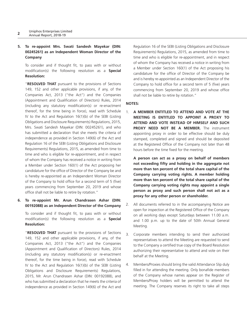#### **5. To re-appoint Mrs. Swati Sandesh Mayekar (DIN: 00245261) as an Independent Woman Director of the Company**

To consider and if thought fit, to pass with or without modification(s) the following resolution as a **Special Resolution:**

"**RESOLVED THAT** pursuant to the provisions of Sections 149, 152 and other applicable provisions, if any, of the Companies Act, 2013 ("the Act") and the Companies (Appointment and Qualification of Directors) Rules, 2014 (including any statutory modification(s) or re-enactment thereof, for the time being in force), read with Schedule IV to the Act and Regulation 16(1)(b) of the SEBI (Listing Obligations and Disclosure Requirements) Regulations, 2015, Mrs. Swati Sandesh Mayekar (DIN: 00245261), and who has submitted a declaration that she meets the criteria of independence as provided in Section 149(6) of the Act and Regulation 16 of the SEBI (Listing Obligations and Disclosure Requirements) Regulations, 2015, as amended from time to time and who is eligible for re-appointment, and in respect of whom the Company has received a notice in writing from a Member under Section 160(1) of the Act proposing her candidature for the office of Director of the Company be and is hereby re-appointed as an Independent Woman Director of the Company to hold office for a second term of 5 (five) years commencing from September 20, 2019 and whose office shall not be liable to retire by rotation."

#### **6. To re-appoint Mr. Arun Chandrasen Ashar (DIN: 00192088) as an Independent Director of the Company**

To consider and if thought fit, to pass with or without modification(s) the following resolution as a **Special Resolution:**

"**RESOLVED THAT** pursuant to the provisions of Sections 149, 152 and other applicable provisions, if any, of the Companies Act, 2013 ("the Act") and the Companies (Appointment and Qualification of Directors) Rules, 2014 (including any statutory modification(s) or re-enactment thereof, for the time being in force), read with Schedule IV to the Act and Regulation 16(1)(b) of the SEBI (Listing Obligations and Disclosure Requirements) Regulations, 2015, Mr. Arun Chandrasen Ashar (DIN: 00192088), and who has submitted a declaration that he meets the criteria of independence as provided in Section 149(6) of the Act and

Regulation 16 of the SEBI (Listing Obligations and Disclosure Requirements) Regulations, 2015, as amended from time to time and who is eligible for re-appointment, and in respect of whom the Company has received a notice in writing from a Member under Section 160(1) of the Act proposing his candidature for the office of Director of the Company be and is hereby re-appointed as an Independent Director of the Company to hold office for a second term of 5 (five) years commencing from September 20, 2019 and whose office shall not be liable to retire by rotation."

#### **NOTES:**

1. **A MEMBER ENTITLED TO ATTEND AND VOTE AT THE MEETING IS ENTITLED TO APPOINT A PROXY TO ATTEND AND VOTE INSTEAD OF HIMSELF AND SUCH PROXY NEED NOT BE A MEMBER.** The instrument appointing proxy in order to be effective should be duly stamped, completed and signed and should be deposited at the Registered Office of the Company not later than 48 hours before the time fixed for the meeting.

**A person can act as a proxy on behalf of members not exceeding fifty and holding in the aggregate not more than ten percent of the total share capital of the Company carrying voting rights. A member holding more than ten percent of the total share capital of the Company carrying voting rights may appoint a single person as proxy and such person shall not act as a proxy for any other person or shareholder.**

- 2. All documents referred to in the accompanying Notice are open for inspection at the Registered Office of the Company on all working days except Saturdays between 11.00 a.m. and 1.00 p.m. up to the date of 50th Annual General Meeting.
- 3. Corporate members intending to send their authorized representatives to attend the Meeting are requested to send to the Company a certified true copy of the Board Resolution authorizing their representative to attend and vote on their behalf at the Meeting.
- 4. Members/Proxies should bring the valid Attendance Slip duly filled in for attending the meeting. Only bonafide members of the Company whose names appear on the Register of Members/Proxy holders will be permitted to attend the meeting. The Company reserves its right to take all steps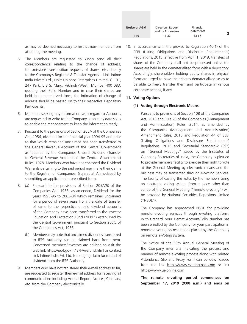| Financial<br>Statements | Directors' Report<br>and its Annexures | <b>Notice of AGM</b> |
|-------------------------|----------------------------------------|----------------------|
| $33 - 67$               | $11 - 32$                              | $1 - 10$             |
|                         |                                        |                      |

as may be deemed necessary to restrict non-members from attending the meeting.

- 5. The Members are requested to kindly send all their correspondence relating to the change of address, transmission/ transposition requests of shares, etc. directly to the Company's Registrar & Transfer Agents – Link Intime India Private Ltd., Unit: Uniphos Enterprises Limited, C 101, 247 Park, L B S. Marg, Vikhroli (West), Mumbai 400 083, quoting their Folio Number and in case their shares are held in dematerialized form, the intimation of change of address should be passed on to their respective Depository Participants.
- 6. Members seeking any information with regard to Accounts are requested to write to the Company at an early date so as to enable the management to keep the information ready.
- 7. Pursuant to the provisions of Section 205A of the Companies Act, 1956, dividend for the financial year 1994-95 and prior to that which remained unclaimed has been transferred to the General Revenue Account of the Central Government as required by the Companies Unpaid Dividend (Transfer to General Revenue Account of the Central Government) Rules, 1978. Members who have not encashed the Dividend Warrants pertaining to the said period may make their claims to the Registrar of Companies, Gujarat at Ahmedabad by submitting an application in prescribed form.
- 8. (a) Pursuant to the provisions of Section 205A(5) of the Companies Act, 1956, as amended, Dividend for the years 1995-96 to 2003-04 which remained unclaimed for a period of seven years from the date of transfer of same to the respective unpaid dividend accounts of the Company have been transferred to the Investor Education and Protection Fund ("IEPF") established by the Central Government pursuant to Section 205C of the Companies Act, 1956.
	- (b) Members may note that unclaimed dividends transferred to IEPF Authority can be claimed back from them. Concerned members/investors are advised to visit the web link https://iepf.gov.in/IEPFA/refund.html or contact Link Intime India Pvt. Ltd. for lodging claim for refund of dividend from the IEPF Authority.
- 9. Members who have not registered their e-mail address so far, are requested to register their e-mail address for receiving all communications including Annual Report, Notices, Circulars, etc. from the Company electronically.

10. In accordance with the proviso to Regulation 40(1) of the SEBI (Listing Obligations and Disclosure Requirements) Regulations, 2015, effective from April 1, 2019, transfers of shares of the Company shall not be processed unless the shares are held in the dematerialized form with a depository. Accordingly, shareholders holding equity shares in physical form are urged to have their shares dematerialized so as to be able to freely transfer them and participate in various corporate actions, if any.

#### **11. Voting Options**

#### **(1) Voting through Electronic Means:**

 Pursuant to provisions of Section 108 of the Companies Act, 2013 and Rule 20 of the Companies (Management and Administration) Rules, 2014, as amended by the Companies (Management and Administration) Amendment Rules, 2015 and Regulation 44 of SEBI (Listing Obligations and Disclosure Requirements) Regulations, 2015 and Secretarial Standard-2 (SS2) on "General Meetings" issued by the Institutes of Company Secretaries of India, the Company is pleased to provide members facility to exercise their right to vote at the General Meeting by electronic means and the business may be transacted through e-Voting Services. The facility of casting the votes by the members using an electronic voting system from a place other than venue of the General Meeting ("remote e-voting") will be provided by National Securities Depository Limited ("NSDL").

 The Company has approached NSDL for providing remote e-voting services through e-voting platform. In this regard, your Demat Account/Folio Number has been enrolled by the Company for your participation in remote e-voting on resolutions placed by the Company on remote e-Voting system.

 The Notice of the 50th Annual General Meeting of the Company inter alia indicating the process and manner of remote e-Voting process along with printed Attendance Slip and Proxy Form can be downloaded from the link https://www.evoting.nsdl.com or link https://www.uelonline.com

 **The remote e-voting period commences on September 17, 2019 (9:00 a.m.) and ends on**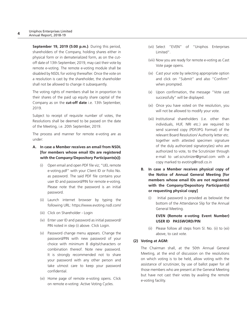**September 19, 2019 (5:00 p.m.)**. During this period, shareholders of the Company, holding shares either in physical form or in dematerialized form, as on the cutoff date of 13th September, 2019, may cast their vote by remote e-voting. The remote e-voting module shall be disabled by NSDL for voting thereafter. Once the vote on a resolution is cast by the shareholder, the shareholder shall not be allowed to change it subsequently.

 The voting rights of members shall be in proportion to their shares of the paid up equity share capital of the Company as on the **cut-off date** i.e. 13th September, 2019.

 Subject to receipt of requisite number of votes, the Resolutions shall be deemed to be passed on the date of the Meeting, i.e. 20th September, 2019.

 The process and manner for remote e-voting are as under:

#### **A. In case a Member receives an email from NSDL [for members whose email IDs are registered with the Company/Depository Participants(s)]:**

- (i) Open email and open PDF file viz; "UEL remote e-voting.pdf" with your Client ID or Folio No. as password. The said PDF file contains your user ID and password/PIN for remote e-voting. Please note that the password is an initial password.
- (ii) Launch internet browser by typing the following URL: https://www.evoting.nsdl.com/
- (iii) Click on Shareholder Login
- (iv) Enter user ID and password as initial password/ PIN noted in step (i) above. Click Login.
- (v) Password change menu appears. Change the password/PIN with new password of your choice with minimum 8 digits/characters or combination thereof. Note new password. It is strongly recommended not to share your password with any other person and take utmost care to keep your password confidential.
- (vi) Home page of remote e-voting opens. Click on remote e-voting: Active Voting Cycles.
- (vii) Select "EVEN" of "Uniphos Enterprises Limited".
- (viii) Now you are ready for remote e-voting as Cast Vote page opens.
- (ix) Cast your vote by selecting appropriate option and click on "Submit" and also "Confirm" when prompted.
- (x) Upon confirmation, the message "Vote cast successfully" will be displayed.
- (xi) Once you have voted on the resolution, you will not be allowed to modify your vote.
- (xii) Institutional shareholders (i.e. other than individuals, HUF, NRI etc.) are required to send scanned copy (PDF/JPG Format) of the relevant Board Resolution/ Authority letter etc. together with attested specimen signature of the duly authorized signatory(ies) who are authorized to vote, to the Scrutinizer through e-mail to uel.scrutinizer@gmail.com with a copy marked to evoting@nsdl.co.in
- **B. In case a Member receives physical copy of the Notice of Annual General Meeting [for members whose email IDs are not registered with the Company/Depository Participant(s) or requesting physical copy]**
	- (i) Initial password is provided as below/at the bottom of the Attendance Slip for the Annual General Meeting.

#### **EVEN (Remote e-voting Event Number) USER ID PASSWORD/PIN**

 (ii) Please follow all steps from Sl. No. (ii) to (xii) above, to cast vote.

#### **(2) Voting at AGM:**

 The Chairman shall, at the 50th Annual General Meeting, at the end of discussion on the resolutions on which voting is to be held, allow voting with the assistance of scrutinizer, by use of ballot paper for all those members who are present at the General Meeting but have not cast their votes by availing the remote e-voting facility.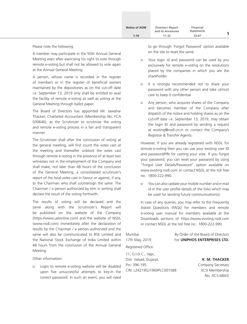Please note the following:

 A member may participate in the 50th Annual General Meeting even after exercising his right to vote through remote e-voting but shall not be allowed to vote again at the Annual General Meeting.

 A person, whose name is recorded in the register of members or in the register of beneficial owners maintained by the depositories as on the cut-off date i.e. September 13, 2019 only shall be entitled to avail the facility of remote e-voting as well as voting at the General Meeting through ballot paper.

 The Board of Directors has appointed Mr. Jawahar Thacker, Chartered Accountant (Membership No. FCA 030646), as the Scrutinizer to scrutinize the voting and remote e-voting process in a fair and transparent manner.

 The Scrutinizer shall after the conclusion of voting at the general meeting, will first count the votes cast at the meeting and thereafter unblock the votes cast through remote e-voting in the presence of at least two witnesses not in the employment of the Company and shall make, not later than 48 hours of the conclusion of the General Meeting, a consolidated scrutinizer's report of the total votes cast in favour or against, if any, to the Chairman who shall countersign the same. The Chairman / a person authorized by him in writing shall declare the result of the voting forthwith.

 The results of voting will be declared and the same along with the Scrutinizer's Report will be published on the website of the Company (https://www.uelonline.com) and the website of NSDL (www.nsdl.com) immediately after the declaration of results by the Chairman / a person authorized and the same will also be communicated to BSE Limited and the National Stock Exchange of India Limited within 48 hours from the conclusion of the Annual General Meeting.

Other information:

 o Login to remote e-voting website will be disabled upon five unsuccessful attempts to key-in the correct password. In such an event, you will need

to go through 'Forgot Password' option available on the site to reset the same.

- o Your login id and password can be used by you exclusively for remote e-voting on the resolutions placed by the companies in which you are the shareholder.
- o It is strongly recommended not to share your password with any other person and take utmost care to keep it confidential.
- o Any person, who acquires shares of the Company and becomes member of the Company after dispatch of the notice and holding shares as on the cut-off date i.e. September 13, 2019, may obtain the login ID and password by sending a request at evoting@nsdl.co.in or contact the Company's Registrar & Transfer Agents.

 However, If you are already registered with NSDL for remote e-voting then you can use your existing user ID and password/PIN for casting your vote. If you forgot your password, you can reset your password by using "Forgot User Details/Password" option available on www.evoting.nsdl.com or contact NSDL at the toll free no.: 1800-222-990.

 o You can also update your mobile number and e-mail id in the user profile details of the folio which may be used for sending future communication(s).

 In case of any queries, you may refer to the Frequently Asked Questions (FAQs) for members and remote e-voting user manual for members available at the Downloads sections of https://www.evoting.nsdl.com or contact NSDL at the toll free no : 1800-222-990.

Registered Office:

11, G.I.D.C., Vapi, Dist. Valsad, Gujarat, **K. M. THACKER** Pin- 396 195. Company Secretary CIN: L24219GJ1969PLC001588 (ICSI Membership

Mumbai By Order of the Board of Directors 17th May, 2019 For **UNIPHOS ENTERPRISES LTD.**

No. ACS-6843)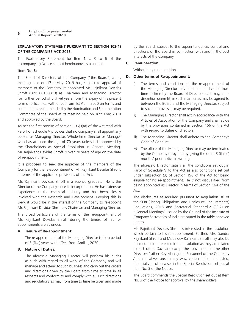#### **EXPLANATORY STATEMENT PURSUANT TO SECTION 102(1) OF THE COMPANIES ACT, 2013.**

The Explanatory Statement for Item Nos. 3 to 6 of the accompanying Notice set out hereinabove is as under:

#### **Item No. 3:**

The Board of Directors of the Company ("the Board") at its meeting held on 17th May, 2019 has, subject to approval of members of the Company, re-appointed Mr. Rajnikant Devidas Shroff (DIN: 00180810) as Chairman and Managing Director for further period of 5 (Five) years from the expiry of his present term of office, i.e., with effect from 1st April, 2020 on terms and conditions as recommended by the Nomination and Remuneration Committee of the Board at its meeting held on 16th May, 2019 and approved by the Board.

As per the first proviso of Section 196(3)(a) of the Act read with Part-1 of Schedule V provides that no company shall appoint any person as Managing Director, Whole-time Director or Manager who has attained the age of 70 years unless it is approved by the Shareholders as Special Resolution in General Meeting. Mr. Rajnikant Devidas Shroff is over 70 years of age on the date of re-appointment.

It is proposed to seek the approval of the members of the Company for the re-appointment of Mr. Rajnikant Devidas Shroff, in terms of the applicable provisions of the Act.

Mr. Rajnikant Devidas Shroff is a science graduate. He is the Director of the Company since its incorporation. He has extensive experience in the chemical industry and has been closely involved with the Research and Development. Keeping this in view, it would be in the interest of the Company to re-appoint Mr. Rajnikant Devidas Shroff, as Chairman and Managing Director.

The broad particulars of the terms of the re-appointment of Mr. Rajnikant Devidas Shroff during the tenure of his reappointments are as under.

#### **A. Tenure of Re-appointment:**

The re-appointment of the Managing Director is for a period of 5 (five) years with effect from April 1, 2020.

#### **B. Nature of Duties:**

The aforesaid Managing Director will perform his duties as such with regard to all work of the Company and will manage and attend to such business and carry out the orders and directions given by the Board from time to time in all respects and conform to and comply with all such directions and regulations as may from time to time be given and made

by the Board, subject to the superintendence, control and directions of the Board in connection with and in the best interests of the Company.

#### **C. Remuneration:**

Without any remuneration

#### **D. Other terms of Re-appointment:**

- i) The terms and conditions of the re-appointment of the Managing Director may be altered and varied from time to time by the Board of Directors as it may, in its discretion deem fit, in such manner as may be agreed to between the Board and the Managing Director, subject to such approvals as may be required.
- ii) The Managing Director shall act in accordance with the Articles of Association of the Company and shall abide by the provisions contained in Section 166 of the Act with regard to duties of directors.
- iii) The Managing Director shall adhere to the Company's Code of Conduct.
- iv) The office of the Managing Director may be terminated by the Company or by him by giving the other 3 (three) months' prior notice in writing.

The aforesaid Director satisfy all the conditions set out in Part-I of Schedule V to the Act as also conditions set out under subsection (3) of Section 196 of the Act for being eligible for his re-appointment. He is not disqualified from being appointed as Director in terms of Section 164 of the Act.

The disclosures as required pursuant to Regulation 36 of the SEBI (Listing Obligations and Disclosure Requirements) Regulations, 2015 and Secretarial Standard-2 (SS-2) on "General Meetings", issued by the Council of the Institute of Company Secretaries of India are stated in the table annexed hereto.

Mr. Rajnikant Devidas Shroff is interested in the resolution which pertain to his re-appointment. Further, Mrs. Sandra Rajnikant Shroff and Mr. Jaidev Rajnikant Shroff may also be deemed to be interested in the resolution as they are related to each other. Save and except the above, none of the other Directors / other Key Managerial Personnel of the Company / their relatives are, in any way, concerned or interested, financially or otherwise, in the Special Resolution set out at Item No. 3 of the Notice.

The Board commends the Special Resolution set out at Item No. 3 of the Notice for approval by the shareholders.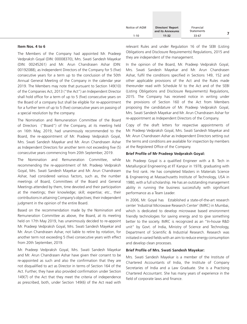| Notice of AGM | <b>Directors' Report</b><br>and its Annexures | Financial<br>Statements |  |
|---------------|-----------------------------------------------|-------------------------|--|
| $1 - 10$      | $11 - 32$                                     | $33 - 67$               |  |
|               |                                               |                         |  |

#### **Item Nos. 4 to 6**

The Members of the Company had appointed Mr. Pradeep Vedpraksh Goyal (DIN: 00008370), Mrs. Swati Sandesh Mayekar (DIN: 00245261) and Mr. Arun Chandrasen Ashar (DIN: 00192088), as Independent Directors of the Company for 5 (five) consecutive years for a term up to the conclusion of the 50th Annual General Meeting of the Company in the calendar year 2019. The Members may note that pursuant to Section 149(10) of the Companies Act, 2013 ("the Act") an Independent Director shall hold office for a term of up to 5 (five) consecutive years on the Board of a company but shall be eligible for re-appointment for a further term of up to 5 (five) consecutive years on passing of a special resolution by the company.

The Nomination and Remuneration Committee of the Board of Directors ("Board") of the Company, at its meeting held on 16th May, 2019, had unanimously recommended to the Board, the re-appointment of Mr. Pradeep Vedpraksh Goyal, Mrs. Swati Sandesh Mayekar and Mr. Arun Chandrasen Ashar as Independent Directors for another term not exceeding five (5) consecutive years commencing from 20th September, 2019.

The Nomination and Remuneration Committee, while recommending the re-appointment of Mr. Pradeep Vedpraksh Goyal, Mrs. Swati Sandesh Mayekar and Mr. Arun Chandrasen Ashar, had considered various factors, such as, the number meetings of Board, Committees of the Board and General Meetings attended by them, time devoted and their participation at the meetings; their knowledge; skill; expertise; etc., their contributions in attaining Company's objectives; their independent judgment in the opinion of the entire Board.

Based on the recommendation made by the Nomination and Remuneration Committee as above, the Board, at its meeting held on 17th May 2019, has unanimously decided to re-appoint Mr. Pradeep Vedpraksh Goyal, Mrs. Swati Sandesh Mayekar and Mr. Arun Chandrasen Ashar, not liable to retire by rotation, for another term not exceeding 5 (five) consecutive years with effect from 20th September, 2019.

Mr. Pradeep Vedpraksh Goyal, Mrs. Swati Sandesh Mayekar and Mr. Arun Chandrasen Ashar have given their consent to be re-appointed as such and also the confirmation that they are not disqualified to act as Director in terms of Section 164 of the Act. Further, they have also provided confirmation under Section 149(7) of the Act that they meet the criteria of independence as prescribed, both, under Section 149(6) of the Act read with

relevant Rules and under Regulation 16 of the SEBI (Listing Obligations and Disclosure Requirements) Regulations, 2015 and they are independent of the management.

In the opinion of the Board, Mr. Pradeep Vedpraksh Goyal, Mrs. Swati Sandesh Mayekar and Mr. Arun Chandrasen Ashar, fulfil the conditions specified in Sections 149, 152 and other applicable provisions of the Act and the Rules made thereunder read with Schedule IV to the Act and of the SEBI (Listing Obligations and Disclosure Requirements) Regulations, 2015. The Company has received notice in writing under the provisions of Section 160 of the Act from Members proposing the candidature of Mr. Pradeep Vedpraksh Goyal, Mrs. Swati Sandesh Mayekar and Mr. Arun Chandrasen Ashar for re-appointment as Independent Directors of the Company.

Copy of the draft letters for respective appointments of Mr. Pradeep Vedpraksh Goyal, Mrs. Swati Sandesh Mayekar and Mr. Arun Chandrasen Ashar as Independent Directors setting out the terms and conditions are available for inspection by members at the Registered Office of the Company.

#### **Brief Profile of Mr Pradeep Vedpraksh Goyal:**

Mr. Pradeep Goyal is a qualified Engineer with a B. Tech in Metallurgical Engineering at IIT Kanpur in 1978, graduating with the first rank. He has completed Masters in Materials Science & Engineering at Massachusetts Institute of Technology, USA in 1980, with a full scholarship. He has an outstanding management ability in running the business successfully with significant performance as a Team Leader.

In 2006, Mr. Goyal has Established a state-of-the-art research center 'Industrial Microwave Research Center' (IMRC) in Mumbai, which is dedicated to develop microwave based environment friendly technologies for saving energy and to give something better to the society. IMRC is recognized as an "In-house R&D unit" by Govt. of India, Ministry of Science and Technology, Department of Scientific & Industrial Research. Research was initiated in varied fields with an aim to reduce energy consumption and develop clean processes.

#### **Brief Profile of Mrs. Swati Sandesh Mayekar:**

Mrs. Swati Sandesh Mayekar is a member of the Institute of Chartered Accountants of India, the Institute of Company Secretaries of India and a Law Graduate. She is a Practising Chartered Accountant. She has many years of experience in the field of corporate laws and finance.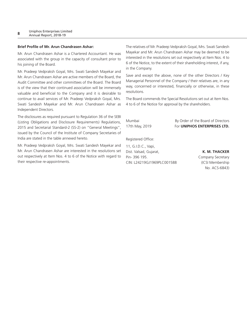#### **Brief Profile of Mr. Arun Chandrasen Ashar:**

Mr. Arun Chandrasen Ashar is a Chartered Accountant. He was associated with the group in the capacity of consultant prior to his joining of the Board.

Mr. Pradeep Vedpraksh Goyal, Mrs. Swati Sandesh Mayekar and Mr. Arun Chandrasen Ashar are active members of the Board, the Audit Committee and other committees of the Board. The Board is of the view that their continued association will be immensely valuable and beneficial to the Company and it is desirable to continue to avail services of Mr. Pradeep Vedpraksh Goyal, Mrs. Swati Sandesh Mayekar and Mr. Arun Chandrasen Ashar as Independent Directors.

The disclosures as required pursuant to Regulation 36 of the SEBI (Listing Obligations and Disclosure Requirements) Regulations, 2015 and Secretarial Standard-2 (SS-2) on "General Meetings", issued by the Council of the Institute of Company Secretaries of India are stated in the table annexed hereto.

Mr. Pradeep Vedpraksh Goyal, Mrs. Swati Sandesh Mayekar and Mr. Arun Chandrasen Ashar are interested in the resolutions set out respectively at Item Nos. 4 to 6 of the Notice with regard to their respective re-appointments.

The relatives of Mr. Pradeep Vedpraksh Goyal, Mrs. Swati Sandesh Mayekar and Mr. Arun Chandrasen Ashar may be deemed to be interested in the resolutions set out respectively at Item Nos. 4 to 6 of the Notice, to the extent of their shareholding interest, if any, in the Company.

Save and except the above, none of the other Directors / Key Managerial Personnel of the Company / their relatives are, in any way, concerned or interested, financially or otherwise, in these resolutions.

The Board commends the Special Resolutions set out at Item Nos. 4 to 6 of the Notice for approval by the shareholders.

Mumbai By Order of the Board of Directors 17th May, 2019 For **UNIPHOS ENTERPRISES LTD.**

Registered Office:

11, G.I.D.C., Vapi, Dist. Valsad, Gujarat, **K. M. THACKER** Pin- 396 195. Company Secretary CIN: L24219GJ1969PLC001588 (ICSI Membership

No. ACS-6843)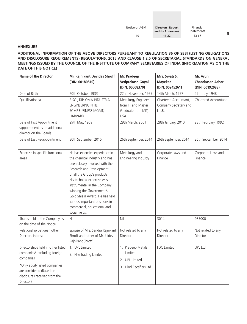| Notice of AGM | <b>Directors' Report</b><br>and its Annexures | Financial<br>Statements |  |
|---------------|-----------------------------------------------|-------------------------|--|
| $1 - 10$      | $11 - 32$                                     | 33-67                   |  |

#### **ANNEXURE**

#### **ADDITIONAL INFORMATION OF THE ABOVE DIRECTORS PURSUANT TO REGULATION 36 OF SEBI (LISTING OBLIGATIONS AND DISCLOSURE REQUIREMENTS) REGULATIONS, 2015 AND CLAUSE 1.2.5 OF SECRETARIAL STANDARDS ON GENERAL MEETINGS ISSUED BY THE COUNCIL OF THE INSTITUTE OF COMPANY SECRETARIES OF INDIA (INFORMATION AS ON THE DATE OF THIS NOTICE)**

| <b>Name of the Director</b>                                                                                                                                                                | Mr. Rajnikant Devidas Shroff<br>(DIN: 00180810)                                                                                                                                                                                                                                                                                                                              | Mr. Pradeep<br>Vedprakash Goyal<br>(DIN: 00008370)                        | Mrs. Swati S.<br><b>Mayekar</b><br>(DIN: 00245261)       | Mr. Arun<br><b>Chandrasen Ashar</b><br>(DIN: 00192088) |
|--------------------------------------------------------------------------------------------------------------------------------------------------------------------------------------------|------------------------------------------------------------------------------------------------------------------------------------------------------------------------------------------------------------------------------------------------------------------------------------------------------------------------------------------------------------------------------|---------------------------------------------------------------------------|----------------------------------------------------------|--------------------------------------------------------|
| Date of Birth                                                                                                                                                                              | 20th October, 1933                                                                                                                                                                                                                                                                                                                                                           | 22nd November, 1955                                                       | 14th March, 1957                                         | 29th July, 1948                                        |
| Qualification(s)                                                                                                                                                                           | <b>B.SC., DIPLOMA-INDUSTRIAL</b><br>ENGINEERING, NITIE,<br>SCMP, BUSINESS MGMT,<br><b>HARVARD</b>                                                                                                                                                                                                                                                                            | Metallurgy Engineer<br>from IIT and Master<br>Graduate from MIT,<br>USA.  | Chartered Accountant,<br>Company Secretary and<br>L.L.B. | Chartered Accountant                                   |
| Date of First Appointment<br>(appointment as an additional<br>director on the Board)                                                                                                       | 29th May, 1969                                                                                                                                                                                                                                                                                                                                                               | 29th March, 2001                                                          | 28th January, 2010                                       | 28th February, 1992                                    |
| Date of Last Re-appointment                                                                                                                                                                | 30th September, 2015                                                                                                                                                                                                                                                                                                                                                         | 26th September, 2014                                                      | 26th September, 2014                                     | 26th September, 2014                                   |
| Expertise in specific functional<br>areas                                                                                                                                                  | He has extensive experience in<br>the chemical industry and has<br>been closely involved with the<br>Research and Development<br>of all the Group's products.<br>His technical expertise was<br>instrumental in the Company<br>winning the Government's<br>Gold Shield Award. He has held<br>various important positions in<br>commercial, educational and<br>social fields. | Metallurgy and<br>Engineering Industry                                    | Corporate Laws and<br>Finance                            | Corporate Laws and<br>Finance                          |
| Shares held in the Company as<br>on the date of the Notice                                                                                                                                 | Nil                                                                                                                                                                                                                                                                                                                                                                          | Nil                                                                       | 3014                                                     | 985000                                                 |
| Relationship between other<br>Directors inter-se                                                                                                                                           | Spouse of Mrs. Sandra Rajnikant<br>Shroff and father of Mr. Jaidev<br>Rajnikant Shroff                                                                                                                                                                                                                                                                                       | Not related to any<br>Director                                            | Not related to any<br>Director                           | Not related to any<br>Director                         |
| Directorships held in other listed<br>companies* excluding foreign<br>companies<br>*Only equity listed companies<br>are considered (Based on<br>disclosures received from the<br>Director) | 1. UPL Limited<br>2. Nivi Trading Limited                                                                                                                                                                                                                                                                                                                                    | 1. Pradeep Metals<br>Limited<br>2. UPL Limited<br>3. Hind Rectifiers Ltd. | FDC Limited                                              | UPL Ltd.                                               |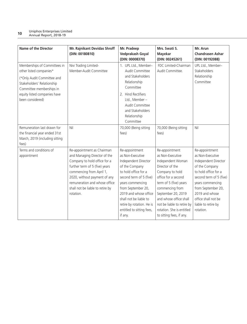| <b>Name of the Director</b>                                                                                                                                                                         | Mr. Rajnikant Devidas Shroff<br>(DIN: 00180810)                                                                                                                                                                                                                            | Mr. Pradeep<br>Vedprakash Goyal<br>(DIN: 00008370)                                                                                                                                                                                                                                                | Mrs. Swati S.<br><b>Mayekar</b><br>(DIN: 00245261)                                                                                                                                                                                                                                                       | Mr. Arun<br><b>Chandrasen Ashar</b><br>(DIN: 00192088)                                                                                                                                                                                                 |
|-----------------------------------------------------------------------------------------------------------------------------------------------------------------------------------------------------|----------------------------------------------------------------------------------------------------------------------------------------------------------------------------------------------------------------------------------------------------------------------------|---------------------------------------------------------------------------------------------------------------------------------------------------------------------------------------------------------------------------------------------------------------------------------------------------|----------------------------------------------------------------------------------------------------------------------------------------------------------------------------------------------------------------------------------------------------------------------------------------------------------|--------------------------------------------------------------------------------------------------------------------------------------------------------------------------------------------------------------------------------------------------------|
| Memberships of Committees in<br>other listed companies*<br>(*Only Audit Committee and<br>Stakeholders' Relationship<br>Committee memberships in<br>equity listed companies have<br>been considered) | Nivi Trading Limited-<br>Member-Audit Committee                                                                                                                                                                                                                            | 1. UPL Ltd., Member-<br>Audit Committee<br>and Stakeholders<br>Relationship<br>Committee<br>2. Hind Rectifiers<br>Ltd., Member-<br>Audit Committee<br>and Stakeholders<br>Relationship<br>Committee                                                                                               | FDC Limited-Chairman<br>Audit Committee.                                                                                                                                                                                                                                                                 | UPL Ltd., Member-<br>Stakeholders<br>Relationship<br>Committee                                                                                                                                                                                         |
| Remuneration last drawn for<br>the financial year ended 31st<br>March, 2019 (including sitting<br>fees)                                                                                             | Nil                                                                                                                                                                                                                                                                        | 70,000 (Being sitting<br>fees)                                                                                                                                                                                                                                                                    | 70,000 (Being sitting<br>fees)                                                                                                                                                                                                                                                                           | Nil                                                                                                                                                                                                                                                    |
| Terms and conditions of<br>appointment                                                                                                                                                              | Re-appointment as Chairman<br>and Managing Director of the<br>Company to hold office for a<br>further term of 5 (five) years<br>commencing from April 1,<br>2020, without payment of any<br>remuneration and whose office<br>shall not be liable to retire by<br>rotation. | Re-appointment<br>as Non-Executive<br>Independent Director<br>of the Company<br>to hold office for a<br>second term of 5 (five)<br>years commencing<br>from September 20,<br>2019 and whose office<br>shall not be liable to<br>retire by rotation. He is<br>entitled to sitting fees,<br>if any. | Re-appointment<br>as Non-Executive<br>Independent Woman<br>Director of the<br>Company to hold<br>office for a second<br>term of 5 (five) years<br>commencing from<br>September 20, 2019<br>and whose office shall<br>not be liable to retire by<br>rotation. She is entitled<br>to sitting fees, if any. | Re-appointment<br>as Non-Executive<br>Independent Director<br>of the Company<br>to hold office for a<br>second term of 5 (five)<br>years commencing<br>from September 20,<br>2019 and whose<br>office shall not be<br>liable to retire by<br>rotation. |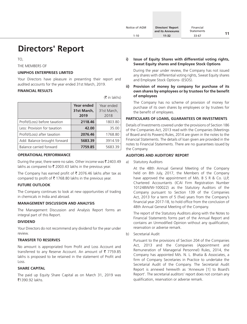| Notice of AGM | <b>Directors' Report</b><br>and its Annexures | Financial<br><b>Statements</b> |    |
|---------------|-----------------------------------------------|--------------------------------|----|
| $1 - 10$      | $11-32$                                       | 33-67                          | 11 |

### **Directors' Report**

TO,

THE MEMBERS OF

#### **UNIPHOS ENTERPRISES LIMITED**

Your Directors have pleasure in presenting their report and audited accounts for the year ended 31st March, 2019.

#### **FINANCIAL RESULTS**

|                               |                                   | $(\xi$ in lakhs)                  |
|-------------------------------|-----------------------------------|-----------------------------------|
|                               | Year ended<br>31st March,<br>2019 | Year ended<br>31st March,<br>2018 |
| Profit/(Loss) before taxation | 2118.46                           | 1803.80                           |
| Less: Provision for taxation  | 42.00                             | 35.00                             |
| Profit/(Loss) after taxation  | 2076.46                           | 1768.80                           |
| Add: Balance brought forward  | 5683.39                           | 3914.59                           |
| Balance carried forward       | 7759.85                           | 5683.39                           |

#### **OPERATIONAL PERFORMANCE**

During the year, there were no sales. Other income was  $\bar{\tau}$  2403.49 lakhs as compared to  $\bar{\tau}$  2003.43 lakhs in the previous year.

The Company has earned profit of  $\bar{\tau}$  2076.46 lakhs after tax as compared to profit of  $\bar{\tau}$  1768.80 lakhs in the previous year.

#### **FUTURE OUTLOOK**

The Company continues to look at new opportunities of trading in chemicals in India and abroad.

#### **MANAGEMENT DISCUSSION AND ANALYSIS**

The Management Discussion and Analysis Report forms an integral part of this Report.

#### **DIVIDEND**

Your Directors do not recommend any dividend for the year under review.

#### **TRANSFER TO RESERVES**

No amount is appropriated from Profit and Loss Account and transferred to any Reserve Account. An amount of  $\bar{\tau}$  7759.85 lakhs is proposed to be retained in the statement of Profit and Loss.

#### **SHARE CAPITAL**

The paid up Equity Share Capital as on March 31, 2019 was ₹1390.92 lakhs.

#### **i) Issue of Equity Shares with differential voting rights, Sweat Equity shares and Employee Stock Options**

During the year under review, the Company has not issued any shares with differential voting rights, Sweat Equity shares and Employee Stock Options- (ESOS).

**ii) Provision of money by company for purchase of its own shares by employees or by trustees for the benefit of employees**

The Company has no scheme of provision of money for purchase of its own shares by employees or by trustees for the benefit of employees.

#### **PARTICULARS OF LOANS, GUARANTEES OR INVESTMENTS**

Details of Investments covered under the provisions of Section 186 of the Companies Act, 2013 read with the Companies (Meetings of Board and its Powers) Rules, 2014 are given in the notes to the Financial Statements. The details of loan given are provided in the notes to Financial Statements. There are no guarantees issued by the Company.

#### **AUDITORS AND AUDITORS' REPORT**

a) Statutory Auditors

At the 48th Annual General Meeting of the Company held on 8th July, 2017, the Members of the Company have approved the appointment of M/s. B S R & Co. LLP, Chartered Accountants (ICAI Firm Registration Number 101248W/W-100022) as the Statutory Auditors of the Company pursuant to Section 139 of the Companies Act, 2013 for a term of 5 (five) years from the Company's financial year 2017-18, to hold office from the conclusion of 48th Annual General Meeting of the Company.

The report of the Statutory Auditors along with the Notes to Financial Statements forms part of the Annual Report and contains an Unmodified Opinion without any qualification, reservation or adverse remark.

b) Secretarial Audit

Pursuant to the provisions of Section 204 of the Companies Act, 2013 and the Companies (Appointment and Remuneration of Managerial Personnel) Rules, 2014, the Company has appointed M/s. N. L. Bhatia & Associates, a firm of Company Secretaries in Practice to undertake the Secretarial Audit of the Company. The Secretarial Audit Report is annexed herewith as 'Annexure [1] to Board's Report'. The secretarial auditors' report does not contain any qualification, reservation or adverse remark.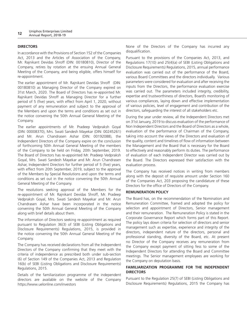#### **DIRECTORS**

In accordance with the Provisions of Section 152 of the Companies Act, 2013 and the Articles of Association of the Company, Mr. Rajnikant Devidas Shroff (DIN: 00180810), Director of the Company, retires by rotation at the ensuing Annual General Meeting of the Company, and being eligible, offers himself for re-appointment.

The earlier appointment of Mr. Rajnikant Devidas Shroff (DIN: 00180810) as Managing Director of the Company expired on 31st March, 2020. The Board of Directors has re-appointed Mr. Rajnikant Devidas Shroff as Managing Director for a further period of 5 (five) years, with effect from April 1, 2020, without payment of any remuneration and subject to the approval of the Members and upon the terms and conditions as set out in the notice convening the 50th Annual General Meeting of the Company.

The earlier appointments of Mr. Pradeep Vedpraksh Goyal (DIN: 00008370), Mrs. Swati Sandesh Mayekar (DIN: 00245261) and Mr. Arun Chandrasen Ashar (DIN: 00192088), the Independent Directors of the Company expire on the conclusion of forthcoming 50th Annual General Meeting of the members of the Company to be held on Friday, 20th September, 2019. The Board of Directors has re-appointed Mr. Pradeep Vedpraksh Goyal, Mrs. Swati Sandesh Mayekar and Mr. Arun Chandrasen Ashar, Independent Directors for further period of 5 (five) years, with effect from 20th September, 2019, subject to the approval of the Members by Special Resolutions and upon the terms and conditions as set out in the notice convening the 50th Annual General Meeting of the Company.

The resolutions seeking approval of the Members for the re-appointment of Mr. Rajnikant Devidas Shroff, Mr. Pradeep Vedpraksh Goyal, Mrs. Swati Sandesh Mayekar and Mr. Arun Chandrasen Ashar have been incorporated in the notice convening the 50th Annual General Meeting of the Company along with brief details about them.

The information of Directors seeking re-appointment as required pursuant to Regulation 36(3) of SEBI (Listing Obligations and Disclosure Requirements) Regulations, 2015, is provided in the notice convening the 50th Annual General Meeting of the Company.

The Company has received declarations from all the Independent Directors of the Company confirming that they meet with the criteria of independence as prescribed both under sub-section (6) of Section 149 of the Companies Act, 2013 and Regulation 16(b) of SEBI (Listing Obligations and Disclosure Requirements) Regulations, 2015.

Details of the familiarization programme of the independent directors are available on the website of the Company https://www.uelonline.com/investors

None of the Directors of the Company has incurred any disqualification.

Pursuant to the provisions of the Companies Act, 2013, and Regulations 17(10) and 25(4)(a) of SEBI (Listing Obligations and Disclosure Requirements) Regulations, 2015, annual performance evaluation was carried out of the performance of the Board, various Board Committees and the directors individually. Various parameters were considered for evaluation and after receiving the inputs from the Directors, the performance evaluation exercise was carried out. The parameters included integrity, credibility, expertise and trustworthiness of directors, Board's monitoring of various compliances, laying down and effective implementation of various policies, level of engagement and contribution of the directors, safeguarding the interest of all stakeholders etc.

During the year under review, all the Independent Directors met on 31st January, 2019 to discuss evaluation of the performance of Non Independent Directors and the Board of Directors as a whole, evaluation of the performance of Chairman of the Company, taking into account the views of the Directors and evaluation of the quality, content and timelines of flow of information between the Management and the Board that is necessary for the Board to effectively and reasonably perform its duties. The performance of evaluation of each Independent Director was carried out by the Board. The Directors expressed their satisfaction with the evaluation process.

The Company has received notices in writing from members along with the deposit of requisite amount under Section 160 of the Companies Act, 203 proposing the candidature of these Directors for the office of Directors of the Company.

#### **REMUNERATION POLICY**

The Board has, on the recommendation of the Nomination and Remuneration Committee, framed and adopted the policy for selection and appointment of Directors, Senior management and their remuneration. The Remuneration Policy is stated in the Corporate Governance Report which forms part of this Report. The policy lays down criteria for selection of directors and senior management such as expertise, experience and integrity of the directors, independent nature of the directors, personal and professional standing, diversity of the Board, etc. At present no Director of the Company receives any remuneration from the Company except payment of sitting fess to some of the Independent Directors for attending the Board and Committee meetings. The Senior management employees are working for the Company on deputation basis.

#### **FAMILIARIZATION PROGRAMME FOR THE INDEPENDENT DIRECTORS**

Pursuant to the Regulation 25(7) of SEBI (Listing Obligations and Disclosure Requirements) Regulations, 2015 the Company has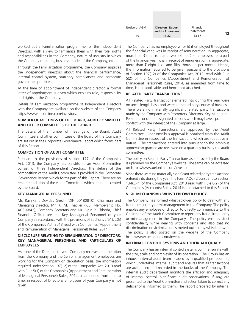| Notice of AGM | <b>Directors' Report</b><br>and its Annexures | Financial<br>Statements |    |
|---------------|-----------------------------------------------|-------------------------|----|
| $1 - 10$      | $11 - 32$                                     | 33-67                   | 13 |
|               |                                               |                         |    |

worked out a Familiarization programme for the Independent Directors, with a view to familiarize them with their role, rights and responsibilities in the Company, nature of Industry in which the Company operates, business model of the Company, etc.

Through the Familiarization programme, the Company apprises the independent directors about the financial performance, internal control system, statutory compliances and corporate governance practices.

At the time of appointment of independent director, a formal letter of appointment is given which explains role, responsibility and rights in the Company.

Details of Familiarization programme of Independent Directors with the Company are available on the website of the Company https://www.uelonline.com/investors.

#### **NUMBER OF MEETINGS OF THE BOARD, AUDIT COMMITTEE AND OTHER COMMITTEES OF THE BOARD**

The details of the number of meetings of the Board, Audit Committee and other committees of the Board of the Company are set out in the Corporate Governance Report which forms part of this Report.

#### **COMPOSITION OF AUDIT COMMITTEE**

Pursuant to the provisions of section 177 of the Companies Act, 2013, the Company has constituted an Audit Committee consist of three Independent Directors. The details of the composition of the Audit Committee is provided in the Corporate Governance Report which forms part of this Report. There are no recommendation of the Audit Committee which are not accepted by the Board.

#### **KEY MANAGERIAL PERSONNEL**

Mr. Rajnikant Devidas Shroff (DIN 00180810), Chairman and Managing Director, Mr. K. M. Thacker (ICSI Membership No. ACS 6843), Company Secretary and Mr. Bipin P. Chheda, Chief Financial Officer are the Key Managerial Personnel of your Company in accordance with the provisions of Sections 2(51), 203 of the Companies Act, 2013 read with Companies (Appointment and Remuneration of Managerial Personnel) Rules, 2014.

#### **DISCLOSURE RELATING TO REMUNERATION OF DIRECTORS, KEY MANAGERIAL PERSONNEL AND PARTICULARS OF EMPLOYEES**

As none of the Directors of your Company receives remuneration from the Company and the Senior management employees are working for the Company on deputation basis, the information required under Section 197(12) of the Companies Act, 2013 read with Rule 5(1) of the Companies (Appointment and Remuneration of Managerial Personnel) Rules, 2014, as amended from time to time, in respect of Directors/ employees of your Company is not given.

The Company has no employee who- (i) if employed throughout the financial year, was in receipt of remuneration, in aggregate, more than  $\bar{\tau}$  one crore and two lakh, or (ii) if employed for a part of the financial year, was in receipt of remuneration, in aggregate, more than  $\bar{\tau}$  eight lakh and fifty thousand per month. Hence, the information required to be given pursuant to the provisions of Section 197(12) of the Companies Act, 2013, read with Rule 5(2) of the Companies (Appointment and Remuneration of Managerial Personnel) Rules, 2014, as amended from time to time, is not applicable and hence not attached.

#### **RELATED PARTY TRANSACTIONS**

All Related Party Transactions entered into during the year were on arm's length basis and were in the ordinary course of business. There were no materially significant related party transactions made by the Company with Promoters, Directors, Key Managerial Personnel or other designated persons which may have a potential conflict with the interest of the Company at large.

All Related Party Transactions are approved by the Audit Committee. Prior omnibus approval is obtained from the Audit Committee in respect of the transactions which are repetitive in nature. The transactions entered into pursuant to the omnibus approval so granted are reviewed on a quarterly basis by the audit committee.

The policy on Related Party Transactions as approved by the Board is uploaded on the Company's website. The same can be accessed on https://www.uelonline.com/investors

Since there were no materially significant related party transactions entered into during the year, the Form AOC- 2 pursuant to Section 134(3)(h) of the Companies Act, 2013 read with Rule 8(2) of the Companies (Accounts) Rules, 2014 is not attached to this Report.

#### **VIGIL MECHANISM / WHISTLEBLOWER POLICY**

The Company has formed whistleblower policy to deal with any fraud, irregularity or mismanagement in the Company. The policy enables any employee or director to directly communicate to the Chairman of the Audit Committee to report any fraud, irregularity or mismanagement in the Company. The policy ensures strict confidentiality while dealing with concerns and also that no discrimination or victimization is meted out to any whistleblower. The policy is also posted on the website of the Company https://www.uelonline.com/investors

#### **INTERNAL CONTROL SYSTEMS AND THEIR ADEQUACY**

The Company has an internal control system, commensurate with the size, scale and complexity of its operation. The Group has an inhouse internal audit team headed by a qualified professional, which undertakes internal audit and ensures that all transactions are authorized and recorded in the books of the Company. The internal audit department monitors the efficacy and adequacy of internal control. Significant audit observations, if any, are presented to the Audit Committee and action taken to correct any deficiency is informed to them. The report prepared by internal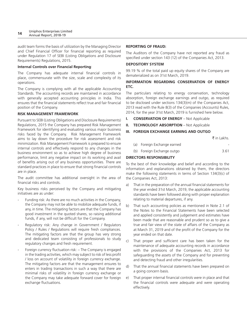audit team forms the basis of utilization by the Managing Director and Chief Financial Officer for financial reporting as required under Regulation 17 of SEBI (Listing Obligations and Disclosure Requirements) Regulations, 2015.

#### **Internal Controls over Financial Reporting**:

The Company has adequate internal financial controls in place, commensurate with the size, scale and complexity of its operations.

The Company is complying with all the applicable Accounting Standards. The accounting records are maintained in accordance with generally accepted accounting principles in India. This ensures that the financial statements reflect true and fair financial position of the Company.

#### **RISK MANAGEMENT FRAMEWORK**

Pursuant to SEBI (Listing Obligations and Disclosure Requirements) Regulations, 2015 the Company has prepared Risk Management Framework for identifying and evaluating various major business risks faced by the Company. Risk Management Framework aims to lay down the procedure for risk assessment and risk minimization. Risk Management Framework is prepared to ensure internal controls and effectively respond to any changes in the business environment so as to achieve high degree of business performance, limit any negative impact on its working and avail of benefits arising out of any business opportunities. There are standard practices in place to ensure that strong financial controls are in place.

The audit committee has additional oversight in the area of financial risks and controls.

Key business risks perceived by the Company and mitigating initiatives are as under:

- Funding risk: As there are no much activities in the Company, the Company may not be able to mobilize adequate funds, if any, in time. The mitigating factors are that the Company has good investment in the quoted shares, so raising additional funds, if any, will not be difficult for the Company.
- Regulatory risk: Any change in Government / Regulators Policy / Rules / Regulations will require fresh compliances. The mitigating factors are that the group has very strong and dedicated team consisting of professionals to study regulatory changes and fresh requirement.
- Foreign currency fluctuation risk: The Company is engaged in the trading activities, which may subject to risk of less profit / loss on account of volatility in foreign currency exchange. The mitigating factors are that the management ensures to enters in trading transactions in such a way that there are minimal risks of volatility in foreign currency exchange or the Company may take adequate forward cover for foreign exchange fluctuations.

#### **REPORTING OF FRAUD:**

The Auditors of the Company have not reported any fraud as specified under section 143 (12) of the Companies Act, 2013.

#### **DEPOSITORY SYSTEM**

99.19 % of the total paid up equity shares of the Company are dematerialized as on 31st March, 2019.

#### **INFORMATION REGARDING CONSERVATION OF ENERGY ETC.**

The particulars relating to energy conservation, technology absorption, foreign exchange earnings and outgo, as required to be disclosed under sections 134(3)(m) of the Companies Act, 2013 read with the Rule 8(3) of the Companies (Accounts) Rules, 2014, for the year 31st March, 2019 is furnished here below.

- **I. CONSERVATION OF ENERGY** Not Applicable
- **II. TECHNOLOGY ABSORPTION Not Applicable**

#### **III. FOREIGN EXCHANGE EARNING AND OUTGO**

| (a) Foreign Exchange earned |      |
|-----------------------------|------|
| (b) Foreign Exchange outgo  | 3.61 |

 $\bar{\bar{\tau}}$  in Lakhs.

#### **DIRECTORS RESPONSIBILITY**

To the best of their knowledge and belief and according to the information and explanations obtained by them, the directors make the following statements in terms of Section 134(3)(c) of the Companies Act, 2013:

- a) That in the preparation of the annual financial statements for the year ended 31st March, 2019, the applicable accounting standards have been followed along with proper explanation relating to material departures, if any.
- b) That such accounting policies as mentioned in Note 2.1 of the Notes to the Financial Statements have been selected and applied consistently and judgement and estimates have been made that are reasonable and prudent so as to give a true and fair view of the state of affairs of the Company as at March 31, 2019 and of the profit of the Company for the year ended on that date.
- c) That proper and sufficient care has been taken for the maintenance of adequate accounting records in accordance with the provisions of the Companies Act, 2013 for safeguarding the assets of the Company and for preventing and detecting fraud and other irregularities.
- d) That the annual financial statements have been prepared on a going concern basis.
- e) That proper internal financial controls were in place and that the financial controls were adequate and were operating effectively.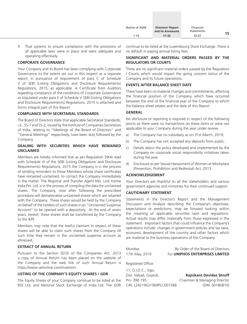| Notice of AGM | <b>Directors' Report</b><br>and its Annexures | Financial<br><b>Statements</b> |    |
|---------------|-----------------------------------------------|--------------------------------|----|
| $1 - 10$      | $11 - 32$                                     | 33-67                          | 15 |

f) That systems to ensure compliance with the provisions of all applicable laws were in place and were adequate and operating effectively.

#### **CORPORATE GOVERNANCE**

Your Company and its Board has been complying with Corporate Governance to the extent set out in this respect as a separate report, in pursuance of requirement of para C of Schedule V of SEBI (Listing Obligations and Disclosure Requirements) Regulations, 2015, as applicable. A Certificate from Auditors regarding compliance of the conditions of Corporate Governance as stipulated under para E of Schedule V SEBI (Listing Obligations and Disclosure Requirements) Regulations, 2015 is attached and forms integral part of this Report.

#### **COMPLIANCE WITH SECRETARIAL STANDARDS**

The Board of Directors state that applicable Secretarial Standards, i.e., SS-1 and SS-2, issued by the Institute of Companies Secretaries of India, relating to "Meetings of the Board of Directors" and "General Meetings" respectively, have been duly followed by the Company.

#### **DEALING WITH SECURITIES WHICH HAVE REMAINED UNCLAIMED**

Members are hereby informed that as per Regulation 39(4) read with Schedule VI of the SEBI (Listing Obligations and Disclosure Requirements) Regulations, 2015 the Company is in the process of sending reminders to those Members whose share certificates have remained unclaimed, to contact the Company immediately in the matter. The Registrar and Transfer Agent M/s. Link Intime India Pvt. Ltd. is in the process of compiling the data for unclaimed shares. The Company, now after following the prescribed procedure will dematerialize unclaimed shares which are retained with the Company. These shares would be held by the Company on behalf of the holders of such shares in an "Unclaimed Suspense Account" to be opened with a depository. At the end of seven years, hereof, these shares shall be transferred by the Company to the IEPF.

Members may note that the lawful claimant in respect of these shares will be able to claim such shares from the Company till such time they remain in the unclaimed suspense account as aforesaid.

#### **EXTRACT OF ANNUAL RETURN**

Pursuant to the Section 92(3) of the Companies Act, 2013 a copy of Annual Return has been placed on the website of the Company and the web link of such Annual Return is https://www.uelonline.com/investors.

#### **LISTING OF THE COMPANY'S EQUITY SHARES / GDR**

The Equity Shares of your Company continue to be listed at the BSE Ltd. and National Stock Exchange of India Ltd. The GDR continue to be listed at the Luxembourg Stock Exchange. There is no default in paying annual listing fees.

#### **SIGNIFICANT AND MATERIAL ORDERS PASSED BY THE REGULATORS OR COURTS**

There are no significant material orders passed by the Regulators / Courts which would impact the going concern status of the Company and its future operations.

#### **EVENTS AFTER BALANCE SHEET DATE**

There have been no material changes and commitments, affecting the financial position of the Company, which have occurred between the end of the financial year of the Company to which the balance sheet relates and the date of this Report.

#### **GENERAL**

No disclosure or reporting is required in respect of the following points as there were no transactions on these items or were not applicable to your Company during the year under review.

- a) The Company has no subsidiary as on 31st March, 2019;
- b) The Company has not accepted any deposits from public.
- c) Details about the policy developed and implemented by the Company on corporate social responsibility initiatives taken during the year.
- d) Disclosure as per Sexual Harassment of Women at Workplace (Prevention, Prohibition and Redressal) Act, 2013

#### **ACKNOWLEDGEMENT**

Your Directors are thankful to all the stakeholders and various government agencies and ministries for their continued support.

#### **CAUTIONARY STATEMENT**

Statements in the Director's Report and the Management Discussion and Analysis describing the Company's objectives, expectations or predictions, may be forward looking within the meaning of applicable securities laws and regulations. Actual results may differ materially from those expressed in the statement. Important factors that could influence the Company's operations include: changes in government policies and tax laws, economic development of the country and other factors which are material to the business operations of the Company.

Mumbai By Order of the Board of Directors 17th May, 2019 For **UNIPHOS ENTERPRISES LIMITED**

Registered Office:

| 11, G.I.D.C., Vapi,        |                                 |
|----------------------------|---------------------------------|
| Dist. Valsad, Gujarat,     | <b>Rajnikant Devidas Shroff</b> |
| Pin-396 195.               | Chairman & Managing Director    |
| CIN: L24219GJ1969PLC001588 | (DIN: 00180810)                 |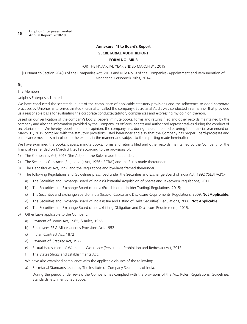#### **Annexure [1] to Board's Report**

#### **SECRETARIAL AUDIT REPORT**

#### **FORM NO. MR-3**

FOR THE FINANCIAL YEAR ENDED MARCH 31, 2019

[Pursuant to Section 204(1) of the Companies Act, 2013 and Rule No. 9 of the Companies (Appointment and Remuneration of Managerial Personnel) Rules, 2014]

To,

The Members,

Uniphos Enterprises Limited

We have conducted the secretarial audit of the compliance of applicable statutory provisions and the adherence to good corporate practices by Uniphos Enterprises Limited (hereinafter called the company). Secretarial Audit was conducted in a manner that provided us a reasonable basis for evaluating the corporate conducts/statutory compliances and expressing my opinion thereon.

Based on our verification of the company's books, papers, minute books, forms and returns filed and other records maintained by the company and also the information provided by the Company, its officers, agents and authorized representatives during the conduct of secretarial audit, We hereby report that in our opinion, the company has, during the audit period covering the financial year ended on March 31, 2019 complied with the statutory provisions listed hereunder and also that the Company has proper Board-processes and compliance mechanism in place to the extent, in the manner and subject to the reporting made hereinafter:

We have examined the books, papers, minute books, forms and returns filed and other records maintained by the Company for the financial year ended on March 31, 2019 according to the provisions of:

- 1) The Companies Act, 2013 (the Act) and the Rules made thereunder;
- 2) The Securities Contracts (Regulation) Act, 1956 ('SCRA') and the Rules made thereunder;
- 3) The Depositories Act, 1996 and the Regulations and bye-laws framed thereunder;
- 4) The following Regulations and Guidelines prescribed under the Securities and Exchange Board of India Act, 1992 ('SEBI Act'):
	- a) The Securities and Exchange Board of India (Substantial Acquisition of Shares and Takeovers) Regulations, 2011;
	- b) The Securities and Exchange Board of India (Prohibition of Insider Trading) Regulations, 2015;
	- c) The Securities and Exchange Board of India (Issue of Capital and Disclosure Requirements) Regulations, 2009, **Not Applicable**.
	- d) The Securities and Exchange Board of India (Issue and Listing of Debt Securities) Regulations, 2008, **Not Applicable**.
	- e) The Securities and Exchange Board of India (Listing Obligation and Disclosure Requirement), 2015.
- 5) Other Laws applicable to the Company;
	- a) Payment of Bonus Act, 1965, & Rules, 1965
	- b) Employees PF & Miscellaneous Provisions Act, 1952
	- c) Indian Contract Act, 1872
	- d) Payment of Gratuity Act, 1972
	- e) Sexual Harassment of Women at Workplace (Prevention, Prohibition and Redressal) Act, 2013
	- f) The States Shops and Establishments Act.

We have also examined compliance with the applicable clauses of the following:

a) Secretarial Standards issued by The Institute of Company Secretaries of India.

 During the period under review the Company has complied with the provisions of the Act, Rules, Regulations, Guidelines, Standards, etc. mentioned above.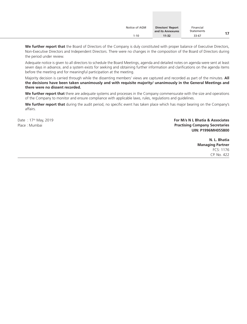| Notice of AGM | <b>Directors' Report</b><br>and its Annexures | Financial<br><b>Statements</b> | 47 |
|---------------|-----------------------------------------------|--------------------------------|----|
| 1-10          | $11 - 32$                                     | 33-67                          |    |

**We further report that** the Board of Directors of the Company is duly constituted with proper balance of Executive Directors, Non-Executive Directors and Independent Directors. There were no changes in the composition of the Board of Directors during the period under review.

Adequate notice is given to all directors to schedule the Board Meetings, agenda and detailed notes on agenda were sent at least seven days in advance, and a system exists for seeking and obtaining further information and clarifications on the agenda items before the meeting and for meaningful participation at the meeting.

Majority decision is carried through while the dissenting members' views are captured and recorded as part of the minutes. **All the decisions have been taken unanimously and with requisite majority/ unanimously in the General Meetings and there were no dissent recorded.**

**We further report that** there are adequate systems and processes in the Company commensurate with the size and operations of the Company to monitor and ensure compliance with applicable laws, rules, regulations and guidelines.

**We further report that** during the audit period, no specific event has taken place which has major bearing on the Company's affairs.

Date: 17th May, 2019 Place : Mumbai

**For M/s N L Bhatia & Associates Practising Company Secretaries UIN: P1996MH055800**

> **N. L. Bhatia Managing Partner** FCS: 1176 CP. No. 422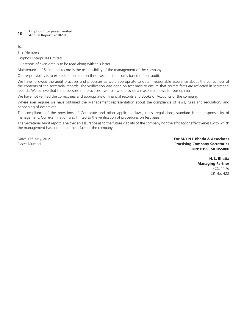#### To,

The Members

Uniphos Enterprises Limited

Our report of even date is to be read along with this letter.

Maintenance of Secretarial record is the responsibility of the management of the company.

Our responsibility is to express an opinion on these secretarial records based on our audit.

We have followed the audit practices and processes as were appropriate to obtain reasonable assurance about the correctness of the contents of the secretarial records. The verification was done on test basis to ensure that correct facts are reflected in secretarial records. We believe that the processes and practices , we followed provide a reasonable basis for our opinion

We have not verified the correctness and appropriate of financial records and Books of Accounts of the company.

Where ever require we have obtained the Management representation about the compliance of laws, rules and regulations and happening of events etc.

The compliance of the provisions of Corporate and other applicable laws, rules, regulations, standard is the responsibility of management. Our examination was limited to the verification of procedures on test basis.

The Secretarial Audit report is neither an assurance as to the future viability of the company nor the efficacy or effectiveness with which the management has conducted the affairs of the company.

Date: 17<sup>th</sup> May, 2019 Place: Mumbai

**For M/s N L Bhatia & Associates Practising Company Secretaries UIN: P1996MH055800**

> **N. L. Bhatia Managing Partner** FCS: 1176 CP. No. 422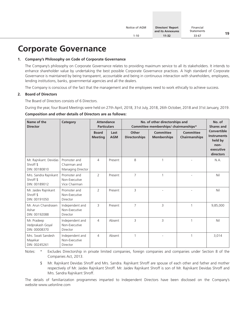| Notice of AGM | <b>Directors' Report</b><br>and its Annexures | Financial<br><b>Statements</b> |    |
|---------------|-----------------------------------------------|--------------------------------|----|
| $1 - 10$      | $11-32$                                       | 33-67                          | 19 |

### **Corporate Governance**

#### **1. Company's Philosophy on Code of Corporate Governance**

The Company's philosophy on Corporate Governance relates to providing maximum service to all its stakeholders. It intends to enhance shareholder value by undertaking the best possible Corporate Governance practices. A high standard of Corporate Governance is maintained by being transparent, accountable and being in continuous interaction with shareholders, employees, lending institutions, banks, governmental agencies and all the dealers.

The Company is conscious of the fact that the management and the employees need to work ethically to achieve success.

#### **2. Board of Directors**

The Board of Directors consists of 6 Directors.

During the year, four Board Meetings were held on 27th April, 2018, 31st July, 2018, 26th October, 2018 and 31st January, 2019.

| Name of the<br><b>Director</b>                       | Category                                          | <b>Attendance</b><br><b>Particulars</b> |                    | No. of other directorships and<br>Committee memberships/chairmanships* | No. of<br><b>Shares and</b>     |                                   |                                                                                |
|------------------------------------------------------|---------------------------------------------------|-----------------------------------------|--------------------|------------------------------------------------------------------------|---------------------------------|-----------------------------------|--------------------------------------------------------------------------------|
|                                                      |                                                   | <b>Board</b><br><b>Meeting</b>          | Last<br><b>AGM</b> | Other<br><b>Directorships</b>                                          | Committee<br><b>Memberships</b> | Committee<br><b>Chairmanships</b> | Convertible<br><b>Instruments</b><br>held by<br>non-<br>executive<br>directors |
| Mr. Rajnikant. Devidas<br>Shroff \$<br>DIN: 00180810 | Promoter and<br>Chairman and<br>Managing Director | 4                                       | Present            | 8                                                                      |                                 |                                   | N.A.                                                                           |
| Mrs. Sandra Rajnikant<br>Shroff \$<br>DIN: 00189012  | Promoter and<br>Non-Executive<br>Vice Chairman    | 2                                       | Present            | $\overline{7}$                                                         | $\mathbf{1}$                    |                                   | Nil                                                                            |
| Mr. Jaidev Rajnikant<br>Shroff \$<br>DIN: 00191050   | Promoter and<br>Non-Executive<br>Director         | 2                                       | Present            | 3                                                                      |                                 |                                   | Nil                                                                            |
| Mr. Arun Chandrasen<br>Ashar<br>DIN: 00192088        | Independent and<br>Non-Executive<br>Director      | 3                                       | Present            | $\overline{7}$                                                         | 3                               |                                   | 9,85,000                                                                       |
| Mr. Pradeep<br>Vedprakash Goval<br>DIN: 00008370     | Independent and<br>Non-Executive<br>Director      | $\overline{4}$                          | Absent             | 3                                                                      | 3                               |                                   | Nil                                                                            |
| Mrs. Swati Sandesh<br>Mayekar<br>DIN: 00245261       | Independent and<br>Non-Executive<br>Director      | $\overline{4}$                          | Absent             | 1                                                                      |                                 | 1                                 | 3,014                                                                          |

#### **Composition and other details of Directors are as follows:**

Notes: \* Excludes Directorship in private limited companies, foreign companies and companies under Section 8 of the Companies Act, 2013.

 \$ Mr. Rajnikant Devidas Shroff and Mrs. Sandra. Rajnikant Shroff are spouse of each other and father and mother respectively of Mr. Jaidev Rajnikant Shroff. Mr. Jaidev Rajnikant Shroff is son of Mr. Rajnikant Devidas Shroff and Mrs. Sandra Rajnikant Shroff.

The details of familiarization programmes imparted to Independent Directors have been disclosed on the Company's website www.uelonline.com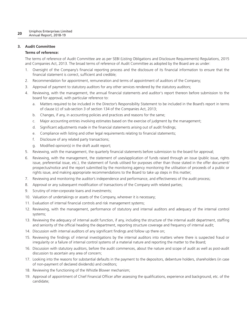#### **3. Audit Committee**

#### **Terms of reference:**

The terms of reference of Audit Committee are as per SEBI (Listing Obligations and Disclosure Requirements) Regulations, 2015 and Companies Act, 2013. The broad terms of reference of Audit Committee as adopted by the Board are as under:

- 1. Oversight of the Company's financial reporting process and the disclosure of its financial information to ensure that the financial statement is correct, sufficient and credible;
- 2. Recommendation for appointment, remuneration and terms of appointment of auditors of the Company;
- 3. Approval of payment to statutory auditors for any other services rendered by the statutory auditors;
- 4. Reviewing, with the management, the annual financial statements and auditor's report thereon before submission to the board for approval, with particular reference to:
	- a. Matters required to be included in the Director's Responsibility Statement to be included in the Board's report in terms of clause (c) of sub-section 3 of section 134 of the Companies Act, 2013;
	- b. Changes, if any, in accounting policies and practices and reasons for the same;
	- c. Major accounting entries involving estimates based on the exercise of judgment by the management;
	- d. Significant adjustments made in the financial statements arising out of audit findings;
	- e. Compliance with listing and other legal requirements relating to financial statements;
	- f. Disclosure of any related party transactions;
	- g. Modified opinion(s) in the draft audit report;
- 5. Reviewing, with the management, the quarterly financial statements before submission to the board for approval;
- 6. Reviewing, with the management, the statement of uses/application of funds raised through an issue (public issue, rights issue, preferential issue, etc.), the statement of funds utilised for purposes other than those stated in the offer document/ prospectus/notice and the report submitted by the monitoring agency monitoring the utilisation of proceeds of a public or rights issue, and making appropriate recommendations to the Board to take up steps in this matter;
- 7. Reviewing and monitoring the auditor's independence and performance, and effectiveness of the audit process;
- 8. Approval or any subsequent modification of transactions of the Company with related parties;
- 9. Scrutiny of inter-corporate loans and investments;
- 10. Valuation of undertakings or assets of the Company, wherever it is necessary;
- 11. Evaluation of internal financial controls and risk management systems;
- 12. Reviewing, with the management, performance of statutory and internal auditors and adequacy of the internal control systems;
- 13. Reviewing the adequacy of internal audit function, if any, including the structure of the internal audit department, staffing and seniority of the official heading the department, reporting structure coverage and frequency of internal audit;
- 14. Discussion with internal auditors of any significant findings and follow up there on;
- 15. Reviewing the findings of internal investigations by the internal auditors into matters where there is suspected fraud or irregularity or a failure of internal control systems of a material nature and reporting the matter to the Board;
- 16. Discussion with statutory auditors, before the audit commences, about the nature and scope of audit as well as post-audit discussion to ascertain any area of concern;
- 17. Looking into the reasons for substantial defaults in the payment to the depositors, debenture holders, shareholders (in case of non-payment of declared dividends) and creditors;
- 18. Reviewing the functioning of the Whistle Blower mechanism;
- 19. Approval of appointment of Chief Financial Officer after assessing the qualifications, experience and background, etc. of the candidate;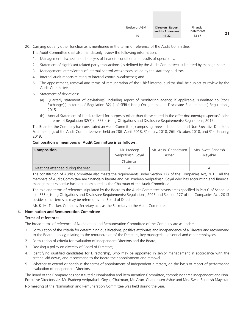| Notice of AGM | <b>Directors' Report</b><br>and its Annexures | Financial<br>Statements | $\mathbf{A}$ |
|---------------|-----------------------------------------------|-------------------------|--------------|
| $1 - 10$      | $11 - 32$                                     | $33 - 67$               |              |

20. Carrying out any other function as is mentioned in the terms of reference of the Audit Committee.

The Audit Committee shall also mandatorily review the following information:

- 1. Management discussion and analysis of financial condition and results of operations;
- 2. Statement of significant related party transactions (as defined by the Audit Committee), submitted by management;
- 3. Management letters/letters of internal control weaknesses issued by the statutory auditors;
- 4. Internal audit reports relating to internal control weaknesses; and
- 5. The appointment, removal and terms of remuneration of the Chief internal auditor shall be subject to review by the Audit Committee.
- 6. Statement of deviations:
	- (a) Quarterly statement of deviation(s) including report of monitoring agency, if applicable, submitted to Stock Exchange(s) in terms of Regulation 32(1) of SEBI (Listing Obligations and Disclosure Requirements) Regulations, 2015.
	- (b) Annual Statement of funds utilized for purposes other than those stated in the offer document/prospectus/notice in terms of Regulation 32(7) of SEBI (Listing Obligations and Disclosure Requirements) Regulations, 2015.

 The Board of the Company has constituted an Audit Committee, comprising three Independent and Non-Executive Directors. Four meetings of the Audit Committee were held on 28th April, 2018, 31st July, 2018, 26th October, 2018, and 31st January, 2019.

#### **Composition of members of Audit Committee is as follows:**

| Composition                       | Mr. Pradeep<br>Vedprakash Goyal | Mr. Arun Chandrasen<br>Ashar | Mrs. Swati Sandesh<br>Mayekar |
|-----------------------------------|---------------------------------|------------------------------|-------------------------------|
|                                   | Chairman                        |                              |                               |
| Meetings attended during the year |                                 |                              |                               |

 The constitution of Audit Committee also meets the requirements under Section 177 of the Companies Act, 2013. All the members of Audit Committee are financially literate and Mr. Pradeep Vedprakash Goyal who has accounting and financial management expertise has been nominated as the Chairman of the Audit Committee.

 The role and terms of reference stipulated by the Board to the Audit Committee covers areas specified in Part C of Schedule II of SEBI (Listing Obligations and Disclosure Requirements) Regulations, 2015 and Section 177 of the Companies Act, 2013 besides other terms as may be referred by the Board of Directors.

Mr. K. M. Thacker, Company Secretary acts as the Secretary to the Audit Committee.

#### **4. Nomination and Remuneration Committee**

#### **Terms of reference:**

The broad terms of reference of Nomination and Remuneration Committee of the Company are as under:

- 1. Formulation of the criteria for determining qualifications, positive attributes and independence of a Director and recommend to the Board a policy, relating to the remuneration of the Directors, key managerial personnel and other employees;
- 2. Formulation of criteria for evaluation of Independent Directors and the Board;
- 3. Devising a policy on diversity of Board of Directors;
- 4. Identifying qualified candidates for Directorship, who may be appointed in senior management in accordance with the criteria laid down, and recommend to the Board their appointment and removal.
- 5. Whether to extend or continue the terms of appointment of Independent directors, on the basis of report of performance evaluation of Independent Directors.

The Board of the Company has constituted a Nomination and Remuneration Committee, comprising three Independent and Non-Executive Directors viz. Mr. Pradeep Vedprakash Goyal, Chairman, Mr. Arun Chandrasen Ashar and Mrs. Swati Sandesh Mayekar.

No meeting of the Nomination and Remuneration Committee was held during the year.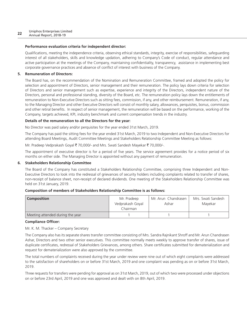#### **Performance evaluation criteria for independent director:**

Qualifications, meeting the independence criteria, observing ethical standards, integrity, exercise of responsibilities, safeguarding interest of all stakeholders, skills and knowledge updation, adhering to Company's Code of conduct, regular attendance and active participation at the meetings of the Company, maintaining confidentiality, transparency, assistance in implementing best corporate governance practices and absence of conflict of interest with business of the Company.

#### **5. Remuneration of Directors:**

The Board has, on the recommendation of the Nomination and Remuneration Committee, framed and adopted the policy for selection and appointment of Directors, senior management and their remuneration. The policy lays down criteria for selection of Directors and senior management such as expertise, experience and integrity of the Directors, independent nature of the Directors, personal and professional standing, diversity of the Board, etc. The remuneration policy lays down the entitlements of remuneration to Non-Executive Directors such as sitting fees, commission, if any, and other reimbursement. Remuneration, if any, to the Managing Director and other Executive Directors will consist of monthly salary, allowances, perquisites, bonus, commission and other retiral benefits. In respect of senior management, the remuneration will be based on the performance, working of the Company, targets achieved, KPI, industry benchmark and current compensation trends in the industry.

#### **Details of the remuneration to all the Directors for the year:**

No Director was paid salary and/or perquisites for the year ended 31st March, 2019.

The Company has paid the sitting fees for the year ended 31st March, 2019 to two Independent and Non-Executive Directors for attending Board Meetings, Audit Committee Meetings and Stakeholders Relationship Committee Meeting as follows:

Mr. Pradeep Vedprakash Goyal ₹ 70,000/- and Mrs. Swati Sandesh Mayekar ₹ 70,000/-.

The appointment of executive director is for a period of five years. The service agreement provides for a notice period of six months on either side. The Managing Director is appointed without any payment of remuneration.

#### **6. Stakeholders Relationship Committee**

The Board of the Company has constituted a Stakeholders Relationship Committee, comprising three Independent and Non-Executive Directors to look into the redressal of grievances of security holders including complaints related to transfer of shares, non-receipt of balance sheet, non-receipt of declared dividends. One meeting of the Stakeholders Relationship Committee was held on 31st January, 2019.

#### **Composition of members of Stakeholders Relationship Committee is as follows:**

| <b>Composition</b>               | Mr. Pradeep<br>Vedprakash Goyal<br>Chairman | Mr. Arun Chandrasen<br>Ashar | Mrs. Swati Sandesh<br>Mavekar |
|----------------------------------|---------------------------------------------|------------------------------|-------------------------------|
| Meeting attended during the year |                                             |                              |                               |

#### **Compliance Officer:**

Mr. K. M. Thacker – Company Secretary

The Company also has its separate shares transfer committee consisting of Mrs. Sandra Rajnikant Shroff and Mr. Arun Chandrasen Ashar, Directors and two other senior executives. This committee normally meets weekly to approve transfer of shares, issue of duplicate certificates, redressal of Stakeholders Grievances, among others. Share certificates submitted for dematerialization and request for dematerialization were also approved by the committee.

The total numbers of complaints received during the year under review were nine out of which eight complaints were addressed to the satisfaction of shareholders on or before 31st March, 2019 and one complaint was pending as on or before 31st March, 2019.

Three requests for transfers were pending for approval as on 31st March, 2019, out of which two were processed under objections on or before 23rd April, 2019 and one was approved and dealt with on 8th April, 2019.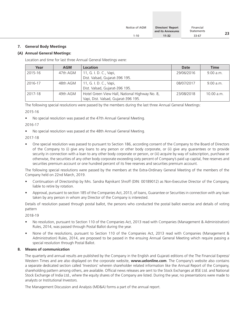|                                      | Notice of AGM | <b>Directors' Report</b><br>and its Annexures | Financial<br>Statements |  |
|--------------------------------------|---------------|-----------------------------------------------|-------------------------|--|
| 23<br>33-67<br>$11 - 32$<br>$1 - 10$ |               |                                               |                         |  |

#### **7. General Body Meetings**

#### **(A) Annual General Meetings:**

Location and time for last three Annual General Meetings were:

| Year    | <b>AGM</b> | <b>Location</b>                                | Date       | <b>Time</b> |
|---------|------------|------------------------------------------------|------------|-------------|
| 2015-16 | 47th AGM   | 11, G. I. D. C., Vapi,                         | 29/06/2016 | 9.00 a.m.   |
|         |            | Dist. Valsad, Gujarat-396 195.                 |            |             |
| 2016-17 | 48th AGM   | 11, G. I. D. C., Vapi,                         | 08/07/2017 | 9.00 a.m.   |
|         |            | Dist. Valsad, Gujarat-396 195.                 |            |             |
| 2017-18 | 49th AGM   | Hotel Green View Hall, National Highway No. 8, | 23/08/2018 | 10.00 a.m.  |
|         |            | Vapi, Dist. Valsad, Gujarat-396 195.           |            |             |

The following special resolutions were passed by the members during the last three Annual General Meetings:

2015-16

• No special resolution was passed at the 47th Annual General Meeting.

2016-17

• No special resolution was passed at the 48th Annual General Meeting.

2017-18

• One special resolution was passed to pursuant to Section 186, according consent of the Company to the Board of Directors of the Company to (i) give any loans to any person or other body corporate, or (ii) give any guarantees or to provide security in connection with a loan to any other body corporate or person, or (iii) acquire by way of subscription, purchase or otherwise, the securities of any other body corporate exceeding sixty percent of Company's paid up capital, free reserves and securities premium account or one hundred percent of its free reserves and securities premium account.

The following special resolutions were passed by the members at the Extra-Ordinary General Meeting of the members of the Company held on 22nd March, 2019.

- Continuation of Directorship by Mrs. Sandra Rajnikant Shroff (DIN: 00189012) as Non-Executive Director of the Company, liable to retire by rotation.
- Approval, pursuant to section 185 of the Companies Act, 2013, of loans, Guarantee or Securities in connection with any loan taken by any person in whom any Director of the Company is interested.

Details of resolution passed through postal ballot, the persons who conducted the postal ballot exercise and details of voting pattern

2018-19

- No resolution, pursuant to Section 110 of the Companies Act, 2013 read with Companies (Management & Administration) Rules, 2014, was passed through Postal Ballot during the year.
- None of the resolutions, pursuant to Section 110 of the Companies Act, 2013 read with Companies (Management & Administration) Rules, 2014, are proposed to be passed in the ensuing Annual General Meeting which require passing a special resolution through Postal Ballot.

#### **8. Means of communication**

The quarterly and annual results are published by the Company in the English and Gujarati editions of the The Financial Express/ Western Times and are also displayed on the corporate website, **www.uelonline.com**. The Company's website also contains a separate dedicated section called 'Investors' wherein shareholder related information like the Annual Report of the Company, shareholding pattern among others, are available. Official news releases are sent to the Stock Exchanges at BSE Ltd. and National Stock Exchange of India Ltd., where the equity shares of the Company are listed. During the year, no presentations were made to analysts or Institutional Investors.

The Management Discussion and Analysis (MD&A) forms a part of the annual report.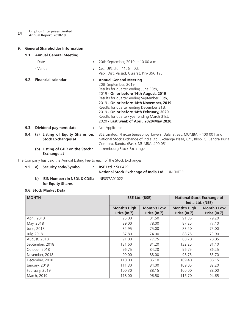**9. General Shareholder Information**

### **9.1. Annual General Meeting** - Date **:** 20th September, 2019 at 10.00 a.m.

- Venue **:** C/o. UPL Ltd., 11, G.I.D.C., Vapi, Dist. Valsad, Gujarat, Pin- 396 195. **9.2. Financial calendar : Annual General Meeting** – 20th September, 2019 Results for quarter ending June 30th, 2019 - **On or before 14th August, 2019** Results for quarter ending September 30th, 2019 **- On or before 14th November, 2019** Results for quarter ending December 31st, 2019 **- On or before 14th February, 2020** Results for quarter/ year ending March 31st, 2020 **- Last week of April, 2020/May 2020**. **9.3. Dividend payment date :** Not Applicable 9.4. (a) Listing of Equity Shares on: **Stock Exchanges at (b) Listing of GDR on the Stock : Exchange at :** BSE Limited, Phiroze Jeejeebhoy Towers, Dalal Street, MUMBAI - 400 001 and National Stock Exchange of India Ltd. Exchange Plaza, C/1, Block G, Bandra Kurla Complex, Bandra (East), MUMBAI 400 051 Luxembourg Stock Exchange

The Company has paid the Annual Listing Fee to each of the Stock Exchanges.

**9.5. a) Security code/Symbol : BSE Ltd. :** 500429

**National Stock Exchange of India Ltd.** : UNIENTER

**b) ISIN Number : in NSDL & CDSL :** INE037A01022 **for Equity Shares**

#### **9.6. Stock Market Data**

| <b>MONTH</b>    | <b>BSE Ltd. (BSE)</b><br><b>Month's High</b><br><b>Month's Low</b> |              | <b>National Stock Exchange of</b><br>India Ltd. (NSE) |                    |  |
|-----------------|--------------------------------------------------------------------|--------------|-------------------------------------------------------|--------------------|--|
|                 |                                                                    |              | <b>Month's High</b>                                   | <b>Month's Low</b> |  |
|                 | Price (In $\bar{z}$ )                                              | Price (In ₹) | Price (In ₹)                                          | Price (In ₹)       |  |
| April, 2018     | 95.00                                                              | 81.50        | 91.35                                                 | 79.20              |  |
| May, 2018       | 89.00                                                              | 78.00        | 87.25                                                 | 77.10              |  |
| June, 2018      | 82.95                                                              | 75.00        | 83.20                                                 | 75.00              |  |
| July, 2018      | 87.80                                                              | 74.00        | 88.75                                                 | 73.90              |  |
| August, 2018    | 91.00                                                              | 77.75        | 88.70                                                 | 78.05              |  |
| September, 2018 | 131.60                                                             | 81.20        | 132.25                                                | 81.10              |  |
| October, 2018   | 96.75                                                              | 84.20        | 96.75                                                 | 86.25              |  |
| November, 2018  | 99.00                                                              | 88.00        | 98.75                                                 | 85.70              |  |
| December, 2018  | 110.00                                                             | 85.10        | 109.40                                                | 88.15              |  |
| January, 2019   | 111.30                                                             | 84.00        | 109.05                                                | 82.20              |  |
| February, 2019  | 100.30                                                             | 88.15        | 100.00                                                | 88.00              |  |
| March, 2019     | 118.00                                                             | 96.50        | 116.70                                                | 94.65              |  |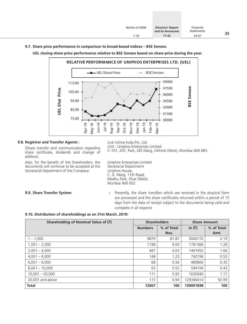| Notice of AGM | <b>Directors' Report</b><br>and its Annexures | Financial<br>Statements |    |
|---------------|-----------------------------------------------|-------------------------|----|
| $1 - 10$      | $11 - 32$                                     | 33-67                   | 25 |

**9.7. Share price performance in comparison to broad-based indices – BSE Sensex.**

 **UEL closing share price performance relative to BSE Sensex based on share price during the year.**



#### **9.8. Registrar and Transfer Agents :**

(Share transfer and communication regarding share certificate, dividends and change of address).

Also, for the benefit of the Shareholders, the documents will continue to be accepted at the Secretarial Department of the Company:

Link Intime India Pvt. Ltd.

Unit : Uniphos Enterprises Limited

C-101, 247, Park, LBS Marg, Vikhroli (West), Mumbai 400 083.

Uniphos Enterprises Limited Secretarial Department Uniphos House, C. D. Marg, 11th Road, Madhu Park, Khar (West), Mumbai 400 052

**9.9. Share Transfer System :** Presently, the share transfers which are received in the physical form are processed and the share certificates returned within a period of 15 days from the date of receipt subject to the documents being valid and complete in all respects

#### **9.10. Distribution of shareholdings as on 31st March, 2019:**

| Shareholding of Nominal Value of (₹) | <b>Shareholders</b> |            | <b>Share Amount</b> |            |
|--------------------------------------|---------------------|------------|---------------------|------------|
|                                      | <b>Numbers</b>      | % of Total | In $(\bar{z})$      | % of Total |
|                                      |                     | Nos.       |                     | Amt.       |
| $1 - 1,000$                          | 9879                | 81.87      | 3040170             | 2.19       |
| $1,001 - 2,000$                      | 1198                | 9.93       | 1781366             | 1.28       |
| $2,001 - 4,000$                      | 487                 | 4.03       | 1467452             | 1.06       |
| $4,001 - 6,000$                      | 148                 | 1.23       | 742196              | 0.53       |
| $6,001 - 8,000$                      | 68                  | 0.56       | 489866              | 0.35       |
| $8.001 - 10.000$                     | 63                  | 0.52       | 594194              | 0.43       |
| $10,001 - 20,000$                    | 111                 | 0.92       | 1630040             | 1.17       |
| 20,001 and above                     | 113                 | 0.94       | 129346414           | 92.99      |
| <b>Total</b>                         | 12067               | 100        | 139091698           | 100        |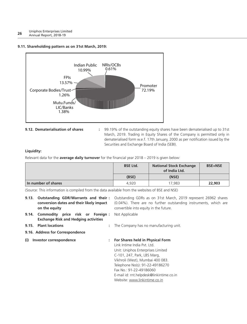#### **9.11. Shareholding pattern as on 31st March, 2019:**



**9.12. Dematerialisation of shares :** 99.19% of the outstanding equity shares have been dematerialised up to 31st March, 2019. Trading in Equity Shares of the Company is permitted only in dematerialised form w.e.f. 17th January, 2000 as per notification issued by the Securities and Exchange Board of India (SEBI).

#### **Liquidity:**

Relevant data for the **average daily turnover** for the financial year 2018 – 2019 is given below:

|                     | <b>BSE Ltd.</b> | <b>National Stock Exchange</b><br>of India Ltd. | <b>BSE+NSE</b> |
|---------------------|-----------------|-------------------------------------------------|----------------|
|                     | (BSE)           | (NSE)                                           |                |
| In number of shares | 4.920           | 17.983                                          | 22,903         |

(Source: This information is compiled from the data available from the websites of BSE and NSE)

| 9.13. | Outstanding GDR/Warrants and their:<br>conversion dates and their likely impact<br>on the equity | Outstanding GDRs as on 31st March, 2019 represent 26962 shares<br>(0.04%). There are no further outstanding instruments, which are<br>convertible into equity in the future.                                                                                                                                       |
|-------|--------------------------------------------------------------------------------------------------|--------------------------------------------------------------------------------------------------------------------------------------------------------------------------------------------------------------------------------------------------------------------------------------------------------------------|
| 9.14. | Commodity price risk or Foreign:<br><b>Exchange Risk and Hedging activities</b>                  | Not Applicable                                                                                                                                                                                                                                                                                                     |
| 9.15. | <b>Plant locations</b>                                                                           | The Company has no manufacturing unit.                                                                                                                                                                                                                                                                             |
|       | 9.16. Address for Correspondence                                                                 |                                                                                                                                                                                                                                                                                                                    |
| (i)   | Investor correspondence                                                                          | For Shares held in Physical Form<br>Link Intime India Pvt. Ltd.<br>Unit: Uniphos Enterprises Limited<br>C-101, 247, Park, LBS Marg,<br>Vikhroli (West), Mumbai 400 083.<br>Telephone No(s): 91-22-49186270<br>Fax No.: 91-22-49186060<br>E-mail id: rnt.helpdesk@linkintime.co.in<br>Website: www.linkintime.co.in |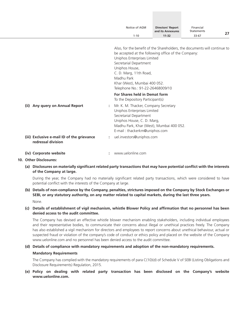| Notice of AGM | <b>Directors' Report</b><br>and its Annexures | Financial<br>Statements |    |
|---------------|-----------------------------------------------|-------------------------|----|
| $1 - 10$      | $11 - 32$                                     | 33-67                   | 27 |
|               |                                               |                         |    |

|                                                                  | Also, for the benefit of the Shareholders, the documents will continue to<br>be accepted at the following office of the Company:<br>Uniphos Enterprises Limited<br>Secretarial Department<br>Uniphos House,<br>C. D. Marg, 11th Road,<br>Madhu Park<br>Khar (West), Mumbai 400 052.<br>Telephone No.: 91-22-26468009/10 |
|------------------------------------------------------------------|-------------------------------------------------------------------------------------------------------------------------------------------------------------------------------------------------------------------------------------------------------------------------------------------------------------------------|
|                                                                  | For Shares held in Demat form<br>To the Depository Participant(s)                                                                                                                                                                                                                                                       |
| (ii) Any query on Annual Report                                  | Mr. K. M. Thacker, Company Secretary<br>Uniphos Enterprises Limited<br>Secretarial Department<br>Uniphos House, C. D. Marg,<br>Madhu Park, Khar (West), Mumbai 400 052.<br>E-mail: thackerkm@uniphos.com                                                                                                                |
| (iii) Exclusive e-mail ID of the grievance<br>redressal division | uel.investors@uniphos.com<br>÷.                                                                                                                                                                                                                                                                                         |
|                                                                  |                                                                                                                                                                                                                                                                                                                         |

#### **(iv) Corporate website :** www.uelonline.com

#### **10. Other Disclosures:**

**(a) Disclosures on materially significant related party transactions that may have potential conflict with the interests of the Company at large.**

 During the year, the Company had no materially significant related party transactions, which were considered to have potential conflict with the interests of the Company at large.

#### **(b) Details of non-compliance by the Company, penalties, strictures imposed on the Company by Stock Exchanges or SEBI, or any statutory authority, on any matter related to capital markets, during the last three years.** None.

#### **(c) Details of establishment of vigil mechanism, whistle Blower Policy and affirmation that no personnel has been denied access to the audit committee.**

 The Company has devised an effective whistle blower mechanism enabling stakeholders, including individual employees and their representative bodies, to communicate their concerns about illegal or unethical practices freely. The Company has also established a vigil mechanism for directors and employees to report concerns about unethical behaviour, actual or suspected fraud or violation of the company's code of conduct or ethics policy and placed on the website of the Company www.uelonline.com and no personnel has been denied access to the audit committee.

#### **(d) Details of compliance with mandatory requirements and adoption of the non-mandatory requirements.**

#### **Mandatory Requirements**

 The Company has complied with the mandatory requirements of para C(10)(d) of Schedule V of SEBI (Listing Obligations and Disclosure Requirements) Regulation, 2015.

**(e) Policy on dealing with related party transaction has been disclosed on the Company's website www.uelonline.com.**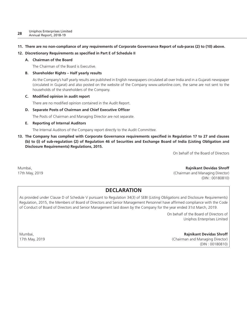#### **11. There are no non-compliance of any requirements of Corporate Governance Report of sub-paras (2) to (10) above.**

#### **12. Discretionary Requirements as specified in Part E of Schedule II**

#### **A. Chairman of the Board**

The Chairman of the Board is Executive.

#### **B. Shareholder Rights – Half yearly results**

 As the Company's half yearly results are published in English newspapers circulated all over India and in a Gujarati newspaper (circulated in Gujarat) and also posted on the website of the Company www.uelonline.com, the same are not sent to the households of the shareholders of the Company.

#### **C. Modified opinion in audit report**

There are no modified opinion contained in the Audit Report.

#### **D. Separate Posts of Chairman and Chief Executive Officer**

The Posts of Chairman and Managing Director are not separate.

#### **E. Reporting of Internal Auditors**

The Internal Auditors of the Company report directly to the Audit Committee.

**13. The Company has complied with Corporate Governance requirements specified in Regulation 17 to 27 and clauses (b) to (i) of sub-regulation (2) of Regulation 46 of Securities and Exchange Board of India (Listing Obligation and Disclosure Requirements) Regulations, 2015.**

On behalf of the Board of Directors

Mumbai, **Rajnikant Devidas Shroff**

17th May, 2019 (Chairman and Managing Director) (DIN : 00180810)

### **DECLARATION**

As provided under Clause D of Schedule V pursuant to Regulation 34(3) of SEBI (Listing Obligations and Disclosure Requirements) Regulation, 2015, the Members of Board of Directors and Senior Management Personnel have affirmed compliance with the Code of Conduct of Board of Directors and Senior Management laid down by the Company for the year ended 31st March, 2019.

> On behalf of the Board of Directors of Uniphos Enterprises Limited

Mumbai, **Rajnikant Devidas Shroff** 17th May, 2019 (Chairman and Managing Director) (DIN : 00180810)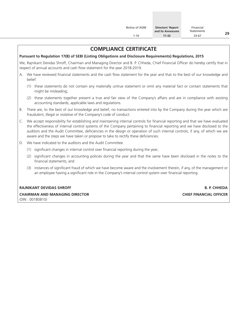| Notice of AGM | <b>Directors' Report</b><br>and its Annexures | Financial<br>Statements |    |
|---------------|-----------------------------------------------|-------------------------|----|
| 1-10          | 11-32                                         | 33-67                   | 29 |

#### **COMPLIANCE CERTIFICATE**

#### **Pursuant to Regulation 17(8) of SEBI (Listing Obligations and Disclosure Requirements) Regulations, 2015**

We, Rajnikant Devidas Shroff, Chairman and Managing Director and B. P. Chheda, Chief Financial Officer do hereby certify that in respect of annual accounts and cash flow statement for the year 2018-2019.

- A. We have reviewed financial statements and the cash flow statement for the year and that to the best of our knowledge and belief:
	- (1) these statements do not contain any materially untrue statement or omit any material fact or contain statements that might be misleading;
	- (2) these statements together present a true and fair view of the Company's affairs and are in compliance with existing accounting standards, applicable laws and regulations.
- B. There are, to the best of our knowledge and belief, no transactions entered into by the Company during the year which are fraudulent, illegal or violative of the Company's code of conduct.
- C. We accept responsibility for establishing and maintaining internal controls for financial reporting and that we have evaluated the effectiveness of internal control systems of the Company pertaining to financial reporting and we have disclosed to the auditors and the Audit Committee, deficiencies in the design or operation of such internal controls, if any, of which we are aware and the steps we have taken or propose to take to rectify these deficiencies.
- D. We have indicated to the auditors and the Audit Committee
	- (1) significant changes in internal control over financial reporting during the year;
	- (2) significant changes in accounting policies during the year and that the same have been disclosed in the notes to the financial statements; and
	- (3) instances of significant fraud of which we have become aware and the involvement therein, if any, of the management or an employee having a significant role in the Company's internal control system over financial reporting.

**RAJNIKANT DEVIDAS SHROFF B. P. CHHEDA CHAIRMAN AND MANAGING DIRECTOR CHIEF FINANCIAL OFFICER** (DIN : 00180810)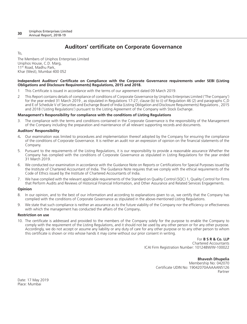### **Auditors' certificate on Corporate Governance**

To,

The Members of Uniphos Enterprises Limited Uniphos House, C.D. Marg, 11<sup>th</sup> Road, Madhu Park, Khar (West), Mumbai 400 052

#### **Independent Auditors' Certificate on Compliance with the Corporate Governance requirements under SEBI (Listing Obligations and Disclosure Requirements) Regulations, 2015 and 2018.**

- 1 This Certificate is issued in accordance with the terms of our agreement dated 09 March 2019.
- 2 This Report contains details of compliance of conditions of Corporate Governance by Uniphos Enterprises Limited ('The Company') for the year ended 31 March 2019 , as stipulated in Regulations 17-27, clause (b) to (i) of Regulation 46 (2) and paragraphs C,D and E of Schedule V of Securities and Exchange Board of India (Listing Obligation and Disclosure Requirements) Regulations , 2015 and 2018 ('Listing Regulations') pursuant to the Listing Agreement of the Company with Stock Exchange.

#### **Management's Responsibility for compliance with the conditions of Listing Regulations**

The compliance with the terms and conditions contained in the Corporate Governance is the responsibility of the Management of the Company including the preparation and maintenance of all relevant supporting records and documents.

#### **Auditors' Responsibility**

- 4**.** Our examination was limited to procedures and implementation thereof adopted by the Company for ensuring the compliance of the conditions of Corporate Governance. It is neither an audit nor an expression of opinion on the financial statements of the Company.
- 5. Pursuant to the requirements of the Listing Regulations, it is our responsibility to provide a reasonable assurance Whether the Company has complied with the conditions of Corporate Governance as stipulated in Listing Regulations for the year ended 31 March 2019.
- 6. We conducted our examination in accordance with the Guidance Note on Reports or Certifications for Special Purposes issued by the Institute of Chartered Accountant of India. The Guidance Note requires that we comply with the ethical requirements of the Code of Ethics issued by the Institute of Chartered Accountants of India.
- 7. We have complied with the relevant applicable requirements of the Standard on Quality Control (SQC) 1, Quality Control for Firms that Perform Audits and Reviews of Historical Financial Information, and Other Assurance and Related Services Engagements.

#### **Opinion**

- 8. In our opinion, and to the best of our information and according to explanations given to us, we certify that the Company has complied with the conditions of Corporate Governance as stipulated in the above-mentioned Listing Regulations.
- 9. We state that such compliance is neither an assurance as to the future viability of the Company nor the efficiency or effectiveness with which the management has conducted the affairs of the Company**.**

#### **Restriction on use**

10. The certificate is addressed and provided to the members of the Company solely for the purpose to enable the Company to comply with the requirement of the Listing Regulations, and it should not be used by any other person or for any other purpose. Accordingly, we do not accept or assume any liability or any duty of care for any other purpose or to any other person to whom this certificate is shown or into whose hands it may come without our prior consent in writing.

> For **B S R & Co. LLP** Chartered Accountants ICAI Firm Registration Number: 101248W/W-100022

> > **Bhavesh Dhupelia** Membership No: 042070 Certificate UDIN No: 19042070AAAAAN5126 Partner

Date: 17 May 2019 Place: Mumbai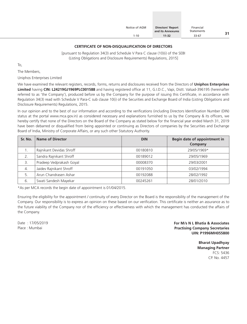| Notice of AGM | <b>Directors' Report</b><br>and its Annexures | Financial<br>Statements |    |
|---------------|-----------------------------------------------|-------------------------|----|
| $1 - 10$      | $11 - 32$                                     | 33-67                   | ∙⊊ |
|               |                                               |                         |    |

#### **CERTIFICATE OF NON-DISQUALIFICATION OF DIRECTORS**

[pursuant to Regulation 34(3) and Schedule V Para C clause (10)(i) of the SEBI (Listing Obligations and Disclosure Requirements) Regulations, 2015]

To,

The Members,

Uniphos Enterprises Limited

We have examined the relevant registers, records, forms, returns and disclosures received from the Directors of **Uniphos Enterprises Limited** having **CIN: L24219GJ1969PLC001588** and having registered office at 11, G.I.D.C., Vapi, Distt. Valsad-396195 (hereinafter referred to as 'the Company'), produced before us by the Company for the purpose of issuing this Certificate, in accordance with Regulation 34(3) read with Schedule V Para-C sub clause 10(i) of the Securities and Exchange Board of India (Listing Obligations and Disclosure Requirements) Regulations, 2015.

In our opinion and to the best of our information and according to the verifications (including Directors Identification Number (DIN) status at the portal www.mca.gov.in) as considered necessary and explanations furnished to us by the Company & its officers, we hereby certify that none of the Directors on the Board of the Company as stated below for the financial year ended March 31, 2019 have been debarred or disqualified from being appointed or continuing as Directors of companies by the Securities and Exchange Board of India, Ministry of Corporate Affairs, or any such other Statutory Authority.

| Sr. No. | <b>Name of Director</b>  | <b>DIN</b> | Begin date of appointment in<br>Company |
|---------|--------------------------|------------|-----------------------------------------|
| 1.      | Rajnikant Devidas Shroff | 00180810   | 29/05/1969*                             |
| 2.      | Sandra Rajnikant Shroff  | 00189012   | 29/05/1969                              |
| 3.      | Pradeep Vedprakash Goyal | 00008370   | 29/03/2001                              |
| 4.      | Jaidev Rajnikant Shroff  | 00191050   | 03/02/1994                              |
| 5.      | Arun Chandrasen Ashar    | 00192088   | 28/02/1992                              |
| 6.      | Swati Sandesh Mayekar    | 00245261   | 28/01/2010                              |

\*As per MCA records the begin date of appointment is 01/04/2015.

Ensuring the eligibility for the appointment / continuity of every Director on the Board is the responsibility of the management of the Company. Our responsibility is to express an opinion on these based on our verification. This certificate is neither an assurance as to the future viability of the Company nor of the efficiency or effectiveness with which the management has conducted the affairs of the Company.

Date : 17/05/2019 Place : Mumbai

**For M/s N L Bhatia & Associates Practising Company Secretaries UIN: P1996MH055800**

> **Bharat Upadhyay Managing Partner** FCS: 5436 CP. No. 4457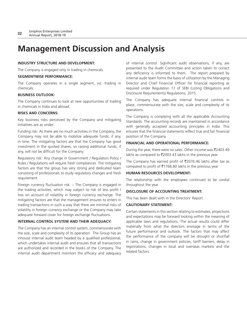### **Management Discussion and Analysis**

#### **INDUSTRY STRUCTURE AND DEVELOPMENT:**

The Company is engaged only in trading in chemicals.

#### **SEGMENTWISE PERFORMANCE:**

The Company operates in a single segment, viz. trading in chemicals.

#### **BUSINESS OUTLOOK:**

The Company continues to look at new opportunities of trading in chemicals in India and abroad.

#### **RISKS AND CONCERNS:**

Key business risks perceived by the Company and mitigating initiatives are as under:

Funding risk: As there are no much activities in the Company, the Company may not be able to mobilize adequate funds, if any, in time. The mitigating factors are that the Company has good investment in the quoted shares, so raising additional funds, if any, will not be difficult for the Company.

Regulatory risk: Any change in Government / Regulators Policy / Rules / Regulations will require fresh compliances. The mitigating factors are that the group has very strong and dedicated team consisting of professionals to study regulatory changes and fresh requirement.

Foreign currency fluctuation risk: – The Company is engaged in the trading activities, which may subject to risk of less profit / loss on account of volatility in foreign currency exchange. The mitigating factors are that the management ensures to enters in trading transactions in such a way that there are minimal risks of volatility in foreign currency exchange or the Company may take adequate forward cover for foreign exchange fluctuations.

#### **INTERNAL CONTROL SYSTEM AND THEIR ADEQUACY:**

The Company has an internal control system, commensurate with the size, scale and complexity of its operation. The Group has an inhouse internal audit team headed by a qualified professional, which undertakes internal audit and ensures that all transactions are authorized and recorded in the books of the Company. The internal audit department monitors the efficacy and adequacy of internal control. Significant audit observations, if any, are presented to the Audit Committee and action taken to correct any deficiency is informed to them. The report prepared by internal audit team forms the basis of utilization by the Managing Director and Chief Financial Officer for financial reporting as required under Regulation 17 of SEBI (Listing Obligations and Disclosure Requirements) Regulations, 2015.

The Company has adequate internal financial controls in place, commensurate with the size, scale and complexity of its operations.

The Company is complying with all the applicable Accounting Standards. The accounting records are maintained in accordance with generally accepted accounting principles in India. This ensures that the financial statements reflect true and fair financial position of the Company.

#### **FINANCIAL AND OPERATIONAL PERFORMANCE:**

During the year, there were no sales. Other income was  $\overline{\text{2}}2403.49$ lakhs as compared to  $\overline{\text{2003.43}}$  lakhs in the previous year.

The Company has earned profit of  $\overline{\text{2076.46}}$  lakhs after tax as compared to profit of  $\text{\texttt{[1768.80]}}$  lakhs in the previous year

#### **HUMAN RESOURCES DEVELOPMENT:**

The relationship with the employees continued to be cordial throughout the year.

#### **DISCLOSURE OF ACCOUNTING TREATMENT:**

This has been dealt with in the Directors' Report.

#### **CAUTIONARY STATEMENT:**

Certain statements in this section relating to estimates, projections and expectations may be forward looking within the meaning of applicable laws and regulations. The actual results could differ materially from what the directors envisage in terms of the future performance and outlook. The factors that may affect the performance of the company will be drought or shortfall in rains, change in government policies, tariff barriers, delay in registrations, changes in local and overseas markets and the related factors.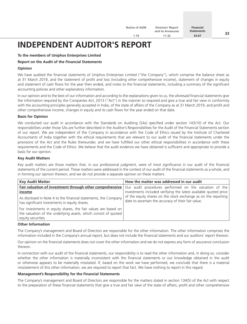## **INDEPENDENT AUDITOR'S REPORT**

#### **To the members of Uniphos Enterprises Limited**

#### **Report on the Audit of the Financial Statements**

#### **Opinion**

We have audited the financial statements of Uniphos Enterprises Limited ("the Company"), which comprise the balance sheet as at 31 March 2019, and the statement of profit and loss (including other comprehensive income), statement of changes in equity and statement of cash flows for the year then ended, and notes to the financial statements, including a summary of the significant accounting policies and other explanatory information.

In our opinion and to the best of our information and according to the explanations given to us, the aforesaid financial statements give the information required by the Companies Act, 2013 ("Act") in the manner so required and give a true and fair view in conformity with the accounting principles generally accepted in India, of the state of affairs of the Company as at 31 March 2019, and profit and other comprehensive income, changes in equity and its cash flows for the year ended on that date.

#### **Basis for Opinion**

We conducted our audit in accordance with the Standards on Auditing (SAs) specified under section 143(10) of the Act. Our responsibilities under those SAs are further described in the Auditor's Responsibilities for the Audit of the Financial Statements section of our report. We are independent of the Company in accordance with the Code of Ethics issued by the Institute of Chartered Accountants of India together with the ethical requirements that are relevant to our audit of the financial statements under the provisions of the Act and the Rules thereunder, and we have fulfilled our other ethical responsibilities in accordance with these requirements and the Code of Ethics. We believe that the audit evidence we have obtained is sufficient and appropriate to provide a basis for our opinion.

#### **Key Audit Matters**

Key audit matters are those matters that, in our professional judgment, were of most significance in our audit of the financial statements of the current period. These matters were addressed in the context of our audit of the financial statements as a whole, and in forming our opinion thereon, and we do not provide a separate opinion on these matters.

| <b>Key Audit Matter</b>                                                                                                                                | How the matter was addressed in our audit                                                                             |
|--------------------------------------------------------------------------------------------------------------------------------------------------------|-----------------------------------------------------------------------------------------------------------------------|
| Fair valuation of investment through other comprehensive                                                                                               | Our audit procedures performed on the valuation of the                                                                |
| income                                                                                                                                                 | investments included verifying the latest available quoted price                                                      |
| As disclosed in Note 4 to the financial statements, the Company<br>has significant investments in equity shares.                                       | of the equity shares on the stock exchange as on the reporting<br>date to ascertain the accuracy of their fair value. |
| For investments in equity shares, the fair values are based on<br>the valuation of the underlying assets, which consist of quoted<br>equity securities |                                                                                                                       |

#### **Other Information**

The Company's management and Board of Directors are responsible for the other information. The other information comprises the information included in the Company's annual report, but does not include the financial statements and our auditors' report thereon.

Our opinion on the financial statements does not cover the other information and we do not express any form of assurance conclusion thereon.

In connection with our audit of the financial statements, our responsibility is to read the other information and, in doing so, consider whether the other information is materially inconsistent with the financial statements or our knowledge obtained in the audit or otherwise appears to be materially misstated. If, based on the work we have performed, we conclude that there is a material misstatement of this other information, we are required to report that fact. We have nothing to report in this regard.

#### **Management's Responsibility for the Financial Statements**

The Company's management and Board of Directors are responsible for the matters stated in section 134(5) of the Act with respect to the preparation of these financial statements that give a true and fair view of the state of affairs, profit and other comprehensive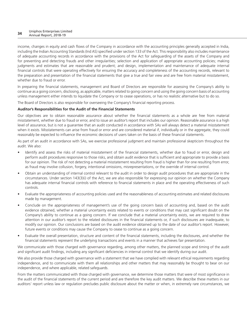#### Uniphos Enterprises Limited Annual Report, 2018-19 **34**

income, changes in equity and cash flows of the Company in accordance with the accounting principles generally accepted in India, including the Indian Accounting Standards (Ind AS) specified under section 133 of the Act. This responsibility also includes maintenance of adequate accounting records in accordance with the provisions of the Act for safeguarding of the assets of the Company and for preventing and detecting frauds and other irregularities; selection and application of appropriate accounting policies; making judgments and estimates that are reasonable and prudent; and design, implementation and maintenance of adequate internal financial controls that were operating effectively for ensuring the accuracy and completeness of the accounting records, relevant to the preparation and presentation of the financial statements that give a true and fair view and are free from material misstatement, whether due to fraud or error.

In preparing the financial statements, management and Board of Directors are responsible for assessing the Company's ability to continue as a going concern, disclosing, as applicable, matters related to going concern and using the going concern basis of accounting unless management either intends to liquidate the Company or to cease operations, or has no realistic alternative but to do so.

The Board of Directors is also responsible for overseeing the Company's financial reporting process.

#### **Auditor's Responsibilities for the Audit of the Financial Statements**

Our objectives are to obtain reasonable assurance about whether the financial statements as a whole are free from material misstatement, whether due to fraud or error, and to issue an auditor's report that includes our opinion. Reasonable assurance is a high level of assurance, but is not a guarantee that an audit conducted in accordance with SAs will always detect a material misstatement when it exists. Misstatements can arise from fraud or error and are considered material if, individually or in the aggregate, they could reasonably be expected to influence the economic decisions of users taken on the basis of these financial statements.

As part of an audit in accordance with SAs, we exercise professional judgment and maintain professional skepticism throughout the audit. We also:

- Identify and assess the risks of material misstatement of the financial statements, whether due to fraud or error, design and perform audit procedures responsive to those risks, and obtain audit evidence that is sufficient and appropriate to provide a basis for our opinion. The risk of not detecting a material misstatement resulting from fraud is higher than for one resulting from error, as fraud may involve collusion, forgery, intentional omissions, misrepresentations, or the override of internal control.
- Obtain an understanding of internal control relevant to the audit in order to design audit procedures that are appropriate in the circumstances. Under section 143(3)(i) of the Act, we are also responsible for expressing our opinion on whether the Company has adequate internal financial controls with reference to financial statements in place and the operating effectiveness of such controls.
- Evaluate the appropriateness of accounting policies used and the reasonableness of accounting estimates and related disclosures made by management.
- Conclude on the appropriateness of management's use of the going concern basis of accounting and, based on the audit evidence obtained, whether a material uncertainty exists related to events or conditions that may cast significant doubt on the Company's ability to continue as a going concern. If we conclude that a material uncertainty exists, we are required to draw attention in our auditor's report to the related disclosures in the financial statements or, if such disclosures are inadequate, to modify our opinion. Our conclusions are based on the audit evidence obtained up to the date of our auditor's report. However, future events or conditions may cause the Company to cease to continue as a going concern.
- Evaluate the overall presentation, structure and content of the financial statements, including the disclosures, and whether the financial statements represent the underlying transactions and events in a manner that achieves fair presentation.

We communicate with those charged with governance regarding, among other matters, the planned scope and timing of the audit and significant audit findings, including any significant deficiencies in internal control that we identify during our audit.

We also provide those charged with governance with a statement that we have complied with relevant ethical requirements regarding independence, and to communicate with them all relationships and other matters that may reasonably be thought to bear on our independence, and where applicable, related safeguards.

From the matters communicated with those charged with governance, we determine those matters that were of most significance in the audit of the financial statements of the current period and are therefore the key audit matters. We describe these matters in our auditors' report unless law or regulation precludes public disclosure about the matter or when, in extremely rare circumstances, we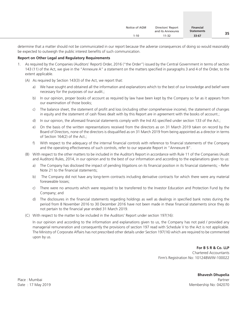| Notice of AGM | Directors' Report<br>and its Annexures | <b>Financial</b><br><b>Statements</b> |    |
|---------------|----------------------------------------|---------------------------------------|----|
| 1-10          | $1 - 32$                               | 33-67                                 | 35 |

determine that a matter should not be communicated in our report because the adverse consequences of doing so would reasonably be expected to outweigh the public interest benefits of such communication.

### **Report on Other Legal and Regulatory Requirements**

- 1. As required by the Companies (Auditors' Report) Order, 2016 ("the Order") issued by the Central Government in terms of section 143 (11) of the Act, we give in the "Annexure A" a statement on the matters specified in paragraphs 3 and 4 of the Order, to the extent applicable.
	- (A) As required by Section 143(3) of the Act, we report that:
		- a) We have sought and obtained all the information and explanations which to the best of our knowledge and belief were necessary for the purposes of our audit.;
		- b) In our opinion, proper books of account as required by law have been kept by the Company so far as it appears from our examination of those books;
		- c) The balance sheet, the statement of profit and loss (including other comprehensive income), the statement of changes in equity and the statement of cash flows dealt with by this Report are in agreement with the books of account.;
		- d) In our opinion, the aforesaid financial statements comply with the Ind AS specified under section 133 of the Act.;
		- e) On the basis of the written representations received from the directors as on 31 March 2019 taken on record by the Board of Directors, none of the directors is disqualified as on 31 March 2019 from being appointed as a director in terms of Section 164(2) of the Act.;
		- f) With respect to the adequacy of the internal financial controls with reference to financial statements of the Company and the operating effectiveness of such controls, refer to our separate Report in "Annexure B".
	- (B) With respect to the other matters to be included in the Auditor's Report in accordance with Rule 11 of the Companies (Audit and Auditors) Rules, 2014, in our opinion and to the best of our information and according to the explanations given to us:
		- a) The Company has disclosed the impact of pending litigations on its financial position in its financial statements; Refer Note 21 to the financial statements;
		- b) The Company did not have any long-term contracts including derivative contracts for which there were any material foreseeable losses;
		- c) There were no amounts which were required to be transferred to the Investor Education and Protection Fund by the Company; and
		- d) The disclosures in the financial statements regarding holdings as well as dealings in specified bank notes during the period from 8 November 2016 to 30 December 2016 have not been made in these financial statements since they do not pertain to the financial year ended 31 March 2019.
	- (C) With respect to the matter to be included in the Auditors' Report under section 197(16):

 In our opinion and according to the information and explanations given to us, the Company has not paid / provided any managerial remuneration and consequently the provisions of section 197 read with Schedule V to the Act is not applicable. The Ministry of Corporate Affairs has not prescribed other details under Section 197(16) which are required to be commented upon by us.

> **For B S R & Co. LLP** Chartered Accountants Firm's Registration No: 101248W/W-100022

> > **Bhavesh Dhupelia** Partner Membership No: 042070

Place : Mumbai Date : 17 May 2019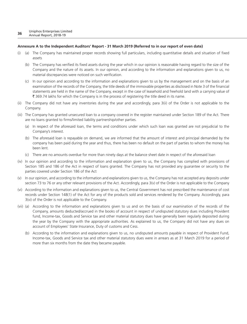### **Annexure A to the Independent Auditors' Report - 31 March 2019 (Referred to in our report of even date)**

- (i) (a) The Company has maintained proper records showing full particulars, including quantitative details and situation of fixed assets
	- (b) The Company has verified its fixed assets during the year which in our opinion is reasonable having regard to the size of the Company and the nature of its assets. In our opinion, and according to the information and explanations given to us, no material discrepancies were noticed on such verification.
	- (c) In our opinion and according to the information and explanations given to us by the management and on the basis of an examination of the records of the Company, the title deeds of the immovable properties as disclosed in Note 3 of the financial statements are held in the name of the Company, except in the case of leasehold and freehold land with a carrying value of ` 369.74 lakhs for which the Company is in the process of registering the title deed in its name.
- (ii) The Company did not have any inventories during the year and accordingly, para 3(ii) of the Order is not applicable to the Company.
- (iii) The Company has granted unsecured loan to a company covered in the register maintained under Section 189 of the Act. There are no loans granted to firms/limited liability partnership/other parties.
	- (a) In respect of the aforesaid loan, the terms and conditions under which such loan was granted are not prejudicial to the Company's interest.
	- (b) The aforesaid loan is repayable on demand, we are informed that the amount of interest and principal demanded by the company has been paid during the year and thus, there has been no default on the part of parties to whom the money has been lent.
	- (c) There are no amounts overdue for more than ninety days at the balance sheet date in respect of the aforesaid loan
- (iv) In our opinion and according to the information and explanation given to us, the Company has complied with provisions of Section 185 and 186 of the Act in respect of loans granted. The Company has not provided any guarantee or security to the parties covered under Section 186 of the Act
- (v) In our opinion, and according to the information and explanations given to us, the Company has not accepted any deposits under section 73 to 76 or any other relevant provisions of the Act. Accordingly, para 3(v) of the Order is not applicable to the Company
- (vi) According to the information and explanations given to us, the Central Government has not prescribed the maintenance of cost records under Section 148(1) of the Act for any of the products sold and services rendered by the Company. Accordingly, para 3(vi) of the Order is not applicable to the Company.
- (vii) (a) According to the information and explanations given to us and on the basis of our examination of the records of the Company, amounts deducted/accrued in the books of account in respect of undisputed statutory dues including Provident fund, Income-tax, Goods and Service tax and other material statutory dues have generally been regularly deposited during the year by the Company with the appropriate authorities. As explained to us, the Company did not have any dues on account of Employees' State Insurance, Duty of customs and Cess.
	- (b) According to the information and explanations given to us, no undisputed amounts payable in respect of Provident Fund, Income-tax, Goods and Service tax and other material statutory dues were in arrears as at 31 March 2019 for a period of more than six months from the date they became payable.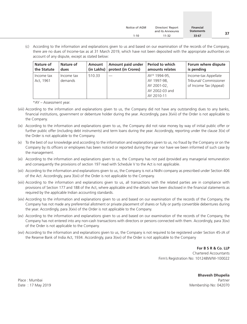| Notice of AGM | Directors' Report<br>and its Annexures | <b>Financial</b><br><b>Statements</b> |    |
|---------------|----------------------------------------|---------------------------------------|----|
| $1 - 10$      | $11-32$                                | $33-67$                               | 37 |

(c) According to the information and explanations given to us and based on our examination of the records of the Company, there are no dues of Income-tax as at 31 March 2019, which have not been deposited with the appropriate authorities on account of any dispute, except as stated below:

| Nature of               | Nature of             | Amount       | Amount paid under   | <b>Period to which</b>                                                     | Forum where dispute                                                      |
|-------------------------|-----------------------|--------------|---------------------|----------------------------------------------------------------------------|--------------------------------------------------------------------------|
| the Statute             | dues                  | $(in$ Lakhs) | protest (in Crores) | amounts relates                                                            | is pending                                                               |
| Income tax<br>Act, 1961 | Income tax<br>demands | 510.33       | $---$               | AY* 1994-95.<br>AY 1997-98,<br>AY 2001-02,<br>AY 2002-03 and<br>AY 2010-11 | Income-tax Appellate<br>Tribunal/ Commissioner<br>of Income Tax (Appeal) |

\*AY – Assessment year.

- (viii) According to the information and explanations given to us, the Company did not have any outstanding dues to any banks, financial institutions, government or debenture holder during the year. Accordingly, para 3(viii) of the Order is not applicable to the Company.
- (ix) According to the information and explanations given to us, the Company did not raise money by way of initial public offer or further public offer (including debt instruments) and term loans during the year. Accordingly, reporting under the clause 3(ix) of the Order is not applicable to the Company.
- (x) To the best of our knowledge and according to the information and explanations given to us, no fraud by the Company or on the Company by its officers or employees has been noticed or reported during the year nor have we been informed of such case by the management.
- (xi) According to the information and explanations given to us, the Company has not paid /provided any managerial remuneration and consequently the provisions of section 197 read with Schedule V to the Act is not applicable.
- (xii) According to the information and explanations given to us, the Company is not a Nidhi company as prescribed under Section 406 of the Act. Accordingly, para 3(xii) of the Order is not applicable to the Company.
- (xiii) According to the information and explanations given to us, all transactions with the related parties are in compliance with provisions of Section 177 and 188 of the Act, where applicable and the details have been disclosed in the financial statements as required by the applicable Indian accounting standards.
- (xiv) According to the information and explanations given to us and based on our examination of the records of the Company, the Company has not made any preferential allotment or private placement of shares or fully or partly convertible debentures during the year. Accordingly, para 3(xiv) of the Order is not applicable to the Company.
- (xv) According to the information and explanations given to us and based on our examination of the records of the Company, the Company has not entered into any non-cash transactions with directors or persons connected with them. Accordingly, para 3(xv) of the Order is not applicable to the Company.
- (xvi) According to the information and explanations given to us, the Company is not required to be registered under Section 45-JA of the Reserve Bank of India Act, 1934. Accordingly, para 3(xvi) of the Order is not applicable to the Company

**For B S R & Co. LLP** Chartered Accountants Firm's Registration No: 101248W/W-100022

> **Bhavesh Dhupelia** Partner Membership No: 042070

Place : Mumbai Date : 17 May 2019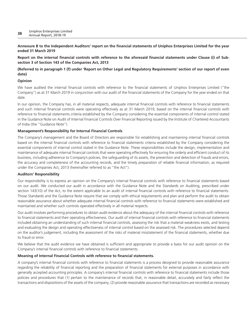**Annexure B to the Independent Auditors' report on the financial statements of Uniphos Enterprises Limited for the year ended 31 March 2019**

**Report on the internal financial controls with reference to the aforesaid financial statements under Clause (i) of Subsection 3 of Section 143 of the Companies Act, 2013**

### **(Referred to in paragraph 1 (f) under 'Report on Other Legal and Regulatory Requirements' section of our report of even date)**

### **Opinion**

We have audited the internal financial controls with reference to the financial statements of Uniphos Enterprises Limited ("the Company") as at 31 March 2019 in conjunction with our audit of the financial statements of the Company for the year ended on that date.

In our opinion, the Company has, in all material respects, adequate internal financial controls with reference to financial statements and such internal financial controls were operating effectively as at 31 March 2019, based on the internal financial controls with reference to financial statements criteria established by the Company considering the essential components of internal control stated in the Guidance Note on Audit of Internal Financial Controls Over Financial Reporting issued by the Institute of Chartered Accountants of India (the "Guidance Note").

### **Management's Responsibility for Internal Financial Controls**

The Company's management and the Board of Directors are responsible for establishing and maintaining internal financial controls based on the internal financial controls with reference to financial statements criteria established by the Company considering the essential components of internal control stated in the Guidance Note. These responsibilities include the design, implementation and maintenance of adequate internal financial controls that were operating effectively for ensuring the orderly and efficient conduct of its business, including adherence to Company's policies, the safeguarding of its assets, the prevention and detection of frauds and errors, the accuracy and completeness of the accounting records, and the timely preparation of reliable financial information, as required under the Companies Act, 2013 (hereinafter referred to as "the Act").

### **Auditors' Responsibility**

Our responsibility is to express an opinion on the Company's internal financial controls with reference to financial statements based on our audit. We conducted our audit in accordance with the Guidance Note and the Standards on Auditing, prescribed under section 143(10) of the Act, to the extent applicable to an audit of internal financial controls with reference to financial statements. Those Standards and the Guidance Note require that we comply with ethical requirements and plan and perform the audit to obtain reasonable assurance about whether adequate internal financial controls with reference to financial statements were established and maintained and whether such controls operated effectively in all material respects.

Our audit involves performing procedures to obtain audit evidence about the adequacy of the internal financial controls with reference to financial statements and their operating effectiveness. Our audit of internal financial controls with reference to financial statements included obtaining an understanding of such internal financial controls, assessing the risk that a material weakness exists, and testing and evaluating the design and operating effectiveness of internal control based on the assessed risk. The procedures selected depend on the auditor's judgement, including the assessment of the risks of material misstatement of the financial statements, whether due to fraud or error.

We believe that the audit evidence we have obtained is sufficient and appropriate to provide a basis for our audit opinion on the Company's internal financial controls with reference to financial statements.

### **Meaning of Internal Financial Controls with reference to financial statements.**

A company's internal financial controls with reference to financial statements is a process designed to provide reasonable assurance regarding the reliability of financial reporting and the preparation of financial statements for external purposes in accordance with generally accepted accounting principles. A company's internal financial controls with reference to financial statements include those policies and procedures that (1) pertain to the maintenance of records that, in reasonable detail, accurately and fairly reflect the transactions and dispositions of the assets of the company; (2) provide reasonable assurance that transactions are recorded as necessary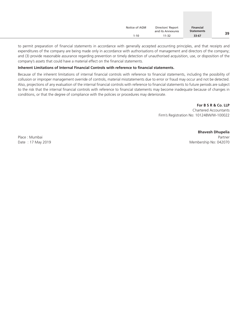| Notice of AGM | Directors' Report<br>and its Annexures | Financial<br><b>Statements</b> |    |
|---------------|----------------------------------------|--------------------------------|----|
| $1 - 10$      | $11 - 32$                              | $33-67$                        | 39 |
|               |                                        |                                |    |

to permit preparation of financial statements in accordance with generally accepted accounting principles, and that receipts and expenditures of the company are being made only in accordance with authorisations of management and directors of the company; and (3) provide reasonable assurance regarding prevention or timely detection of unauthorised acquisition, use, or disposition of the company's assets that could have a material effect on the financial statements.

### **Inherent Limitations of Internal Financial Controls with reference to financial statements.**

Because of the inherent limitations of internal financial controls with reference to financial statements, including the possibility of collusion or improper management override of controls, material misstatements due to error or fraud may occur and not be detected. Also, projections of any evaluation of the internal financial controls with reference to financial statements to future periods are subject to the risk that the internal financial controls with reference to financial statements may become inadequate because of changes in conditions, or that the degree of compliance with the policies or procedures may deteriorate.

> **For B S R & Co. LLP** Chartered Accountants Firm's Registration No: 101248W/W-100022

Place : Mumbai Date : 17 May 2019

**Bhavesh Dhupelia** Partner Membership No: 042070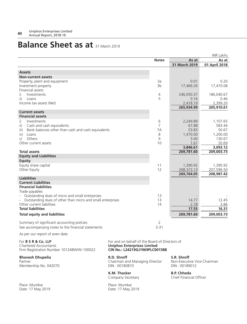Date: 17 May 2019

# **Balance Sheet as at 31 March 2019**

|                                                                                         |                                                |              |                             | <b>INR Lakhs</b>         |
|-----------------------------------------------------------------------------------------|------------------------------------------------|--------------|-----------------------------|--------------------------|
|                                                                                         |                                                | <b>Notes</b> | As at                       | As at                    |
|                                                                                         |                                                |              | 31 March 2019               | 01 April 2018            |
| <b>Assets</b>                                                                           |                                                |              |                             |                          |
| <b>Non-current assets</b>                                                               |                                                |              |                             |                          |
| Property, plant and equipment                                                           |                                                | Зa           | 0.01                        | 0.20                     |
| Investment property                                                                     |                                                | 3b           | 17,466.26                   | 17,470.08                |
| Financial assets<br>Investments<br>i)                                                   |                                                | 4            |                             | 186,040.67               |
| ii)<br>Loans                                                                            |                                                | 5            | 246,050.37<br>0.16          | 0.46                     |
| Income tax assets (Net)                                                                 |                                                |              | 2,418.19                    | 2,399.20                 |
|                                                                                         |                                                |              | 265,934.99                  | 205,910.61               |
| <b>Current assets</b>                                                                   |                                                |              |                             |                          |
| <b>Financial assets</b>                                                                 |                                                |              |                             |                          |
| Investments<br>i)                                                                       |                                                | 6            | 2,249.89                    | 1,107.65                 |
| Cash and cash equivalents<br>ii)                                                        |                                                | 7            | 67.88                       | 583.44                   |
| Bank balances other than cash and cash equivalents<br>iii)                              |                                                | 7A<br>8      | 53.83                       | 50.67                    |
| iv)<br>Loans<br>Others<br>V)                                                            |                                                | 9            | 1,470.00<br>3.40            | 1,200.00<br>130.67       |
| Other current assets                                                                    |                                                | 10           | 1.61                        | 20.69                    |
|                                                                                         |                                                |              | 3,846.61                    | 3,093.12                 |
| <b>Total assets</b>                                                                     |                                                |              | 269,781.60                  | 209,003.73               |
| <b>Equity and Liabilities</b>                                                           |                                                |              |                             |                          |
| Equity                                                                                  |                                                |              |                             |                          |
| Equity share capital                                                                    |                                                | 11<br>12     | 1,390.92                    | 1,390.92                 |
| Other Equity                                                                            |                                                |              | 268,373.13<br>269,764.05    | 207,596.50<br>208,987.42 |
| <b>Liabilities</b>                                                                      |                                                |              |                             |                          |
| <b>Current Liabilities</b>                                                              |                                                |              |                             |                          |
| <b>Financial liabilities</b>                                                            |                                                |              |                             |                          |
| Trade payables                                                                          |                                                |              |                             |                          |
| Outstanding dues of micro and small enterprises                                         |                                                | 13           |                             |                          |
| Outstanding dues of other than micro and small enterprises<br>Other current liabilities |                                                | 13<br>14     | 14.77<br>2.78               | 12.45<br>3.86            |
| <b>Total liabilities</b>                                                                |                                                |              | 17.55                       | 16.31                    |
| <b>Total equity and liabilities</b>                                                     |                                                |              | 269,781.60                  | 209,003.73               |
|                                                                                         |                                                |              |                             |                          |
| Summary of significant accounting policies                                              |                                                | 2            |                             |                          |
| See accompanying notes to the financial statements                                      |                                                | $3 - 31$     |                             |                          |
| As per our report of even date                                                          |                                                |              |                             |                          |
| For B S R & Co. LLP                                                                     | For and on behalf of the Board of Directors of |              |                             |                          |
| Chartered Accountants                                                                   | <b>Uniphos Enterprises Limited</b>             |              |                             |                          |
| Firm Registration Number 101248W/W-100022                                               | CIN No.: L24219GJ1969PLC001588                 |              |                             |                          |
| <b>Bhavesh Dhupelia</b>                                                                 | R.D. Shroff                                    |              | S.R. Shroff                 |                          |
| Partner                                                                                 | Chairman and Managing Director                 |              | Non-Executive Vice-Chairman |                          |
| Membership No. 042070                                                                   | DIN: 00180810                                  |              | DIN: 00189012               |                          |
|                                                                                         | K.M. Thacker                                   |              | <b>B.P.</b> Chheda          |                          |
|                                                                                         | Company Secretary                              |              | Chief Financial Officer     |                          |
| Place: Mumbai                                                                           | Place: Mumbai                                  |              |                             |                          |

Date: 17 May 2019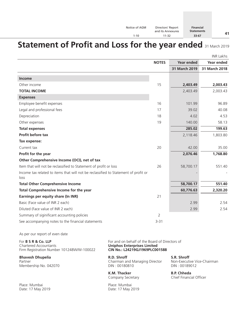# **Statement of Profit and Loss for the year ended 31 March 2019**

|                                                                                     |                |                   | <b>INR Lakhs</b> |
|-------------------------------------------------------------------------------------|----------------|-------------------|------------------|
|                                                                                     | <b>NOTES</b>   | <b>Year ended</b> | Year ended       |
|                                                                                     |                | 31 March 2019     | 31 March 2018    |
| Income                                                                              |                |                   |                  |
| Other income                                                                        | 15             | 2,403.49          | 2,003.43         |
| <b>TOTAL INCOME</b>                                                                 |                | 2,403.49          | 2,003.43         |
| <b>Expenses</b>                                                                     |                |                   |                  |
| Employee benefit expenses                                                           | 16             | 101.99            | 96.89            |
| Legal and professional fees                                                         | 17             | 39.02             | 40.08            |
| Depreciation                                                                        | 18             | 4.02              | 4.53             |
| Other expenses                                                                      | 19             | 140.00            | 58.13            |
| <b>Total expenses</b>                                                               |                | 285.02            | 199.63           |
| Profit before tax                                                                   |                | 2,118.46          | 1,803.80         |
| Tax expense:                                                                        |                |                   |                  |
| Current tax                                                                         | 20             | 42.00             | 35.00            |
| Profit for the year                                                                 |                | 2,076.46          | 1,768.80         |
| Other Comprehensive Income (OCI), net of tax                                        |                |                   |                  |
| Item that will not be reclassified to Statement of profit or loss                   | 26             | 58,700.17         | 551.40           |
| Income tax related to items that will not be reclassified to Statement of profit or |                |                   |                  |
| loss                                                                                |                |                   |                  |
| <b>Total Other Comprehensive Income</b>                                             |                | 58,700.17         | 551.40           |
| Total Comprehensive Income for the year                                             |                | 60,776.63         | 2,320.20         |
| Earnings per equity share (In INR)                                                  | 21             |                   |                  |
| Basic (Face value of INR 2 each)                                                    |                | 2.99              | 2.54             |
| Diluted (Face value of INR 2 each)                                                  |                | 2.99              | 2.54             |
| Summary of siginificant accounting policies                                         | $\overline{2}$ |                   |                  |
| See accompanying notes to the financial statements                                  | $3 - 31$       |                   |                  |
| As per our report of even date                                                      |                |                   |                  |

For **B S R & Co. LLP** Chartered Accountants Firm Registration Number 101248W/W-100022

**Bhavesh Dhupelia** Partner Membership No. 042070

Place: Mumbai Date: 17 May 2019 For and on behalf of the Board of Directors of **Uniphos Enterprises Limited CIN No.: L24219GJ1969PLC001588**

**R.D. Shroff** Chairman and Managing Director DIN : 00180810

**K.M. Thacker** Company Secretary

Place: Mumbai Date: 17 May 2019

**S.R. Shroff** Non-Executive Vice-Chairman DIN : 00189012

**B.P. Chheda** Chief Financial Officer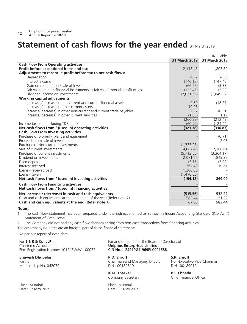# **Statement of cash flows for the year ended** 31 March 2019

|                                                                               |               | <b>INR Lakhs</b> |
|-------------------------------------------------------------------------------|---------------|------------------|
|                                                                               | 31 March 2019 | 31 March 2018    |
| <b>Cash Flow From Operating activities</b>                                    |               |                  |
| Profit before exceptional items and tax                                       | 2,118.46      | 1,803.80         |
| Adjustments to reconcile profit before tax to net cash flows:                 |               |                  |
| Depreciation                                                                  | 4.02          | 4.53             |
| Interest Income                                                               | (140.13)      | (147.46)         |
| Gain on redemption / sale of Investments                                      | (66.25)       | (3.33)           |
| Fair value gain on financial instruments at fair value through profit or loss | (125.45)      | (3.23)           |
| Dividend Income on investments                                                | (2,071.66)    | (1,849.37)       |
| <b>Working capital adjustments</b>                                            |               |                  |
| (Increase)/decrease in non-current and current financial assets               | 0.30          | (18.27)          |
| (Increase)/decrease in other current assets                                   | 19.08         |                  |
| Increase/(decrease) in other non-current and current trade payables           | 2.32          | (0.31)           |
| Increase/(decrease) in other current liabilities                              | (1.08)        | 1.19             |
|                                                                               | (260.39)      | (212.43)         |
| Income tax paid (including TDS) (net)                                         | (60.99)       | (124.44)         |
| Net cash flows from / (used in) operating activities                          | (321.38)      | (336.87)         |
| <b>Cash Flow From Investing activities</b>                                    |               |                  |
| Purchase of property, plant and equipment                                     |               | (0.71)           |
| Proceeds from sale of investments                                             |               | 2.03             |
| Purchase of Non current investments                                           | (1,233.98)    |                  |
| Sale of current investments                                                   | 4,687.40      | 2,366.04         |
| Purchase of current investments                                               | (5,713.50)    | (3,364.17)       |
| Dividend on investments                                                       | 2,071.66      | 1,849.37         |
| Fixed deposits                                                                | (3.16)        | (3.08)           |
| Interest received                                                             | 267.40        | 19.61            |
| Loans - received back                                                         | 1,200.00      |                  |
| Loans - Given                                                                 | (1.470.00)    |                  |
| Net cash flows from / (used in) investing activities                          | (194.18)      | 869.09           |
| <b>Cash Flow From Financing activities</b>                                    |               |                  |
| Net cash flows from / (used in) financing activities                          |               |                  |
| Net increase / (decrease) in cash and cash equivalents                        | (515.56)      | 532.22           |
| Cash and cash equivalents at the beginning of the year (Refer note 7)         | 583.44        | 51.22            |
| Cash and cash equivalents at the end (Refer note 7)                           | 67.88         | 583.44           |

### **Notes:**

- 1. The cash flow statement has been prepared under the indirect method as set out in Indian Accounting Standard (IND AS 7) Statement of Cash Flows.
- 2. The Company did not had any cash flow changes arising from non-cash transactions from financing activities.
- The accompanying notes are an integral part of these financial statements

As per our report of even date

For **B S R & Co. LLP** Chartered Accountants Firm Registration Number 101248W/W-100022

**Bhavesh Dhupelia** Partner Membership No. 042070

Place: Mumbai Date: 17 May 2019 For and on behalf of the Board of Directors of **Uniphos Enterprises Limited CIN No.: L24219GJ1969PLC001588**

**R.D. Shroff** Chairman and Managing Director DIN : 00180810

**K.M. Thacker** Company Secretary

Place: Mumbai Date: 17 May 2019 **S.R. Shroff** Non-Executive Vice-Chairman DIN : 00189012

**B.P. Chheda** Chief Financial Officer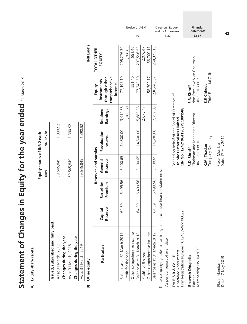|   | Statement of Changes in Equity for the year ended su March 2019                                              |             |                           |                             |                                                                                                                 |          |                                                                              |                    |           |
|---|--------------------------------------------------------------------------------------------------------------|-------------|---------------------------|-----------------------------|-----------------------------------------------------------------------------------------------------------------|----------|------------------------------------------------------------------------------|--------------------|-----------|
| ₹ | Equity share capital                                                                                         |             |                           |                             |                                                                                                                 |          |                                                                              |                    |           |
|   |                                                                                                              |             |                           | Equity shares of INR 2 each |                                                                                                                 |          |                                                                              |                    |           |
|   |                                                                                                              |             |                           | Nos.                        | <b>INR Lakhs</b>                                                                                                |          |                                                                              |                    |           |
|   | Issued, subscribed and fully paid                                                                            |             |                           |                             |                                                                                                                 |          |                                                                              |                    |           |
|   | As at 31 March, 2017                                                                                         |             |                           | 69,545,849                  | 1,390.92                                                                                                        |          |                                                                              |                    |           |
|   | Changes during the year                                                                                      |             |                           |                             |                                                                                                                 |          |                                                                              |                    |           |
|   | As at 31 March, 2018                                                                                         |             |                           | 69,545,849                  | 1,390.92                                                                                                        |          |                                                                              |                    |           |
|   | Changes during the year                                                                                      |             |                           |                             |                                                                                                                 |          |                                                                              |                    |           |
|   | As at 31 March, 2019                                                                                         |             |                           | 69,545,849                  | 1,390.92                                                                                                        |          |                                                                              |                    |           |
| 6 | Other equity                                                                                                 |             |                           |                             |                                                                                                                 |          |                                                                              | <b>INR Lakhs</b>   |           |
|   |                                                                                                              |             |                           | Reserves and surplus        |                                                                                                                 |          | Equity                                                                       | <b>TOTAL OTHER</b> |           |
|   | Particulars                                                                                                  | Capital     | Securities                | General                     | Revaluation                                                                                                     | Retained | instruments                                                                  | EQUITY             |           |
|   |                                                                                                              | eserve<br>≃ | Premium                   | Reserve                     | reserve                                                                                                         | Earnings | comprehensive<br>through other<br>income                                     |                    |           |
|   | Balance as at 31 March 2017                                                                                  | 64.39       | ,499.56<br>$\ddot{\circ}$ | 3,100.65                    | 14,500.00                                                                                                       | 3,914.58 | 177, 197. 10                                                                 | 205,276.30         |           |
|   | Profit for the year                                                                                          |             |                           |                             |                                                                                                                 | 1,768.80 |                                                                              | 1,768.80           |           |
|   | Other comprehensive income                                                                                   |             |                           |                             |                                                                                                                 |          | 551.40                                                                       | 551.40             |           |
|   | Balance as at 31 March 2018                                                                                  | 64.39       | 6,499.56                  | 3,100.65                    | 14,500.00                                                                                                       | 5,683.38 | 177,748.50                                                                   | 207,596.50         | $1 - 10$  |
|   | Profit for the year                                                                                          |             |                           |                             |                                                                                                                 | 2,076.47 |                                                                              | 2,076.47           |           |
|   | Other comprehensive income                                                                                   |             |                           |                             |                                                                                                                 |          | 58,700.17                                                                    | 58,700.17          |           |
|   | Balance as at 31 March 2019                                                                                  | 64.39       | 6,499.56                  | 3,100.65                    | 14,500.00                                                                                                       | 7,759.85 | 236,448.67                                                                   | 268,373.13         |           |
|   | The accompanying notes are an integral part of these financial statements.<br>As per our report of even date |             |                           |                             |                                                                                                                 |          |                                                                              |                    | $11 - 32$ |
|   | Firm Registration Number 101248W/W-100022<br>Chartered Accountants<br>For B S R & Co. LLP                    |             |                           |                             | For and on behalf of the Board of Directors of<br>CIN No.: L24219GJ1969PLC001588<br>Uniphos Enterprises Limited |          |                                                                              |                    |           |
|   | Membership No. 042070<br><b>Bhavesh Dhupelia</b><br>Partner                                                  |             |                           | R.D. Shroff                 | Chairman and Managing Director<br>DIN: 00180810                                                                 |          | Non-Executive Vice-Chairman<br>DIN : 00189012<br>DIN: 0018901<br>S.R. Shroff |                    | 33-67     |
|   |                                                                                                              |             |                           | K.M. Thacker                | Company Secretary                                                                                               |          | Chief Financial Officer<br><b>B.P.</b> Chheda                                |                    |           |
|   | Place: Mumbai<br>Date: 17 May 2019                                                                           |             |                           |                             | Place: Mumbai<br>Date: 17 May 2019                                                                              |          |                                                                              |                    | 43        |

Notice of AGM Directors' Report

and its Annexures

**Financial Statements**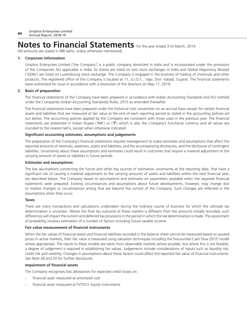(All amounts are stated in INR lakhs, unless otherwise mentioned)

### **1. Corporate information**

Uniphos Enterprises Limited ('the Company') is a public company domiciled in India and is incorporated under the provisions of the Companies Act applicable in India. Its shares are listed on two stock exchanges in India and Global Depository Receipt ('GDRs') are listed on Luxembourg stock exchange. The Company is engaged in the business of trading of chemicals and other products. The registered office of the Company is located at 11, G.I.D.C., Vapi, Dist- Valsad, Gujarat. The financial statements were authorised for issue in accordance with a resolution of the directors on May 17, 2019.

### **2. Basis of preparation**

The financial statements of the Company have been prepared in accordance with Indian Accounting Standards (Ind AS) notified under the Companies (Indian Accounting Standards) Rules, 2015 as amended thereafter.

The financial statements have been prepared under the historical cost convention on an accrual basis except for certain financial assets and liabilities that are measured at fair value at the end of each reporting period as stated in the accounting policies set out below. The accounting policies applied by the Company are consistent with those used in the previous year. The financial statements are presented in Indian Rupee ('INR') or  $(\vec{\tau}')$  which is also the Company's functional currency and all values are rounded to the nearest lakhs, except when otherwise indicated.

### **Significant accounting estimates, assumptions and judgements**

The preparation of the Company's financial statements requires management to make estimates and assumptions that affect the reported amounts of revenues, expenses, assets and liabilities, and the accompanying disclosures, and the disclosure of contingent liabilities. Uncertainty about these assumptions and estimates could result in outcomes that require a material adjustment to the carrying amount of assets or liabilities in future periods.

### **Estimates and assumptions**

The key assumptions concerning the future and other key sources of estimation uncertainty at the reporting date, that have a significant risk of causing a material adjustment to the carrying amounts of assets and liabilities within the next financial year, are described below. The Company based its assumptions and estimates on parameters available when the separate financial statements were prepared. Existing circumstances and assumptions about future developments, however, may change due to market changes or circumstances arising that are beyond the control of the Company. Such changes are reflected in the assumptions when they occur.

### **Taxes**

There are many transactions and calculations undertaken during the ordinary course of business for which the ultimate tax determination is uncertain. Where the final tax outcome of these matters is different from the amounts initially recorded, such differences will impact the current and deferred tax provisions in the period in which the tax determination is made. The assessment of probability involves estimation of a number of factors including future taxable income.

### **Fair value measurement of financial instruments**

When the fair values of financial assets and financial liabilities recorded in the balance sheet cannot be measured based on quoted prices in active markets, their fair value is measured using valuation techniques including the Discounted Cash Flow (DCF) model where appropriate. The inputs to these models are taken from observable markets where possible, but where this is not feasible, a degree of judgement is required in establishing fair values. Judgements include considerations of inputs such as liquidity risk, credit risk and volatility. Changes in assumptions about these factors could affect the reported fair value of financial instruments. See Note 28 and 29 for further disclosures

### **Impairment of financial assets**

The Company recognises loss allowances for expected credit losses on:

- financial asset measured at amortized cost
- financial asset measured at FVTOCI- Equity instruments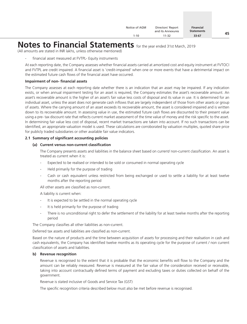| Notice of AGM | Directors' Report | <b>Financial</b>  |    |
|---------------|-------------------|-------------------|----|
|               | and its Annexures | <b>Statements</b> |    |
| $1 - 10$      | $11 - 32$         | 33-67             | 45 |

(All amounts are stated in INR lakhs, unless otherwise mentioned)

financial asset measured at FVTPL- Equity instruments

At each reporting date, the Company assesses whether financial assets carried at amortized cost and equity instrument at FVTOCI and FVTPL are credit impaired. A financial asset is 'credit-impaired' when one or more events that have a detrimental impact on the estimated future cash flows of the financial asset have occurred.

### **Impairment of non- financial assets**

The Company assesses at each reporting date whether there is an indication that an asset may be impaired. If any indication exists, or when annual impairment testing for an asset is required, the Company estimates the asset's recoverable amount. An asset's recoverable amount is the higher of an asset's fair value less costs of disposal and its value in use. It is determined for an individual asset, unless the asset does not generate cash inflows that are largely independent of those from other assets or group of assets. Where the carrying amount of an asset exceeds its recoverable amount, the asset is considered impaired and is written down to its recoverable amount. In assessing value in use, the estimated future cash flows are discounted to their present value using a pre- tax discount rate that reflects current market assessment of the time value of money and the risk specific to the asset. In determining fair value less cost of disposal, recent market transactions are taken into account. If no such transactions can be identified, an appropriate valuation model is used. These calculations are corroborated by valuation multiples, quoted share price for publicly traded subsidiaries or other available fair value indicators.

### **2.1 Summary of significant accounting policies**

### **(a) Current versus non-current classification**

The Company presents assets and liabilities in the balance sheet based on current/ non-current classification. An asset is treated as current when it is:

- Expected to be realised or intended to be sold or consumed in normal operating cycle
- Held primarily for the purpose of trading
- Cash or cash equivalent unless restricted from being exchanged or used to settle a liability for at least twelve months after the reporting period

All other assets are classified as non-current.

A liability is current when:

- It is expected to be settled in the normal operating cycle
- It is held primarily for the purpose of trading
- There is no unconditional right to defer the settlement of the liability for at least twelve months after the reporting period

The Company classifies all other liabilities as non-current.

Deferred tax assets and liabilities are classified as non-current.

 Based on the nature of products and the time between acquisition of assets for processing and their realisation in cash and cash equivalents, the Company has identified twelve months as its operating cycle for the purpose of current / non current classification of assets and liabilities.

### **b) Revenue recognition**

 Revenue is recognised to the extent that it is probable that the economic benefits will flow to the Company and the amount can be reliably measured. Revenue is measured at the fair value of the consideration received or receivable, taking into account contractually defined terms of payment and excluding taxes or duties collected on behalf of the government.

Revenue is stated inclusive of Goods and Service Tax (GST)

The specific recognition criteria described below must also be met before revenue is recognised.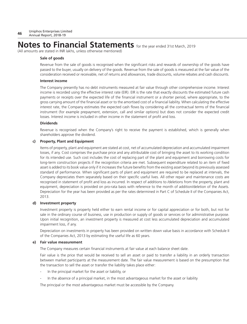(All amounts are stated in INR lakhs, unless otherwise mentioned)

### **Sale of goods**

 Revenue from the sale of goods is recognised when the significant risks and rewards of ownership of the goods have passed to the buyer, usually on delivery of the goods. Revenue from the sale of goods is measured at the fair value of the consideration received or receivable, net of returns and allowances, trade discounts, volume rebates and cash discounts.

### **Interest income**

 The Company presently has no debt instruments measured at fair value through other comprehensive income. Interest income is recorded using the effective interest rate (EIR). EIR is the rate that exactly discounts the estimated future cash payments or receipts over the expected life of the financial instrument or a shorter period, where appropriate, to the gross carrying amount of the financial asset or to the amortised cost of a financial liability. When calculating the effective interest rate, the Company estimates the expected cash flows by considering all the contractual terms of the financial instrument (for example prepayment, extension, call and similar options) but does not consider the expected credit losses. Interest income is included in other income in the statement of profit and loss.

### **Dividends**

 Revenue is recognised when the Company's right to receive the payment is established, which is generally when shareholders approve the dividend.

### **c) Property, Plant and Equipment**

 Items of property, plant and equipment are stated at cost, net of accumulated depreciation and accumulated impairment losses, if any. Cost comprises the purchase price and any attributable cost of bringing the asset to its working condition for its intended use. Such cost includes the cost of replacing part of the plant and equipment and borrowing costs for long-term construction projects if the recognition criteria are met. Subsequent expenditure related to an item of fixed asset is added to its book value only if it increases the future benefits from the existing asset beyond its previously assessed standard of performance. When significant parts of plant and equipment are required to be replaced at intervals, the Company depreciates them separately based on their specific useful lives. All other repair and maintenance costs are recognised in statement of profit and loss as incurred. In respect of additions to /deletions from the property, plant and equipment, depreciation is provided on pro-rata basis with reference to the month of addition/deletion of the Assets. Depreciation for the year has been provided as per the rates determined in Part C of Schedule II of the Companies Act, 2013.

### **d) Investment property**

 Investment property is property held either to earn rental income or for capital appreciation or for both, but not for sale in the ordinary course of business, use in production or supply of goods or services or for administrative purpose. Upon initial recognition, an investment property is measured at cost less accumulated depreciation and accumulated impairment loss, if any.

 Depreciation on investments in property has been provided on written down value basis in accordance with Schedule II of the Companies Act, 2013 by estimating the useful life as 60 years.

### **e) Fair value measurement**

The Company measures certain financial instruments at fair value at each balance sheet date.

 Fair value is the price that would be received to sell an asset or paid to transfer a liability in an orderly transaction between market participants at the measurement date. The fair value measurement is based on the presumption that the transaction to sell the asset or transfer the liability takes place either:

- In the principal market for the asset or liability, or
- In the absence of a principal market, in the most advantageous market for the asset or liability

The principal or the most advantageous market must be accessible by the Company.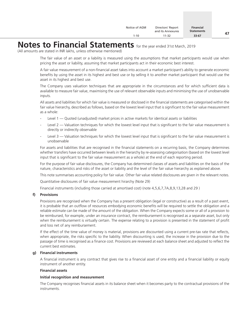(All amounts are stated in INR lakhs, unless otherwise mentioned)

 The fair value of an asset or a liability is measured using the assumptions that market participants would use when pricing the asset or liability, assuming that market participants act in their economic best interest.

 A fair value measurement of a non-financial asset takes into account a market participant's ability to generate economic benefits by using the asset in its highest and best use or by selling it to another market participant that would use the asset in its highest and best use.

 The Company uses valuation techniques that are appropriate in the circumstances and for which sufficient data is available to measure fair value, maximising the use of relevant observable inputs and minimising the use of unobservable inputs.

 All assets and liabilities for which fair value is measured or disclosed in the financial statements are categorised within the fair value hierarchy, described as follows, based on the lowest level input that is significant to the fair value measurement as a whole:

- Level  $1$  Quoted (unadjusted) market prices in active markets for identical assets or liabilities
- Level 2 Valuation techniques for which the lowest level input that is significant to the fair value measurement is directly or indirectly observable
- Level 3 Valuation techniques for which the lowest level input that is significant to the fair value measurement is unobservable

 For assets and liabilities that are recognised in the financial statements on a recurring basis, the Company determines whether transfers have occurred between levels in the hierarchy by re-assessing categorisation (based on the lowest level input that is significant to the fair value measurement as a whole) at the end of each reporting period.

 For the purpose of fair value disclosures, the Company has determined classes of assets and liabilities on the basis of the nature, characteristics and risks of the asset or liability and the level of the fair value hierarchy as explained above.

This note summarises accounting policy for fair value. Other fair value related disclosures are given in the relevant notes.

Quantitative disclosures of fair value measurement hirarchy (Note 29)

Financial instruments (including those carried at amortised cost) (note 4,5,6,7,7A,8,9,13,28 and 29 )

### **f) Provisions**

 Provisions are recognised when the Company has a present obligation (legal or constructive) as a result of a past event, it is probable that an outflow of resources embodying economic benefits will be required to settle the obligation and a reliable estimate can be made of the amount of the obligation. When the Company expects some or all of a provision to be reimbursed, for example, under an insurance contract, the reimbursement is recognised as a separate asset, but only when the reimbursement is virtually certain. The expense relating to a provision is presented in the statement of profit and loss net of any reimbursement.

 If the effect of the time value of money is material, provisions are discounted using a current pre-tax rate that reflects, when appropriate, the risks specific to the liability. When discounting is used, the increase in the provision due to the passage of time is recognised as a finance cost. Provisions are reviewed at each balance sheet and adjusted to reflect the current best estimates.

### **g) Financial instruments**

 A financial instrument is any contract that gives rise to a financial asset of one entity and a financial liability or equity instrument of another entity.

### **Financial assets**

### **Initial recognition and measurement**

 The Company recognises financial assets in its balance sheet when it becomes party to the contractual provisions of the instruments.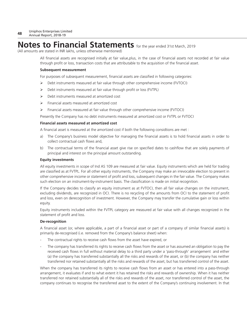(All amounts are stated in INR lakhs, unless otherwise mentioned)

 All financial assets are recognised initially at fair value,plus, in the case of financial assets not recorded at fair value through profit or loss, transaction costs that are attributable to the acquisition of the financial asset.

### **Subsequent measurement**

For purposes of subsequent measurement, financial assets are classified in following categories:

- $\triangleright$  Debt instruments measured at fair value through other comprehensive income (FVTOCI)
- $\triangleright$  Debt instruments measured at fair value through profit or loss (FVTPL)
- Debt instruments measured at amortized cost
- Financial assets measured at amortized cost
- $\triangleright$  Financial assets measured at fair value through other comprehensive income (FVTOCI)

Presently the Company has no debt instruments measured at amortized cost or FVTPL or FVTOCI

### **Financial assets measured at amortized cost**

A financial asset is measured at the amortized cost if both the following considtions are met :

- a) The Company's business model objective for managing the financial assets is to hold financial assets in order to collect contractual cash flows and,
- b) The contractual terms of the financial asset give rise on specified dates to cashflow that are solely payments of principal and interest on the principal amount outstanding.

### **Equity investments**

 All equity investments in scope of Ind AS 109 are measured at fair value. Equity instruments which are held for trading are classified as at FVTPL. For all other equity instruments, the Company may make an irrevocable election to present in other comprehensive income or statement of profit and loss, subsequent changes in the fair value. The Company makes such election on an instrument-by-instrument basis. The classification is made on initial recognition.

 If the Company decides to classify an equity instrument as at FVTOCI, then all fair value changes on the instrument, excluding dividends, are recognized in OCI. There is no recycling of the amounts from OCI to the statement of profit and loss, even on derecognition of investment. However, the Company may transfer the cumulative gain or loss within equity.

 Equity instruments included within the FVTPL category are measured at fair value with all changes recognized in the statement of profit and loss.

### **De-recognition**

 A financial asset (or, where applicable, a part of a financial asset or part of a company of similar financial assets) is primarily de-recognised (i.e. removed from the Company's balance sheet) when:

- The contractual rights to receive cash flows from the asset have expired, or
- The company has transferred its rights to receive cash flows from the asset or has assumed an obligation to pay the received cash flows in full without material delay to a third party under a 'pass-through' arrangement; and either (a) the company has transferred substantially all the risks and rewards of the asset, or (b) the company has neither transferred nor retained substantially all the risks and rewards of the asset, but has transferred control of the asset.

 When the company has transferred its rights to receive cash flows from an asset or has entered into a pass-through arrangement, it evaluates if and to what extent it has retained the risks and rewards of ownership. When it has neither transferred nor retained substantially all of the risks and rewards of the asset, nor transferred control of the asset, the company continues to recognise the transferred asset to the extent of the Company's continuing involvement. In that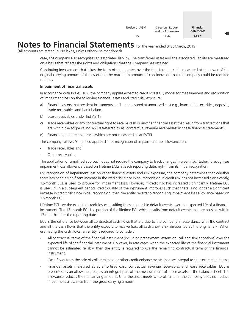(All amounts are stated in INR lakhs, unless otherwise mentioned)

case, the company also recognises an associated liability. The transferred asset and the associated liability are measured on a basis that reflects the rights and obligations that the Company has retained.

 Continuing involvement that takes the form of a guarantee over the transferred asset is measured at the lower of the original carrying amount of the asset and the maximum amount of consideration that the company could be required to repay.

### **Impairment of financial assets**

 In accordance with Ind AS 109, the company applies expected credit loss (ECL) model for measurement and recognition of impairment loss on the following financial assets and credit risk exposure:

- a) Financial assets that are debt instruments, and are measured at amortised cost e.g., loans, debt securities, deposits, trade receivables and bank balance
- b) Lease receivables under Ind AS 17
- c) Trade receivables or any contractual right to receive cash or another financial asset that result from transactions that are within the scope of Ind AS 18 (referred to as 'contractual revenue receivables' in these financial statements)
- d) Financial guarantee contracts which are not measured as at FVTPL

The company follows 'simplified approach' for recognition of impairment loss allowance on:

- Trade receivables and
- Other receivables

 The application of simplified approach does not require the company to track changes in credit risk. Rather, it recognises impairment loss allowance based on lifetime ECLs at each reporting date, right from its initial recognition.

 For recognition of impairment loss on other financial assets and risk exposure, the company determines that whether there has been a significant increase in the credit risk since initial recognition. If credit risk has not increased significantly, 12-month ECL is used to provide for impairment loss. However, if credit risk has increased significantly, lifetime ECL is used. If, in a subsequent period, credit quality of the instrument improves such that there is no longer a significant increase in credit risk since initial recognition, then the entity reverts to recognising impairment loss allowance based on 12-month ECL.

 Lifetime ECL are the expected credit losses resulting from all possible default events over the expected life of a financial instrument. The 12-month ECL is a portion of the lifetime ECL which results from default events that are possible within 12 months after the reporting date.

 ECL is the difference between all contractual cash flows that are due to the company in accordance with the contract and all the cash flows that the entity expects to receive (i.e., all cash shortfalls), discounted at the original EIR. When estimating the cash flows, an entity is required to consider:

- All contractual terms of the financial instrument (including prepayment, extension, call and similar options) over the expected life of the financial instrument. However, in rare cases when the expected life of the financial instrument cannot be estimated reliably, then the entity is required to use the remaining contractual term of the financial instrument.
- Cash flows from the sale of collateral held or other credit enhancements that are integral to the contractual terms.
- Financial assets measured as at amortised cost, contractual revenue receivables and lease receivables: ECL is presented as an allowance, i.e., as an integral part of the measurement of those assets in the balance sheet. The allowance reduces the net carrying amount. Until the asset meets write-off criteria, the company does not reduce impairment allowance from the gross carrying amount.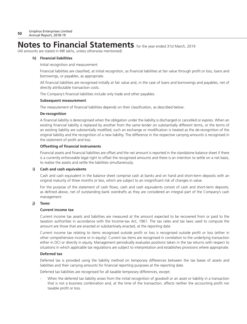(All amounts are stated in INR lakhs, unless otherwise mentioned)

### **h) Financial liabilities**

Initial recognition and measurement

 Financial liabilities are classified, at initial recognition, as financial liabilities at fair value through profit or loss, loans and borrowings, or payables, as appropriate.

 All financial liabilities are recognised initially at fair value and, in the case of loans and borrowings and payables, net of directly attributable transaction costs.

The Company's financial liabilities include only trade and other payables.

### **Subsequent measurement**

The measurement of financial liabilities depends on their classification, as described below:

### **De-recognition**

 A financial liability is derecognised when the obligation under the liability is discharged or cancelled or expires. When an existing financial liability is replaced by another from the same lender on substantially different terms, or the terms of an existing liability are substantially modified, such an exchange or modification is treated as the de-recognition of the original liability and the recognition of a new liability. The difference in the respective carrying amounts is recognised in the statement of profit and loss.

### **Offsetting of financial instruments**

 Financial assets and financial liabilities are offset and the net amount is reported in the standalone balance sheet if there is a currently enforceable legal right to offset the recognised amounts and there is an intention to settle on a net basis, to realise the assets and settle the liabilities simultaneously.

### **i) Cash and cash equivalents**

 Cash and cash equivalent in the balance sheet comprise cash at banks and on hand and short-term deposits with an original maturity of three months or less, which are subject to an insignificant risk of changes in value.

 For the purpose of the statement of cash flows, cash and cash equivalents consist of cash and short-term deposits, as defined above, net of outstanding bank overdrafts as they are considered an integral part of the Company's cash management.

### **j) Taxes**

### **Current income tax**

 Current income tax assets and liabilities are measured at the amount expected to be recovered from or paid to the taxation authorities in accordance with the Income-tax Act, 1961. The tax rates and tax laws used to compute the amount are those that are enacted or substantively enacted, at the reporting date.

 Current income tax relating to items recognised outside profit or loss is recognised outside profit or loss (either in other comprehensive income or in equity). Current tax items are recognised in correlation to the underlying transaction either in OCI or directly in equity. Management periodically evaluates positions taken in the tax returns with respect to situations in which applicable tax regulations are subject to interpretation and establishes provisions where appropriate.

### **Deferred tax**

 Deferred tax is provided using the liability method on temporary differences between the tax bases of assets and liabilities and their carrying amounts for financial reporting purposes at the reporting date.

Deferred tax liabilities are recognised for all taxable temporary differences, except:

When the deferred tax liability arises from the initial recognition of goodwill or an asset or liability in a transaction that is not a business combination and, at the time of the transaction, affects neither the accounting profit nor taxable profit or loss.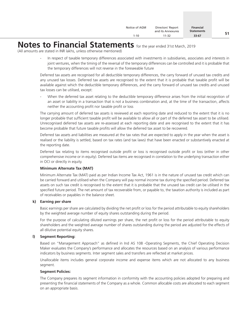(All amounts are stated in INR lakhs, unless otherwise mentioned)

In respect of taxable temporary differences associated with investments in subsidiaries, associates and interests in joint ventures, when the timing of the reversal of the temporary differences can be controlled and it is probable that the temporary differences will not reverse in the foreseeable future

 Deferred tax assets are recognised for all deductible temporary differences, the carry forward of unused tax credits and any unused tax losses. Deferred tax assets are recognised to the extent that it is probable that taxable profit will be available against which the deductible temporary differences, and the carry forward of unused tax credits and unused tax losses can be utilised, except:

When the deferred tax asset relating to the deductible temporary difference arises from the initial recognition of an asset or liability in a transaction that is not a business combination and, at the time of the transaction, affects neither the accounting profit nor taxable profit or loss

 The carrying amount of deferred tax assets is reviewed at each reporting date and reduced to the extent that it is no longer probable that sufficient taxable profit will be available to allow all or part of the deferred tax asset to be utilised. Unrecognised deferred tax assets are re-assessed at each reporting date and are recognised to the extent that it has become probable that future taxable profits will allow the deferred tax asset to be recovered.

 Deferred tax assets and liabilities are measured at the tax rates that are expected to apply in the year when the asset is realised or the liability is settled, based on tax rates (and tax laws) that have been enacted or substantively enacted at the reporting date.

 Deferred tax relating to items recognised outside profit or loss is recognised outside profit or loss (either in other comprehensive income or in equity). Deferred tax items are recognised in correlation to the underlying transaction either in OCI or directly in equity.

### **Minimum Alternate Tax (MAT)**

 Minimum Alternate Tax (MAT) paid as per Indian Income Tax Act, 1961 is in the nature of unused tax credit which can be carried forward and utilised when the Company will pay normal income tax during the specified period. Deferred tax assets on such tax credit is recognised to the extent that it is probable that the unused tax credit can be utilised in the specified future period. The net amount of tax recoverable from, or payable to, the taxation authority is included as part of receivables or payables in the balance sheet.

### **k) Earning per share**

 Basic earnings per share are calculated by dividing the net profit or loss for the period attributable to equity shareholders by the weighted average number of equity shares outstanding during the period.

 For the purpose of calculating diluted earnings per share, the net profit or loss for the period attributable to equity shareholders and the weighted average number of shares outstanding during the period are adjusted for the effects of all dilutive potential equity shares.

### **l) Segment Reporting:**

 Based on "Management Approach" as defined in Ind AS 108 -Operating Segments, the Chief Operating Decision Maker evaluates the Company's performance and allocates the resources based on an analysis of various performance indicators by business segments. Inter segment sales and transfers are reflected at market prices.

 Unallocable items includes general corporate income and expense items which are not allocated to any business segment.

### **Segment Policies:**

 The Company prepares its segment information in conformity with the accounting policies adopted for preparing and presenting the financial statements of the Company as a whole. Common allocable costs are allocated to each segment on an appropriate basis.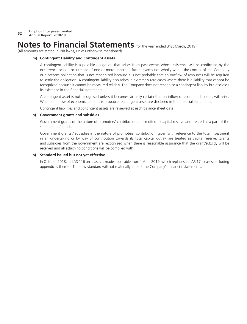(All amounts are stated in INR lakhs, unless otherwise mentioned)

### **m) Contingent Liability and Contingent assets**

 A contingent liability is a possible obligation that arises from past events whose existence will be confirmed by the occurrence or non-occurrence of one or more uncertain future events not wholly within the control of the Company or a present obligation that is not recognized because it is not probable that an outflow of resources will be required to settle the obligation. A contingent liability also arises in extremely rare cases where there is a liability that cannot be recognized because it cannot be measured reliably. The Company does not recognize a contingent liability but discloses its existence in the financial statements.

 A contingent asset is not recognised unless it becomes virtually certain that an inflow of economic benefits will arise. When an inflow of economic benefits is probable, contingent asset are disclosed in the financial statements.

Contingent liabilities and contingent assets are reviewed at each balance sheet date.

### **n) Government grants and subsidies**

 Government grants of the nature of promoters' contribution are credited to capital reserve and treated as a part of the shareholders' funds.

 Government grants / subsidies in the nature of promoters' contribution, given with reference to the total investment in an undertaking or by way of contribution towards its total capital outlay, are treated as capital reserve. Grants and subsidies from the government are recognized when there is reasonable assurance that the grant/subsidy will be received and all attaching conditions will be complied with

### **o) Standard issued but not yet effective**

 In October 2018, Ind AS 116 on Leases is made applicable from 1 April 2019, which replaces Ind AS 17 'Leases, including appendices thereto. The new standard will not materially impact the Company's financial statements.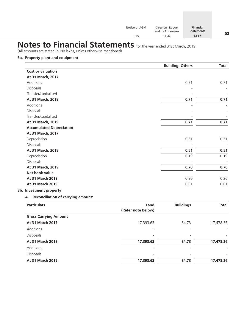|    | Financial         | Directors' Report | Notice of AGM |
|----|-------------------|-------------------|---------------|
|    | <b>Statements</b> | and its Annexures |               |
| 53 | $33 - 67$         | 11-32             | $1 - 10$      |

(All amounts are stated in INR lakhs, unless otherwise mentioned)

### **3a. Property plant and equipment**

|                                 | <b>Building-Others</b> | <b>Total</b>             |
|---------------------------------|------------------------|--------------------------|
| <b>Cost or valuation</b>        |                        |                          |
| At 31 March, 2017               |                        |                          |
| Additions                       | 0.71                   | 0.71                     |
| Disposals                       |                        |                          |
| Transfer/capitalised            |                        |                          |
| At 31 March, 2018               | 0.71                   | 0.71                     |
| Additions                       |                        |                          |
| Disposals                       |                        |                          |
| Transfer/capitalised            |                        |                          |
| At 31 March, 2019               | 0.71                   | 0.71                     |
| <b>Accumulated Depreciation</b> |                        |                          |
| At 31 March, 2017               |                        |                          |
| Depreciation                    | 0.51                   | 0.51                     |
| Disposals                       |                        | $\overline{\phantom{a}}$ |
| At 31 March, 2018               | 0.51                   | 0.51                     |
| Depreciation                    | 0.19                   | 0.19                     |
| Disposals                       |                        | $\overline{\phantom{a}}$ |
| At 31 March, 2019               | 0.70                   | 0.70                     |
| Net book value                  |                        |                          |
| At 31 March 2018                | 0.20                   | 0.20                     |
| At 31 March 2019                | 0.01                   | 0.01                     |

### **3b. Investment property**

### **A. Reconciliation of carrying amount:**

| <b>Particulars</b>           | Land                     | <b>Buildings</b>         | <b>Total</b> |
|------------------------------|--------------------------|--------------------------|--------------|
|                              | (Refer note below)       |                          |              |
| <b>Gross Carrying Amount</b> |                          |                          |              |
| <b>At 31 March 2017</b>      | 17,393.63                | 84.73                    | 17,478.36    |
| Additions                    |                          | $\overline{\phantom{0}}$ |              |
| <b>Disposals</b>             | $\overline{\phantom{0}}$ | $\overline{\phantom{a}}$ |              |
| <b>At 31 March 2018</b>      | 17,393.63                | 84.73                    | 17,478.36    |
| <b>Additions</b>             |                          | $\overline{\phantom{0}}$ |              |
| <b>Disposals</b>             | $\overline{\phantom{0}}$ | $\overline{\phantom{a}}$ |              |
| <b>At 31 March 2019</b>      | 17,393.63                | 84.73                    | 17,478.36    |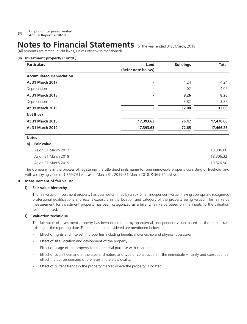(All amounts are stated in INR lakhs, unless otherwise mentioned)

### **3b. Investment property (Contd.)**

| (Refer note below)       |       |           |
|--------------------------|-------|-----------|
|                          |       |           |
|                          |       |           |
| $\overline{\phantom{0}}$ | 4.24  | 4.24      |
| $\overline{\phantom{a}}$ | 4.02  | 4.02      |
| ۰                        | 8.26  | 8.26      |
| $\overline{\phantom{a}}$ | 3.82  | 3.82      |
|                          | 12.08 | 12.08     |
|                          |       |           |
| 17,393.63                | 76.47 | 17,470.08 |
| 17,393.63                | 72.65 | 17,466.26 |
|                          |       |           |

### **Notes**

| a) Fair value       |           |
|---------------------|-----------|
| As on 31 March 2017 | 18,306.00 |
| As on 31 March 2018 | 18,306.32 |
| As on 31 March 2019 | 19,526.90 |

The Company is in the process of registering the title deed in its name for one immovable property consisting of freehold land with a carrying value of ₹ 369.74 lakhs as at March 31, 2019 (31 March 2018: ₹ 369.74 lakhs).

### **B. Measurement of fair value:**

### **i) Fair value hierarchy**

 The fair value of investment property has been determined by an external, independent valuer, having appropriate recognised professional qualifications and recent exposure in the location and category of the property being valued. The fair value measurement for investment property has been categorized as a level 2 fair value based on the inputs to the valuation technique used.

### **i) Valuation technique**

 The fair value of investment property has been determined by an external, independent valuer based on the market rate existing at the reporting date. Factors that are considered are mentioned below:

- Effect of rights and interest in properties including beneficial ownership and physical possession.
- Effect of size, location and devlopment of the property.
- Effect of usage of the property for commercial purpose with clear title.
- Effect of overall demand in the area and nature and type of construction in the immediate vincinity and consequential effect thereof on demand of premises in the area/locality.
- Effect of current trends in the property market where the property is located.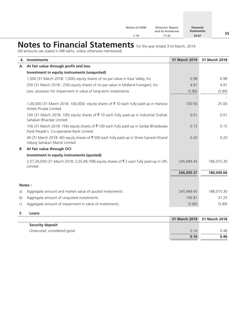| Notice of AGM | Directors' Report<br>and its Annexures | <b>Financial</b><br><b>Statements</b> |    |
|---------------|----------------------------------------|---------------------------------------|----|
| $1 - 10$      | 11-32                                  | 33-67                                 | 55 |

(All amounts are stated in INR lakhs, unless otherwise mentioned)

| 4.           | <b>Investments</b>                                                                                                                  | 31 March 2019 | 31 March 2018 |
|--------------|-------------------------------------------------------------------------------------------------------------------------------------|---------------|---------------|
|              | A. At fair value through profit and loss                                                                                            |               |               |
|              | Investment in equity instruments (unquoted)                                                                                         |               |               |
|              | 1,000 (31 March 2018: 1,000) equity shares of no par value in Kaw Valley, Inc.                                                      | 0.98          | 0.98          |
|              | 250 (31 March 2018 : 250) equity shares of no par value in Midland Fumigant, Inc.                                                   | 4.91          | 4.91          |
|              | Less: provision for impairment in value of long-term investments                                                                    | (5.89)        | (5.89)        |
|              |                                                                                                                                     |               |               |
|              | 1,00,000 (31 March 2018: 100,000) equity shares of ₹ 10 each fully paid-up in Harsora<br>Hotels Private Limited                     | 100.56        | 25.00         |
|              | 100 (31 March 2018: 100) equity shares of ₹ 10 each fully paid-up in Industrial Grahak<br>Sahakari Bhandar Limited                  | 0.01          | 0.01          |
|              | 156 (31 March 2018: 156) equity shares of ₹ 100 each fully paid-up in Sardar Bhiladwala<br>Pardi People's Co-operative Bank Limited | 0.15          | 0.15          |
|              | 40 (31 March 2018: 40) equity shares of ₹500 each fully paid-up in Shree Ganesh Khand<br>Udyog Sahakari Mandi Limited               | 0.20          | 0.20          |
| B            | At fair value through OCI                                                                                                           |               |               |
|              | Investment in equity instruments (quoted)                                                                                           |               |               |
|              | 2,57,26,930 (31 March 2018: 2,55,49,798) equity shares of ₹ 2 each fully paid-up in UPL<br>Limited                                  | 245,949.45    | 186,015.30    |
|              |                                                                                                                                     | 246,050.37    | 186,040.66    |
|              |                                                                                                                                     |               |               |
|              | Notes:                                                                                                                              |               |               |
| a)           | Aggregate amount and market value of quoted investments                                                                             | 245,949.45    | 186,015.30    |
| b)           | Aggregate amount of unquoted investments                                                                                            | 106.81        | 31.25         |
| $\mathsf{C}$ | Aggregate amount of impairment in value of investments.                                                                             | (5.89)        | (5.89)        |

### **5 Loans**

|                            |      | 31 March 2019 31 March 2018 |
|----------------------------|------|-----------------------------|
| <b>Security deposit</b>    |      |                             |
| Unsecured, considered good | 0.16 | 0.46                        |
|                            | 0.16 | 0.46                        |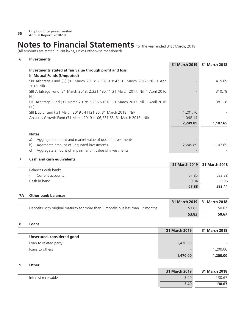(All amounts are stated in INR lakhs, unless otherwise mentioned)

### **6 Investments**

**8 Loans**

 $\overline{\phantom{0}}$ 

|                |                                                                                               | 31 March 2019 | 31 March 2018 |
|----------------|-----------------------------------------------------------------------------------------------|---------------|---------------|
|                | Investments stated at fair value through profit and loss                                      |               |               |
|                | In Mutual Funds (Unquoted)                                                                    |               |               |
|                | SBI Arbitrage Fund (D) (31 March 2018: 2,937,918.47 31 March 2017: Nil, 1 April<br>2016: Nil) |               | 415.69        |
|                | SBI Arbitrage Fund (31 March 2018: 2,331,490.41 31 March 2017: Nil, 1 April 2016:<br>Nil)     |               | 310.78        |
|                | UTI Arbitrage Fund (31 March 2018: 2,286,507.61 31 March 2017: Nil, 1 April 2016:<br>Nil)     |               | 381.18        |
|                | SBI Liquid fund (31 March 2019: 41121.86, 31 March 2018: Nil)                                 | 1,201.76      |               |
|                | Abakkus Growth Fund (31 March 2019: 106,231.85, 31 March 2018: Nil)                           | 1,048.14      |               |
|                |                                                                                               | 2,249.89      | 1,107.65      |
|                | Notes:                                                                                        |               |               |
|                | Aggregate amount and market value of quoted investments<br>a)                                 |               |               |
|                | Aggregate amount of unquoted investments<br>b)                                                | 2,249.89      | 1,107.65      |
|                | Aggregate amount of impairment in value of investments.<br>$\mathsf{C}$ )                     |               |               |
| $\overline{7}$ | <b>Cash and cash equivalents</b>                                                              |               |               |
|                |                                                                                               | 31 March 2019 | 31 March 2018 |
|                | Balances with banks                                                                           |               |               |
|                | Current accounts                                                                              | 67.85         | 583.38        |
|                | Cash in hand                                                                                  | 0.04          | 0.06          |
|                |                                                                                               | 67.88         | 583.44        |
| 7A             | <b>Other bank balances</b>                                                                    |               |               |
|                |                                                                                               | 31 March 2019 | 31 March 2018 |
|                | Deposits with original maturity for more than 3 months but less than 12 months                | 53.83         | 50.67         |
|                |                                                                                               | 53.83         | 50.67         |
| 8              | Loans                                                                                         |               |               |
|                |                                                                                               | 31 March 2019 | 31 March 2018 |
|                | Unsecured, considered good                                                                    |               |               |
|                | Loan to related party                                                                         | 1,470.00      |               |
|                | loans to others                                                                               |               | 1,200.00      |
|                |                                                                                               | 1,470.00      | 1,200.00      |
| 9              | Other                                                                                         |               |               |

|                     | 31 March 2019 | 31 March 2018 |
|---------------------|---------------|---------------|
| Interest receivable | 3.40          | 30.67         |
|                     | 3.40          | 130.67        |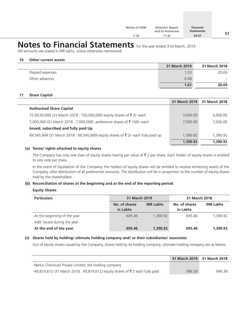| Notice of AGM | Directors' Report<br>and its Annexures | <b>Financial</b><br><b>Statements</b> |    |
|---------------|----------------------------------------|---------------------------------------|----|
| $1 - 10$      | 11-32                                  | 33-67                                 | 57 |

(All amounts are stated in INR lakhs, unless otherwise mentioned)

### **10 Other current assets**

|                  | 31 March 2019 | 31 March 2018 |
|------------------|---------------|---------------|
| Prepaid expenses | 1.53          | 20.69         |
| Other advances   | 0.08          |               |
|                  | 1.61          | 20.69         |

### **11 Share Capital**

|                                                                                   | <b>31 March 2019</b> | 31 March 2018 |
|-----------------------------------------------------------------------------------|----------------------|---------------|
| <b>Authorised Share Capital</b>                                                   |                      |               |
| 15,00,00,000 (31 March 2018 : 150,000,000) equity shares of ₹ 2/- each            | 3,000.00             | 3,000.00      |
| 7,000,000 (31 March 2018 : 7,000,000) preference shares of ₹ 100/- each           | 7,000.00             | 7,000.00      |
| Issued, subscribed and fully paid Up                                              |                      |               |
| 69,545,849 (31 March 2018 : 69,545,849) equity shares of ₹ 2/- each fully paid up | 1.390.92             | 1.390.92      |
|                                                                                   | 1,390.92             | 1,390.92      |

### **(a) Terms/ rights attached to equity shares**

The Company has only one class of equity shares having par value of  $\bar{\tau}$  2 per share. Each holder of equity shares is entitled to one vote per share.

In the event of liquidation of the Company, the holders of equity shares will be entitled to receive remaining assets of the Company, after distribution of all preferential amounts. The distribution will be in proportion to the number of equity shares held by the shareholders.

### **(b) Reconciliation of shares at the beginning and at the end of the reporting period**

### **Equity Shares**

| <b>Particulars</b>           | 31 March 2019             |                  | 31 March 2018             |                  |
|------------------------------|---------------------------|------------------|---------------------------|------------------|
|                              | No. of shares<br>in Lakhs | <b>INR Lakhs</b> | No. of shares<br>in Lakhs | <b>INR Lakhs</b> |
| At the beginning of the year | 695.46                    | 1.390.92         | 695.46                    | 1.390.92         |
| Add: Issued during the year  |                           |                  | $\overline{\phantom{a}}$  |                  |
| At the end of the year       | 695.46                    | 1,390.92         | 695.46                    | 1,390.92         |

### **(c) Shares held by holding/ ultimate holding company and/ or their subsidiaries/ associates**

Out of equity shares issued by the Company, shares held by its holding company, ultimate holding company are as below:

|                                                                              |        | 31 March 2019 31 March 2018 |
|------------------------------------------------------------------------------|--------|-----------------------------|
| Nerka Chemicals Private Limited, the holding company                         |        |                             |
| 49,819,612 (31 March 2018 : 49,819,612) equity shares of ₹ 2 each fully paid | 996.39 | 99639                       |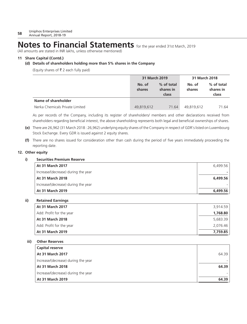(All amounts are stated in INR lakhs, unless otherwise mentioned)

### **11 Share Capital (Contd.)**

### **(d) Details of shareholders holding more than 5% shares in the Company**

(Equity shares of ` 2 each fully paid)

|                                 | 31 March 2019    |                                  | 31 March 2018    |                                  |
|---------------------------------|------------------|----------------------------------|------------------|----------------------------------|
|                                 | No. of<br>shares | % of total<br>shares in<br>class | No. of<br>shares | % of total<br>shares in<br>class |
| Name of shareholder             |                  |                                  |                  |                                  |
| Nerka Chemicals Private Limited | 49,819,612       | 71.64                            | 49.819.612       | 71.64                            |

 As per records of the Company, including its register of shareholders/ members and other declarations received from shareholders regarding beneficial interest, the above shareholding represents both legal and beneficial ownerships of shares.

- **(e)** There are 26,962 (31 March 2018 : 26,962) underlying equity shares of the Company in respect of GDR's listed on Luxembourg Stock Exchange. Every GDR is issued against 2 equity shares.
- **(f)** There are no shares issued for consideration other than cash during the period of five years immediately proceeding the reporting date.

### **12. Other equity**

### **i) Securities Premium Reserve**

| At 31 March 2017                    | 6.499.56 |
|-------------------------------------|----------|
| Increase/(decrease) during the year |          |
| <b>At 31 March 2018</b>             | 6.499.56 |
| Increase/(decrease) during the year |          |
| At 31 March 2019                    | 6,499.56 |

### **ii) Retained Earnings**

| At 31 March 2017         | 3.914.59 |
|--------------------------|----------|
| Add: Profit for the year | 1,768.80 |
| At 31 March 2018         | 5,683.39 |
| Add: Profit for the year | 2,076.46 |
| At 31 March 2019         | 7,759.85 |

### **iii) Other Reserves**

| <b>Capital reserve</b>              |       |
|-------------------------------------|-------|
| At 31 March 2017                    | 64.39 |
| Increase/(decrease) during the year |       |
| At 31 March 2018                    | 64.39 |
| Increase/(decrease) during the year |       |
| At 31 March 2019                    | 64.39 |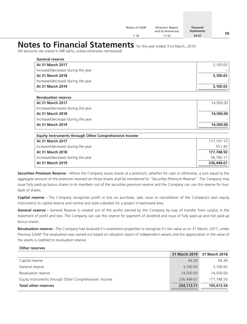| Notice of AGM | Directors' Report | <b>Financial</b>  |    |
|---------------|-------------------|-------------------|----|
|               | and its Annexures | <b>Statements</b> | 59 |
| $1 - 10$      | $11 - 32$         | 33-67             |    |

(All amounts are stated in INR lakhs, unless otherwise mentioned)

| <b>General reserve</b>              |          |
|-------------------------------------|----------|
| <b>At 31 March 2017</b>             | 3,100.65 |
| Increase/(decrease) during the year |          |
| <b>At 31 March 2018</b>             | 3,100.65 |
| Increase/(decrease) during the year |          |
| At 31 March 2019                    | 3,100.65 |
|                                     |          |

#### **Revaluation reserve**

| <b>At 31 March 2017</b>             | 14,500.00 |
|-------------------------------------|-----------|
| Increase/(decrease) during the year |           |
| <b>At 31 March 2018</b>             | 14,500,00 |
| Increase/(decrease) during the year |           |
| <b>At 31 March 2019</b>             | 14,500.00 |

| <b>Equity Instruments through Other Comprehensive Income</b> |            |
|--------------------------------------------------------------|------------|
| <b>At 31 March 2017</b>                                      | 177,197.10 |
| Increase/(decrease) during the year                          | 551.40     |
| At 31 March 2018                                             | 177,748.50 |
| Increase/(decrease) during the year                          | 58,700.17  |
| At 31 March 2019                                             | 236,448.67 |
|                                                              |            |

**Securities Premium Reserve -** Where the Company issues shares at a premium, whether for cash or otherwise, a sum equal to the aggregate amount of the premium received on those shares shall be transferred to "Securities Premium Reserve". The Company may issue fully paid-up bonus shares to its members out of the securities premium reserve and the Company can use this reserve for buyback of shares.

**Capital reserve -** The Company recognizes profit or loss on purchase, sale, issue or cancellation of the Company's own equity instruments to capital reserve and central and state subsidies for a project in backward area.

**General reserve -** General Reserve is created out of the profits earned by the Company by way of transfer from surplus in the statement of profit and loss. The Company can use this reserve for payment of dividend and issue of fully paid-up and not paid-up bonus shares.

**Revaluation reserve -** The Company had revalued it's investment properties to recognise it's fair value as on 31 March, 2011, under Previous GAAP. The revaluation was carried out based on valuation report of independent valuers and the appreciation in the value of the assets is credited to revaluation reserve.

### **Other reserves**

|                                                       | <b>31 March 2019</b> | 31 March 2018 |
|-------------------------------------------------------|----------------------|---------------|
| Capital reserve                                       | 64.39                | 64.39         |
| General reserve                                       | 3.100.65             | 3,100.65      |
| Revaluation reserve                                   | 14,500.00            | 14,500.00     |
| Equity Instruments through Other Comprehensive Income | 236.448.67           | 177.748.50    |
| <b>Total other reserves</b>                           | 254,113.71           | 195,413.54    |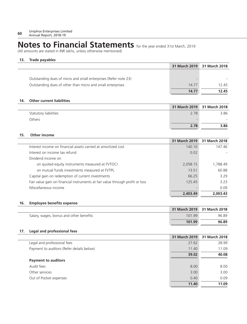(All amounts are stated in INR lakhs, unless otherwise mentioned)

### **13. Trade payables**

|                                                                 |       | 31 March 2019 31 March 2018 |
|-----------------------------------------------------------------|-------|-----------------------------|
|                                                                 |       |                             |
| Outstanding dues of micro and small enterprises (Refer note 23) |       |                             |
| Outstanding dues of other than micro and small enterprises      | 14.77 | 1245                        |
|                                                                 | 14.77 | 12.45                       |

### **14. Other current liabilities**

|                       |      | 31 March 2019 31 March 2018 |
|-----------------------|------|-----------------------------|
| Statutory liabilities | 2.78 | 3.86                        |
| Others                |      |                             |
|                       | 2.78 | 3.86                        |

### **15. Other income**

|                                                                               | <b>31 March 2019</b> | 31 March 2018 |
|-------------------------------------------------------------------------------|----------------------|---------------|
| Interest income on financial assets carried at amortized cost                 | 140.10               | 147.46        |
| Interest on income tax refund                                                 | 0.02                 |               |
| Dividend income on                                                            |                      |               |
| on quoted equity instruments measured at FVTOCI                               | 2,058.15             | 1,788.49      |
| on mutual funds investments measured at FVTPL                                 | 13.51                | 60.88         |
| Capital gain on redemption of current investments                             | 66.25                | 3.29          |
| Fair value gain on financial instruments at fair value through profit or loss | 125.45               | 323           |
| Miscellaneous income                                                          |                      | 0.09          |
|                                                                               | 2,403.49             | 2,003.43      |
|                                                                               |                      |               |

### **16. Employee benefits expense**

|                                         | 31 March 2019 31 March 2018 |       |
|-----------------------------------------|-----------------------------|-------|
| Salary, wages, bonus and other benefits | 101 99                      | 96.89 |
|                                         | 101.99                      | 96.89 |

### **17. Legal and professional fees**

|                                           | <b>31 March 2019</b> | 31 March 2018 |
|-------------------------------------------|----------------------|---------------|
| Legal and professional fees               | 27.62                | 28.99         |
| Payment to auditors (Refer details below) | 11.40                | 11.09         |
|                                           | 39.02                | 40.08         |
| <b>Payment to auditors</b>                |                      |               |
| Audit fees                                | 8.00                 | 8.00          |
| Other services                            | 3.00                 | 3.00          |
| Out of Pocket expenses                    | 0.40                 | 0.09          |
|                                           | 11.40                | 11.09         |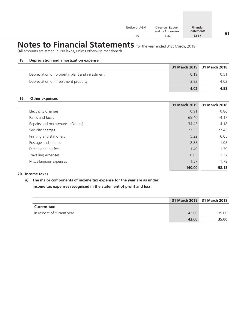| Notice of AGM | Directors' Report | <b>Financial</b>  |    |
|---------------|-------------------|-------------------|----|
|               | and its Annexures | <b>Statements</b> | 61 |
| $1 - 10$      | $11 - 32$         | 33-67             |    |

(All amounts are stated in INR lakhs, unless otherwise mentioned)

### **18. Depreciation and amortization expense**

|                                                |      | 31 March 2019 31 March 2018 |
|------------------------------------------------|------|-----------------------------|
| Depreciation on property, plant and investment | 0.19 | 0.51                        |
| Depreciation on investment property            | 3.82 | 4.02                        |
|                                                | 4.02 | 4.53                        |

#### **19. Other expenses**

|                                  | 31 March 2019 | 31 March 2018 |
|----------------------------------|---------------|---------------|
| <b>Electricity Charges</b>       | 0.91          | 0.86          |
| Rates and taxes                  | 65.40         | 14.17         |
| Repairs and maintenance (Others) | 34.43         | 4.18          |
| Security charges                 | 27.35         | 27.45         |
| Printing and stationery          | 5.22          | 6.05          |
| Postage and stamps               | 2.88          | 1.08          |
| Director sitting fees            | 1.40          | 1.30          |
| Travelling expenses              | 0.85          | 1.27          |
| Miscellaneous expenses           | 1.57          | 1.78          |
|                                  | 140.00        | 58.13         |

### **20. Income taxes**

### **a) The major components of income tax expense for the year are as under: Income tax expenses recognised in the statement of profit and loss:**

|                            |       | 31 March 2019 31 March 2018 |
|----------------------------|-------|-----------------------------|
| <b>Current tax:</b>        |       |                             |
| In respect of current year | 42.00 | 35.00                       |
|                            | 42.00 | 35.00                       |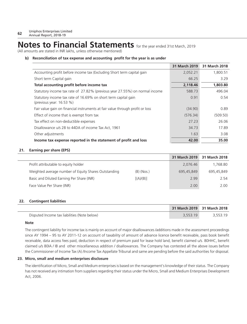(All amounts are stated in INR lakhs, unless otherwise mentioned)

### **b) Reconciliation of tax expense and accounting profit for the year is as under**

|                                                                                            | 31 March 2019 | 31 March 2018 |
|--------------------------------------------------------------------------------------------|---------------|---------------|
| Accounting profit before income tax (Excluding Short term capital gain                     | 2,052.21      | 1,800.51      |
| Short term Capital gain                                                                    | 66.25         | 3.29          |
| Total accounting profit before income tax                                                  | 2,118.46      | 1,803.80      |
| Statutory income tax rate of 27.82% (previous year 27.55%) on normal income                | 588.73        | 496.04        |
| Statutory income tax rate of 16.69% on short term capital gain<br>(previous year: 16.53 %) | 0.91          | 0.54          |
| Fair value gain on financial instruments at fair value through profit or loss              | (34.90)       | 0.89          |
| Effect of income that is exempt from tax                                                   | (576.34)      | (509.50)      |
| Tax effect on non-deductible expenses                                                      | 27.23         | 26.06         |
| Disallowance u/s 28 to 44DA of income Tax Act, 1961                                        | 34.73         | 17.89         |
| Other adjustments                                                                          | 1.63          | 3.08          |
| Income tax expense reported in the statement of profit and loss                            | 42.00         | 35.00         |

### **21. Earning per share (EPS)**

|                                                      |              | <b>31 March 2019</b> | 31 March 2018 |
|------------------------------------------------------|--------------|----------------------|---------------|
| Profit attributable to equity holder                 |              | 2,076.46             | 1,768.80      |
| Weighted average number of Equity Shares Outstanding | $(B)$ (Nos.) | 695,45,849           | 695,45,849    |
| Basic and Diluted Earning Per Share (INR)            | [(A)/(B)]    | 2.99                 | 2.54          |
| Face Value Per Share (INR)                           |              | 2.00                 | 2.00          |

### **22. Contingent liabilities**

|                                              |          | 31 March 2019 31 March 2018 |
|----------------------------------------------|----------|-----------------------------|
| Disputed Income tax liabilities (Note below) | 3.553.19 | 3.553.19                    |

### **Note**

The contingent liability for income tax is mainly on account of major disallowances /additions made in the assessment proceedings since AY 1994 – 95 to AY 2011-12 on account of taxability of amount of advance licence benefit receivable, pass book benefit receivable, data access fees paid, deduction in respect of premium paid for lease hold land, benefit claimed u/s. 80HHC, benefit claimed u/s 80IA / IB and other miscellaneous addition / disallowances. The Company has contested all the above issues before the Commissioner of Income Tax (A) /Income Tax Appellate Tribunal and same are pending before the said authorities for disposal.

### **23. Micro, small and medium enterprises disclosure**

The identification of Micro, Small and Medium enterprises is based on the management's knowledge of their status. The Company has not received any intimation from suppliers regarding their status under the Micro, Small and Medium Enterprises Development Act, 2006.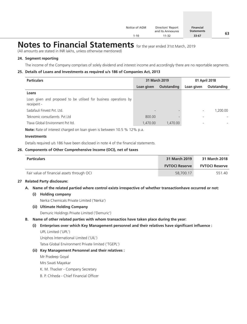(All amounts are stated in INR lakhs, unless otherwise mentioned)

### **24. Segment reporting**

The income of the Company comprises of solely dividend and interest income and accordingly there are no reportable segments.

### **25. Details of Loans and Investments as required u/s 186 of Companies Act, 2013**

| <b>Particulars</b>                                                               | 31 March 2019 |             | 01 April 2018            |             |
|----------------------------------------------------------------------------------|---------------|-------------|--------------------------|-------------|
|                                                                                  | Loan given    | Outstanding | Loan given               | Outstanding |
| Loans                                                                            |               |             |                          |             |
| Loan given and proposed to be utilised for business operations by<br>receipent - |               |             |                          |             |
| Sadafauli Finvest Pvt. Ltd.                                                      |               |             | $\overline{\phantom{a}}$ | 1.200.00    |
| Teknomic consutlannts Pvt Ltd                                                    | 800.00        |             |                          |             |
| Ttava Global Environment Pyt Itd.                                                | 1,470.00      | 1,470.00    | $\overline{\phantom{0}}$ |             |

**Note:** Rate of interest charged on loan given is between 10.5 % 12% p.a.

### **Investments**

Details required u/s 186 have been disclosed in note 4 of the financial statements.

### **26. Components of Other Comprehensive Income (OCI), net of taxes**

| <b>Particulars</b>                         | 31 March 2019         | 31 March 2018         |
|--------------------------------------------|-----------------------|-----------------------|
|                                            | <b>FVTOCI Reserve</b> | <b>FVTOCI Reserve</b> |
| Fair value of financial assets through OCI | 58,700.17             | 551.40                |

### **27 Related Party disclosure:**

- **A. Name of the related partied where control exists irrespective of whether transactionhave occurred or not:**
	- **(i) Holding company** Nerka Chemicals Private Limited ('Nerka')
	- **(ii) Ultimate Holding Company**

Demuric Holdings Private Limited ('Demuric')

- **B. Name of other related parties with whom transactios have taken place during the year:**
	- **(i) Enterprises over which Key Management personnel and their relatives have significant influence :** UPL Limited ('UPL')

Uniphos International Limited ('UIL')

Tatva Global Environment Private limited ('TGEPL')

 **(ii) Key Management Personnel and their relatives :**

Mr Pradeep Goyal

Mrs Swati Mayekar

- K. M. Thacker Company Secretary
- B. P. Chheda Chief Financial Officer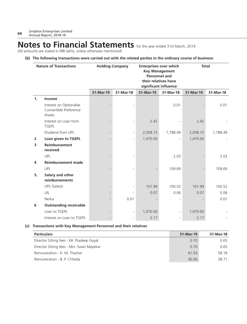(All amounts are stated in INR lakhs, unless otherwise mentioned)

**(b) The following transactions were carried out with the related parties in the ordinary course of business:**

| <b>Nature of Transactions</b> |                                                            |           | <b>Holding Company</b>   | <b>Personnel and</b> | <b>Enterprises over which</b><br><b>Key Management</b><br>their relatives have<br>significant influence |           | <b>Total</b> |
|-------------------------------|------------------------------------------------------------|-----------|--------------------------|----------------------|---------------------------------------------------------------------------------------------------------|-----------|--------------|
|                               |                                                            | 31-Mar-19 | 31-Mar-18                | 31-Mar-19            | 31-Mar-18                                                                                               | 31-Mar-19 | 31-Mar-18    |
| 1 <sub>1</sub>                | Income                                                     |           |                          |                      |                                                                                                         |           |              |
|                               | Interest on Optionable<br>Convertible Preference<br>shares |           |                          |                      | 0.01                                                                                                    |           | 0.01         |
|                               | Interest on Loan from<br><b>TGEPL</b>                      |           |                          | 2.42                 |                                                                                                         | 2.42      |              |
|                               | Dividend from UPL                                          |           | $\overline{\phantom{a}}$ | 2,058.15             | 1,788.49                                                                                                | 2,058.15  | 1,788.49     |
| $\overline{2}$                | Loan given to TGEPL                                        |           | $\overline{\phantom{a}}$ | 1,470.00             |                                                                                                         | 1,470.00  |              |
| 3                             | <b>Reimbursement</b><br>received                           |           |                          |                      |                                                                                                         |           |              |
|                               | UPL                                                        |           |                          |                      | 2.03                                                                                                    |           | 2.03         |
| 4                             | <b>Reimbursement made</b>                                  |           |                          |                      |                                                                                                         |           |              |
|                               | <b>UPL</b>                                                 |           |                          |                      | 109.69                                                                                                  |           | 109.69       |
| 5.                            | Salary and other<br>reimbursements                         |           |                          |                      |                                                                                                         |           |              |
|                               | UPL (Salary)                                               |           |                          | 101.99               | 100.52                                                                                                  | 101.99    | 100.52       |
|                               | UIL                                                        |           |                          | 0.07                 | 0.06                                                                                                    | 0.07      | 0.06         |
|                               | Nerka                                                      |           | 0.01                     |                      |                                                                                                         |           | 0.01         |
| 6                             | <b>Outstanding receivable</b>                              |           |                          |                      |                                                                                                         |           |              |
|                               | Loan to TGEPL                                              |           | $\overline{\phantom{a}}$ | 1,470.00             | $\overline{\phantom{0}}$                                                                                | 1,470.00  |              |
|                               | Interest on Loan to TGEPL                                  |           |                          | 2.17                 |                                                                                                         | 2.17      |              |

### **(c) Transactions with Key Management Personnel and their relatives**

| <b>Particulars</b>                         | 31-Mar-19 | 31-Mar-18 |
|--------------------------------------------|-----------|-----------|
| Director Sitting fees - Mr. Pradeep Goyal  | 0.70      | 0.65      |
| Director Sitting fees - Mrs. Swati Mayekar | 0.70      | 0.65      |
| Remuneration - K. M. Thacker               | 61.03     | 58.18     |
| Remuneration - B. P. Chheda                | 40.96     | 38.71     |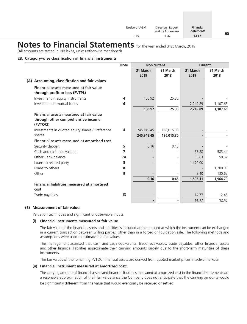|    | <b>Financial</b>  | Directors' Report | Notice of AGM |
|----|-------------------|-------------------|---------------|
|    | <b>Statements</b> | and its Annexures |               |
| 65 | 33-67             | 11-32             | $1 - 10$      |

(All amounts are stated in INR lakhs, unless otherwise mentioned)

### **28. Category-wise classification of financial instruments**

|                                                                                                  | <b>Note</b> | <b>Non current</b> |            | <b>Current</b> |          |
|--------------------------------------------------------------------------------------------------|-------------|--------------------|------------|----------------|----------|
|                                                                                                  |             | 31 March           | 31 March   | 31 March       | 31 March |
|                                                                                                  |             | 2019               | 2018       | 2019           | 2018     |
| (A) Accounting, classification and fair values                                                   |             |                    |            |                |          |
| Financial assets measured at fair value<br>through profit or loss (FVTPL)                        |             |                    |            |                |          |
| Investment in equity instruments                                                                 | 4           | 100.92             | 25.36      |                |          |
| Investment in mutual funds                                                                       | 6           |                    |            | 2,249.89       | 1,107.65 |
|                                                                                                  |             | 100.92             | 25.36      | 2,249.89       | 1,107.65 |
| <b>Financial assets measured at fair value</b><br>through other comprehensive income<br>(FVTOCI) |             |                    |            |                |          |
| Investments in quoted equity shares / Preference                                                 | 4           | 245,949.45         | 186,015.30 |                |          |
| shares                                                                                           |             | 245,949.45         | 186,015.30 |                |          |
| Financial assets measured at amortised cost                                                      |             |                    |            |                |          |
| Security deposit                                                                                 | 5           | 0.16               | 0.46       |                |          |
| Cash and cash equivalents                                                                        | 7           |                    |            | 67.88          | 583.44   |
| Other Bank balance                                                                               | <b>7A</b>   |                    |            | 53.83          | 50.67    |
| Loans to related party                                                                           | 8           |                    |            | 1,470.00       |          |
| Loans to others                                                                                  | 8           |                    |            |                | 1,200.00 |
| Other                                                                                            | 9           |                    |            | 3.40           | 130.67   |
|                                                                                                  |             | 0.16               | 0.46       | 1,595.11       | 1,964.79 |
| <b>Financial liabilities measured at amortised</b>                                               |             |                    |            |                |          |
| cost                                                                                             | 13          |                    |            | 14.77          | 12.45    |
| Trade payables                                                                                   |             |                    |            | 14.77          | 12.45    |
|                                                                                                  |             |                    |            |                |          |

### **(B) Measurement of fair value:**

Valuation techniques and significant unobservable inputs:

### **(i) Financial instruments measured at fair value**

 The fair value of the financial assets and liabilities is included at the amount at which the instrument can be exchanged in a current transaction between willing parties, other than in a forced or liquidation sale. The following methods and assumptions were used to estimate the fair values:

 The management assessed that cash and cash equivalents, trade receivables, trade payables, other financial assets and other financial liabilities approximate their carrying amounts largely due to the short-term maturities of these instruments.

The fair values of the remaining FVTOCI financial assets are derived from quoted market prices in active markets.

### **(ii) Financial instrument measured at amortized cost:**

 The carrying amount of financial assets and financial liabilities measured at amortized cost in the financial statements are a resonable approximation of their fair value since the Company does not anticipate that the carrying amounts would be significantly different from the value that would eventually be received or settled.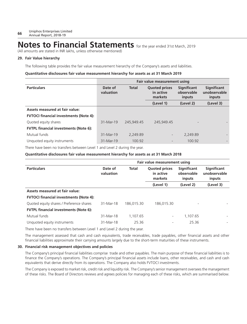(All amounts are stated in INR lakhs, unless otherwise mentioned)

### **29. Fair Value hierarchy**

The following table provides the fair value measurement hierarchy of the Company's assets and liabilities.

### **Quantitative disclosures fair value measurement hierarchy for assets as at 31 March 2019**

|                                               | Fair value measurement using |              |                                              |                                            |                                              |
|-----------------------------------------------|------------------------------|--------------|----------------------------------------------|--------------------------------------------|----------------------------------------------|
| <b>Particulars</b>                            | Date of<br>valuation         | <b>Total</b> | <b>Quoted prices</b><br>in active<br>markets | <b>Significant</b><br>observable<br>inputs | <b>Significant</b><br>unobservable<br>inputs |
|                                               |                              |              | (Level 1)                                    | (Level 2)                                  | (Level 3)                                    |
| Assets measured at fair value:                |                              |              |                                              |                                            |                                              |
| <b>FVTOCI financial investments (Note 4):</b> |                              |              |                                              |                                            |                                              |
| Quoted equity shares                          | 31-Mar-19                    | 245.949.45   | 245.949.45                                   |                                            |                                              |
| <b>FVTPL financial investments (Note 6):</b>  |                              |              |                                              |                                            |                                              |
| Mutual funds                                  | 31-Mar-19                    | 2,249.89     |                                              | 2,249.89                                   |                                              |
| Unquoted equity instruments                   | 31-Mar-19                    | 100.92       |                                              | 100.92                                     |                                              |

There have been no transfers between Level 1 and Level 2 during the year.

**Quantitative disclosures fair value measurement hierarchy for assets as at 31 March 2018**

|                                               | Fair value measurement using |              |                                              |                                            |                                              |
|-----------------------------------------------|------------------------------|--------------|----------------------------------------------|--------------------------------------------|----------------------------------------------|
| <b>Particulars</b>                            | Date of<br>valuation         | <b>Total</b> | <b>Quoted prices</b><br>in active<br>markets | <b>Significant</b><br>observable<br>inputs | <b>Significant</b><br>unobservable<br>inputs |
|                                               |                              |              | (Level 1)                                    | (Level 2)                                  | (Level 3)                                    |
| Assets measured at fair value:                |                              |              |                                              |                                            |                                              |
| <b>FVTOCI financial investments (Note 4):</b> |                              |              |                                              |                                            |                                              |
| Quoted equity shares / Preference shares      | 31-Mar-18                    | 186.015.30   | 186.015.30                                   |                                            |                                              |
| <b>FVTPL financial investments (Note 6):</b>  |                              |              |                                              |                                            |                                              |
| Mutual funds                                  | 31-Mar-18                    | 1,107.65     | -                                            | 1,107.65                                   |                                              |
| Unquoted equity instruments                   | 31-Mar-18                    | 25.36        | $\overline{\phantom{a}}$                     | 25.36                                      |                                              |

There have been no transfers between Level 1 and Level 2 during the year.

The management assessed that cash and cash equivalents, trade receivables, trade payables, other financial assets and other financial liabilities approximate their carrying amounts largely due to the short-term maturities of these instruments.

### **30. Financial risk management objectives and policies**

The Company's principal financial liabilities comprise trade and other payables. The main purpose of these financial liabilities is to finance the Company's operations. The Company's principal financial assets include loans, other receivables, and cash and cash equivalents that derive directly from its operations. The Company also holds FVTOCI investments.

The Company is exposed to market risk, credit risk and liquidity risk. The Company's senior management oversees the management of these risks. The Board of Directors reviews and agrees policies for managing each of these risks, which are summarised below.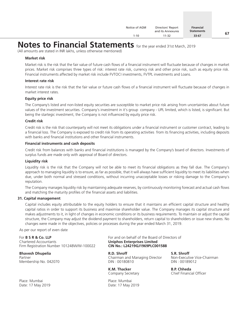(All amounts are stated in INR lakhs, unless otherwise mentioned)

### **Market risk**

Market risk is the risk that the fair value of future cash flows of a financial instrument will fluctuate because of changes in market prices. Market risk comprises three types of risk: interest rate risk, currency risk and other price risk, such as equity price risk. Financial instruments affected by market risk include FVTOCI investments, FVTPL investments and Loans.

### **Interest rate risk**

Interest rate risk is the risk that the fair value or future cash flows of a financial instrument will fluctuate because of changes in market interest rates.

### **Equity price risk**

The Company's listed and non-listed equity securities are susceptible to market price risk arising from uncertainties about future values of the investment securities. Company's investment in it's group company - UPL limited, which is listed, is significant. But being the startegic investment, the Company is not influenced by equity price risk.

### **Credit risk**

Credit risk is the risk that counterparty will not meet its obligations under a financial instrument or customer contract, leading to a financial loss. The Company is exposed to credit risk from its operating activities from its financing activities, including deposits with banks and financial institutions and other financial instruments.

### **Financial instruments and cash deposits**

Credit risk from balances with banks and financial institutions is managed by the Company's board of directors. Investments of surplus funds are made only with approval of Board of directors.

### **Liquidity risk**

Liquidity risk is the risk that the Company will not be able to meet its financial obligations as they fall due. The Company's approach to managing liquidity is to ensure, as far as possible, that it will always have sufficient liquidity to meet its liabilities when due, under both normal and stressed conditions, without incurring unacceptable losses or risking damage to the Company's reputation.

The Company manages liquidity risk by maintaining adequate reserves, by continuously monitoring forecast and actual cash flows and matching the maturity profiles of the financial assets and liabilities.

### **31. Capital management**

Capital includes equity attributable to the equity holders to ensure that it maintains an efficient capital structure and healthy capital ratios in order to support its business and maximise shareholder value. The Company manages its capital structure and makes adjustments to it, in light of changes in economic conditions or its business requirements. To maintain or adjust the capital structure, the Company may adjust the dividend payment to shareholders, return capital to shareholders or issue new shares. No changes were made in the objectives, policies or processes during the year ended March 31, 2019.

As per our report of even date

For **B S R & Co. LLP** Chartered Accountants Firm Registration Number 101248W/W-100022

**Bhavesh Dhupelia** Partner Membership No. 042070

Place: Mumbai Date: 17 May 2019 For and on behalf of the Board of Directors of **Uniphos Enterprises Limited CIN No.: L24219GJ1969PLC001588**

**R.D. Shroff** Chairman and Managing Director DIN : 00180810

**K.M. Thacker** Company Secretary

Place: Mumbai Date: 17 May 2019 **S.R. Shroff** Non-Executive Vice-Chairman DIN : 00189012

**B.P. Chheda** Chief Financial Officer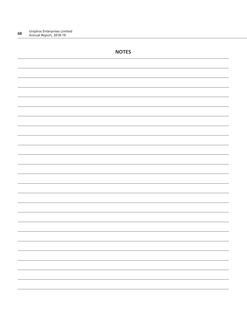